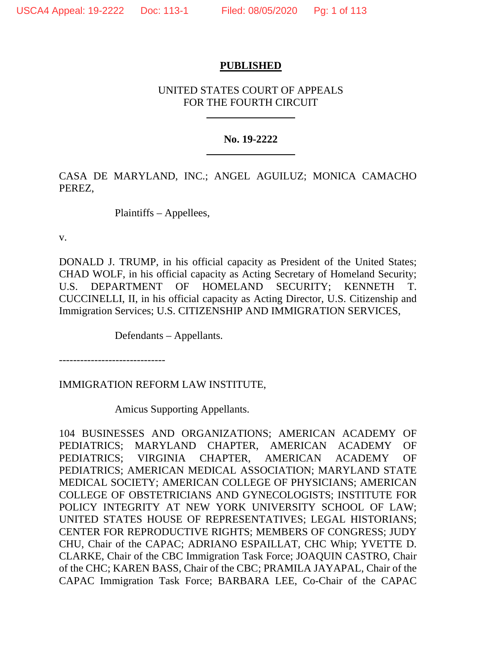## **PUBLISHED**

# UNITED STATES COURT OF APPEALS FOR THE FOURTH CIRCUIT

## **No. 19-2222**

CASA DE MARYLAND, INC.; ANGEL AGUILUZ; MONICA CAMACHO PEREZ,

Plaintiffs – Appellees,

v.

DONALD J. TRUMP, in his official capacity as President of the United States; CHAD WOLF, in his official capacity as Acting Secretary of Homeland Security; U.S. DEPARTMENT OF HOMELAND SECURITY; KENNETH T. CUCCINELLI, II, in his official capacity as Acting Director, U.S. Citizenship and Immigration Services; U.S. CITIZENSHIP AND IMMIGRATION SERVICES,

Defendants – Appellants.

------------------------------

IMMIGRATION REFORM LAW INSTITUTE,

Amicus Supporting Appellants.

104 BUSINESSES AND ORGANIZATIONS; AMERICAN ACADEMY OF PEDIATRICS; MARYLAND CHAPTER, AMERICAN ACADEMY OF PEDIATRICS; VIRGINIA CHAPTER, AMERICAN ACADEMY OF PEDIATRICS; AMERICAN MEDICAL ASSOCIATION; MARYLAND STATE MEDICAL SOCIETY; AMERICAN COLLEGE OF PHYSICIANS; AMERICAN COLLEGE OF OBSTETRICIANS AND GYNECOLOGISTS; INSTITUTE FOR POLICY INTEGRITY AT NEW YORK UNIVERSITY SCHOOL OF LAW; UNITED STATES HOUSE OF REPRESENTATIVES; LEGAL HISTORIANS; CENTER FOR REPRODUCTIVE RIGHTS; MEMBERS OF CONGRESS; JUDY CHU, Chair of the CAPAC; ADRIANO ESPAILLAT, CHC Whip; YVETTE D. CLARKE, Chair of the CBC Immigration Task Force; JOAQUIN CASTRO, Chair of the CHC; KAREN BASS, Chair of the CBC; PRAMILA JAYAPAL, Chair of the CAPAC Immigration Task Force; BARBARA LEE, Co-Chair of the CAPAC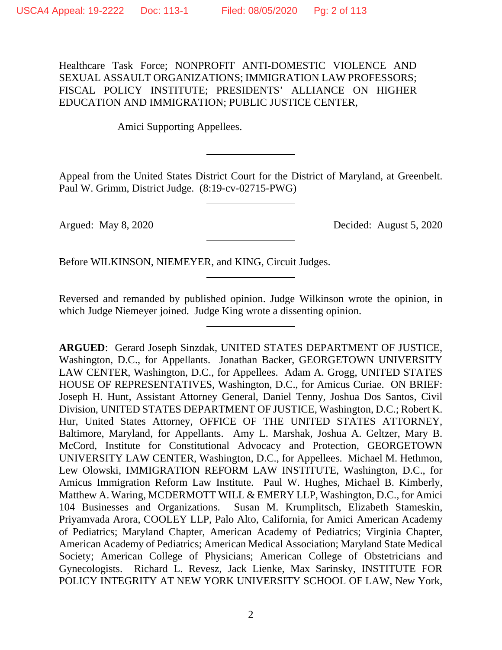Healthcare Task Force; NONPROFIT ANTI-DOMESTIC VIOLENCE AND SEXUAL ASSAULT ORGANIZATIONS; IMMIGRATION LAW PROFESSORS; FISCAL POLICY INSTITUTE; PRESIDENTS' ALLIANCE ON HIGHER EDUCATION AND IMMIGRATION; PUBLIC JUSTICE CENTER,

Amici Supporting Appellees.

Appeal from the United States District Court for the District of Maryland, at Greenbelt. Paul W. Grimm, District Judge. (8:19-cv-02715-PWG)

Argued: May 8, 2020 Decided: August 5, 2020

Before WILKINSON, NIEMEYER, and KING, Circuit Judges.

Reversed and remanded by published opinion. Judge Wilkinson wrote the opinion, in which Judge Niemeyer joined. Judge King wrote a dissenting opinion.

**ARGUED**: Gerard Joseph Sinzdak, UNITED STATES DEPARTMENT OF JUSTICE, Washington, D.C., for Appellants. Jonathan Backer, GEORGETOWN UNIVERSITY LAW CENTER, Washington, D.C., for Appellees. Adam A. Grogg, UNITED STATES HOUSE OF REPRESENTATIVES, Washington, D.C., for Amicus Curiae. ON BRIEF: Joseph H. Hunt, Assistant Attorney General, Daniel Tenny, Joshua Dos Santos, Civil Division, UNITED STATES DEPARTMENT OF JUSTICE, Washington, D.C.; Robert K. Hur, United States Attorney, OFFICE OF THE UNITED STATES ATTORNEY, Baltimore, Maryland, for Appellants. Amy L. Marshak, Joshua A. Geltzer, Mary B. McCord, Institute for Constitutional Advocacy and Protection, GEORGETOWN UNIVERSITY LAW CENTER, Washington, D.C., for Appellees. Michael M. Hethmon, Lew Olowski, IMMIGRATION REFORM LAW INSTITUTE, Washington, D.C., for Amicus Immigration Reform Law Institute. Paul W. Hughes, Michael B. Kimberly, Matthew A. Waring, MCDERMOTT WILL & EMERY LLP, Washington, D.C., for Amici 104 Businesses and Organizations. Susan M. Krumplitsch, Elizabeth Stameskin, Priyamvada Arora, COOLEY LLP, Palo Alto, California, for Amici American Academy of Pediatrics; Maryland Chapter, American Academy of Pediatrics; Virginia Chapter, American Academy of Pediatrics; American Medical Association; Maryland State Medical Society; American College of Physicians; American College of Obstetricians and Gynecologists. Richard L. Revesz, Jack Lienke, Max Sarinsky, INSTITUTE FOR POLICY INTEGRITY AT NEW YORK UNIVERSITY SCHOOL OF LAW, New York,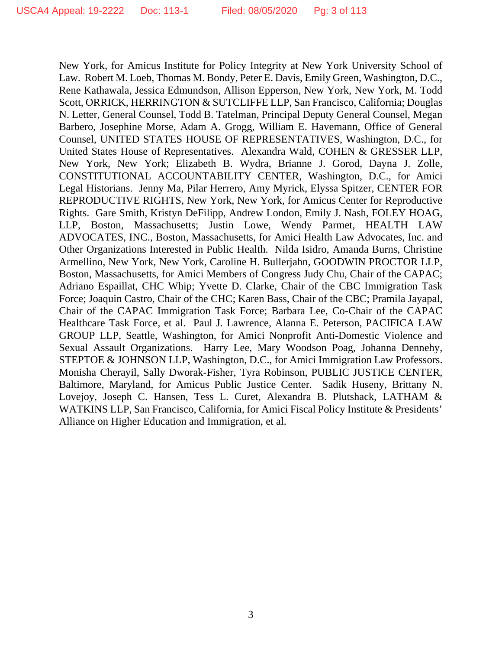New York, for Amicus Institute for Policy Integrity at New York University School of Law. Robert M. Loeb, Thomas M. Bondy, Peter E. Davis, Emily Green, Washington, D.C., Rene Kathawala, Jessica Edmundson, Allison Epperson, New York, New York, M. Todd Scott, ORRICK, HERRINGTON & SUTCLIFFE LLP, San Francisco, California; Douglas N. Letter, General Counsel, Todd B. Tatelman, Principal Deputy General Counsel, Megan Barbero, Josephine Morse, Adam A. Grogg, William E. Havemann, Office of General Counsel, UNITED STATES HOUSE OF REPRESENTATIVES, Washington, D.C., for United States House of Representatives. Alexandra Wald, COHEN & GRESSER LLP, New York, New York; Elizabeth B. Wydra, Brianne J. Gorod, Dayna J. Zolle, CONSTITUTIONAL ACCOUNTABILITY CENTER, Washington, D.C., for Amici Legal Historians. Jenny Ma, Pilar Herrero, Amy Myrick, Elyssa Spitzer, CENTER FOR REPRODUCTIVE RIGHTS, New York, New York, for Amicus Center for Reproductive Rights. Gare Smith, Kristyn DeFilipp, Andrew London, Emily J. Nash, FOLEY HOAG, LLP, Boston, Massachusetts; Justin Lowe, Wendy Parmet, HEALTH LAW ADVOCATES, INC., Boston, Massachusetts, for Amici Health Law Advocates, Inc. and Other Organizations Interested in Public Health. Nilda Isidro, Amanda Burns, Christine Armellino, New York, New York, Caroline H. Bullerjahn, GOODWIN PROCTOR LLP, Boston, Massachusetts, for Amici Members of Congress Judy Chu, Chair of the CAPAC; Adriano Espaillat, CHC Whip; Yvette D. Clarke, Chair of the CBC Immigration Task Force; Joaquin Castro, Chair of the CHC; Karen Bass, Chair of the CBC; Pramila Jayapal, Chair of the CAPAC Immigration Task Force; Barbara Lee, Co-Chair of the CAPAC Healthcare Task Force, et al. Paul J. Lawrence, Alanna E. Peterson, PACIFICA LAW GROUP LLP, Seattle, Washington, for Amici Nonprofit Anti-Domestic Violence and Sexual Assault Organizations. Harry Lee, Mary Woodson Poag, Johanna Dennehy, STEPTOE & JOHNSON LLP, Washington, D.C., for Amici Immigration Law Professors. Monisha Cherayil, Sally Dworak-Fisher, Tyra Robinson, PUBLIC JUSTICE CENTER, Baltimore, Maryland, for Amicus Public Justice Center. Sadik Huseny, Brittany N. Lovejoy, Joseph C. Hansen, Tess L. Curet, Alexandra B. Plutshack, LATHAM & WATKINS LLP, San Francisco, California, for Amici Fiscal Policy Institute & Presidents' Alliance on Higher Education and Immigration, et al.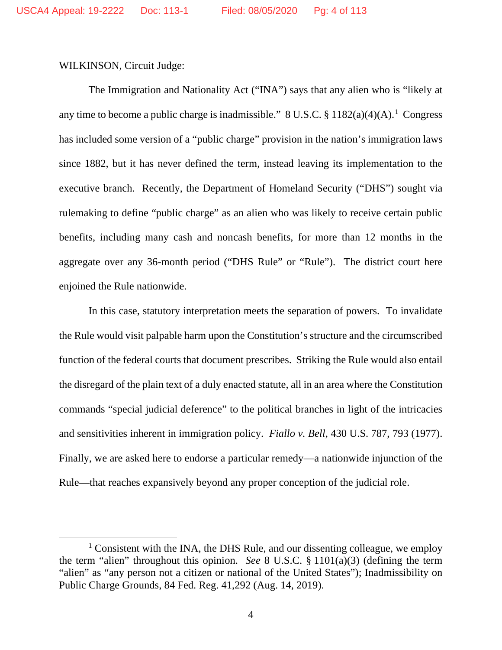WILKINSON, Circuit Judge:

The Immigration and Nationality Act ("INA") says that any alien who is "likely at any time to become a public charge is inadmissible."  $8 \text{ U.S.C.} \$   $1182(a)(4)(A)$  $1182(a)(4)(A)$ .<sup>1</sup> Congress has included some version of a "public charge" provision in the nation's immigration laws since 1882, but it has never defined the term, instead leaving its implementation to the executive branch. Recently, the Department of Homeland Security ("DHS") sought via rulemaking to define "public charge" as an alien who was likely to receive certain public benefits, including many cash and noncash benefits, for more than 12 months in the aggregate over any 36-month period ("DHS Rule" or "Rule"). The district court here enjoined the Rule nationwide.

In this case, statutory interpretation meets the separation of powers. To invalidate the Rule would visit palpable harm upon the Constitution's structure and the circumscribed function of the federal courts that document prescribes. Striking the Rule would also entail the disregard of the plain text of a duly enacted statute, all in an area where the Constitution commands "special judicial deference" to the political branches in light of the intricacies and sensitivities inherent in immigration policy. *Fiallo v. Bell*, 430 U.S. 787, 793 (1977). Finally, we are asked here to endorse a particular remedy—a nationwide injunction of the Rule—that reaches expansively beyond any proper conception of the judicial role.

<span id="page-3-0"></span> $1$  Consistent with the INA, the DHS Rule, and our dissenting colleague, we employ the term "alien" throughout this opinion. *See* 8 U.S.C. § 1101(a)(3) (defining the term "alien" as "any person not a citizen or national of the United States"); Inadmissibility on Public Charge Grounds, 84 Fed. Reg. 41,292 (Aug. 14, 2019).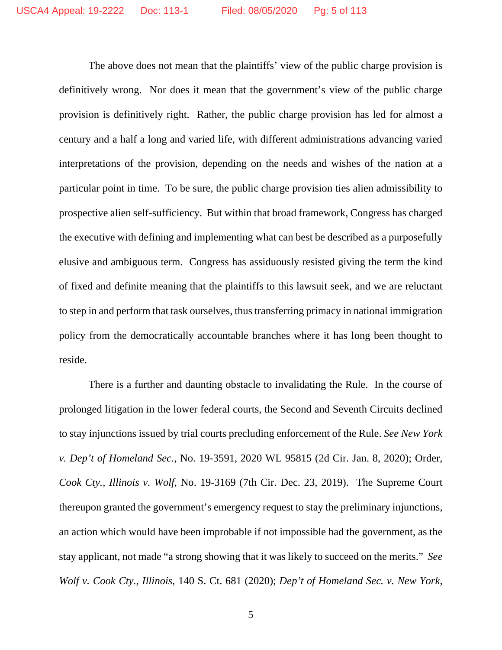The above does not mean that the plaintiffs' view of the public charge provision is definitively wrong. Nor does it mean that the government's view of the public charge provision is definitively right. Rather, the public charge provision has led for almost a century and a half a long and varied life, with different administrations advancing varied interpretations of the provision, depending on the needs and wishes of the nation at a particular point in time. To be sure, the public charge provision ties alien admissibility to prospective alien self-sufficiency. But within that broad framework, Congress has charged the executive with defining and implementing what can best be described as a purposefully elusive and ambiguous term. Congress has assiduously resisted giving the term the kind of fixed and definite meaning that the plaintiffs to this lawsuit seek, and we are reluctant to step in and perform that task ourselves, thus transferring primacy in national immigration policy from the democratically accountable branches where it has long been thought to reside.

There is a further and daunting obstacle to invalidating the Rule. In the course of prolonged litigation in the lower federal courts, the Second and Seventh Circuits declined to stay injunctions issued by trial courts precluding enforcement of the Rule. *See New York v. Dep't of Homeland Sec.*, No. 19-3591, 2020 WL 95815 (2d Cir. Jan. 8, 2020); Order, *Cook Cty., Illinois v. Wolf*, No. 19-3169 (7th Cir. Dec. 23, 2019). The Supreme Court thereupon granted the government's emergency request to stay the preliminary injunctions, an action which would have been improbable if not impossible had the government, as the stay applicant, not made "a strong showing that it was likely to succeed on the merits." *See Wolf v. Cook Cty., Illinois*, 140 S. Ct. 681 (2020); *Dep't of Homeland Sec. v. New York*,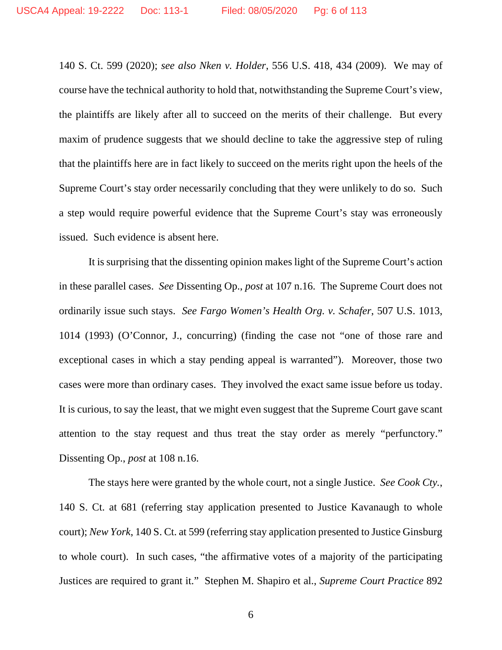140 S. Ct. 599 (2020); *see also Nken v. Holder*, 556 U.S. 418, 434 (2009). We may of course have the technical authority to hold that, notwithstanding the Supreme Court's view, the plaintiffs are likely after all to succeed on the merits of their challenge. But every maxim of prudence suggests that we should decline to take the aggressive step of ruling that the plaintiffs here are in fact likely to succeed on the merits right upon the heels of the Supreme Court's stay order necessarily concluding that they were unlikely to do so. Such a step would require powerful evidence that the Supreme Court's stay was erroneously issued. Such evidence is absent here.

It is surprising that the dissenting opinion makes light of the Supreme Court's action in these parallel cases. *See* Dissenting Op., *post* at 107 n.16. The Supreme Court does not ordinarily issue such stays. *See Fargo Women's Health Org. v. Schafer*, 507 U.S. 1013, 1014 (1993) (O'Connor, J., concurring) (finding the case not "one of those rare and exceptional cases in which a stay pending appeal is warranted"). Moreover, those two cases were more than ordinary cases. They involved the exact same issue before us today. It is curious, to say the least, that we might even suggest that the Supreme Court gave scant attention to the stay request and thus treat the stay order as merely "perfunctory." Dissenting Op., *post* at 108 n.16.

The stays here were granted by the whole court, not a single Justice. *See Cook Cty.*, 140 S. Ct. at 681 (referring stay application presented to Justice Kavanaugh to whole court); *New York*, 140 S. Ct. at 599 (referring stay application presented to Justice Ginsburg to whole court). In such cases, "the affirmative votes of a majority of the participating Justices are required to grant it." Stephen M. Shapiro et al., *Supreme Court Practice* 892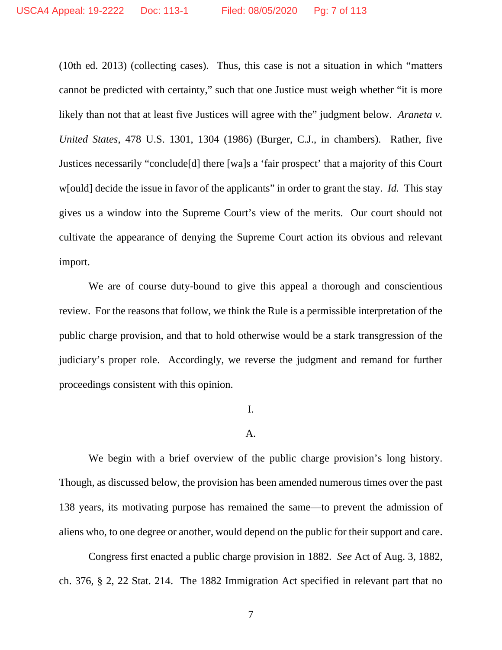(10th ed. 2013) (collecting cases). Thus, this case is not a situation in which "matters cannot be predicted with certainty," such that one Justice must weigh whether "it is more likely than not that at least five Justices will agree with the" judgment below. *Araneta v*. *United States*, 478 U.S. 1301, 1304 (1986) (Burger, C.J., in chambers). Rather, five Justices necessarily "conclude[d] there [wa]s a 'fair prospect' that a majority of this Court w[ould] decide the issue in favor of the applicants" in order to grant the stay. *Id.* This stay gives us a window into the Supreme Court's view of the merits. Our court should not cultivate the appearance of denying the Supreme Court action its obvious and relevant import.

We are of course duty-bound to give this appeal a thorough and conscientious review. For the reasons that follow, we think the Rule is a permissible interpretation of the public charge provision, and that to hold otherwise would be a stark transgression of the judiciary's proper role. Accordingly, we reverse the judgment and remand for further proceedings consistent with this opinion.

### I.

### A.

We begin with a brief overview of the public charge provision's long history. Though, as discussed below, the provision has been amended numerous times over the past 138 years, its motivating purpose has remained the same—to prevent the admission of aliens who, to one degree or another, would depend on the public for their support and care.

Congress first enacted a public charge provision in 1882. *See* Act of Aug. 3, 1882, ch. 376, § 2, 22 Stat. 214. The 1882 Immigration Act specified in relevant part that no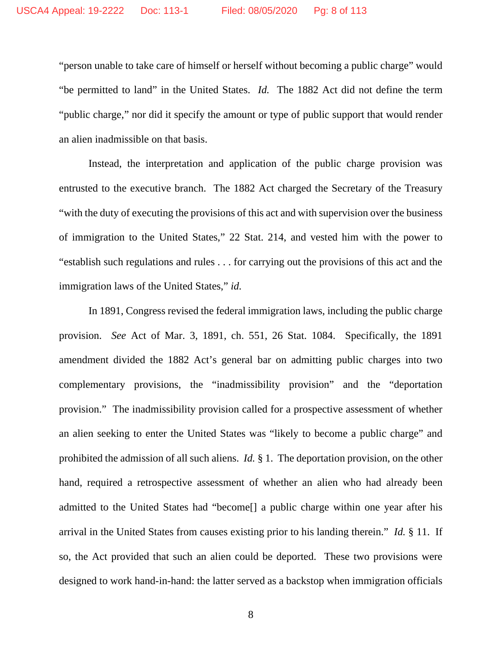"person unable to take care of himself or herself without becoming a public charge" would "be permitted to land" in the United States. *Id.* The 1882 Act did not define the term "public charge," nor did it specify the amount or type of public support that would render an alien inadmissible on that basis.

Instead, the interpretation and application of the public charge provision was entrusted to the executive branch. The 1882 Act charged the Secretary of the Treasury "with the duty of executing the provisions of this act and with supervision over the business of immigration to the United States," 22 Stat. 214, and vested him with the power to "establish such regulations and rules . . . for carrying out the provisions of this act and the immigration laws of the United States," *id.*

In 1891, Congress revised the federal immigration laws, including the public charge provision. *See* Act of Mar. 3, 1891, ch. 551, 26 Stat. 1084. Specifically, the 1891 amendment divided the 1882 Act's general bar on admitting public charges into two complementary provisions, the "inadmissibility provision" and the "deportation provision." The inadmissibility provision called for a prospective assessment of whether an alien seeking to enter the United States was "likely to become a public charge" and prohibited the admission of all such aliens. *Id.* § 1. The deportation provision, on the other hand, required a retrospective assessment of whether an alien who had already been admitted to the United States had "become[] a public charge within one year after his arrival in the United States from causes existing prior to his landing therein." *Id.* § 11. If so, the Act provided that such an alien could be deported. These two provisions were designed to work hand-in-hand: the latter served as a backstop when immigration officials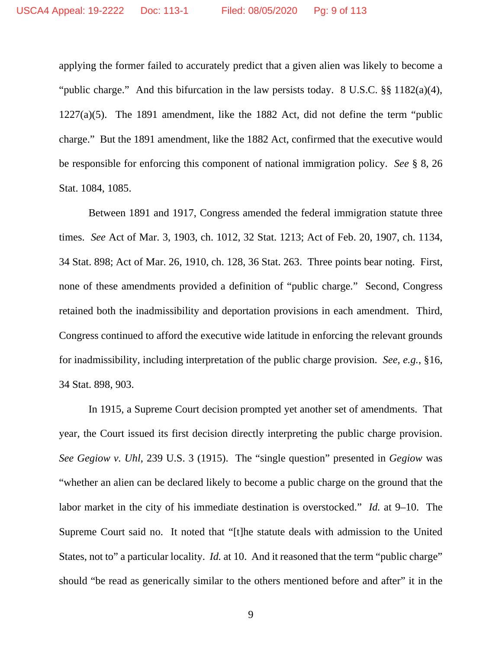applying the former failed to accurately predict that a given alien was likely to become a "public charge." And this bifurcation in the law persists today. 8 U.S.C. §§ 1182(a)(4), 1227(a)(5). The 1891 amendment, like the 1882 Act, did not define the term "public charge." But the 1891 amendment, like the 1882 Act, confirmed that the executive would be responsible for enforcing this component of national immigration policy. *See* § 8, 26 Stat. 1084, 1085.

Between 1891 and 1917, Congress amended the federal immigration statute three times. *See* Act of Mar. 3, 1903, ch. 1012, 32 Stat. 1213; Act of Feb. 20, 1907, ch. 1134, 34 Stat. 898; Act of Mar. 26, 1910, ch. 128, 36 Stat. 263. Three points bear noting. First, none of these amendments provided a definition of "public charge." Second, Congress retained both the inadmissibility and deportation provisions in each amendment. Third, Congress continued to afford the executive wide latitude in enforcing the relevant grounds for inadmissibility, including interpretation of the public charge provision. *See, e.g.*, §16, 34 Stat. 898, 903.

In 1915, a Supreme Court decision prompted yet another set of amendments. That year, the Court issued its first decision directly interpreting the public charge provision. *See Gegiow v. Uhl*, 239 U.S. 3 (1915). The "single question" presented in *Gegiow* was "whether an alien can be declared likely to become a public charge on the ground that the labor market in the city of his immediate destination is overstocked." *Id.* at 9–10. The Supreme Court said no. It noted that "[t]he statute deals with admission to the United States, not to" a particular locality. *Id.* at 10. And it reasoned that the term "public charge" should "be read as generically similar to the others mentioned before and after" it in the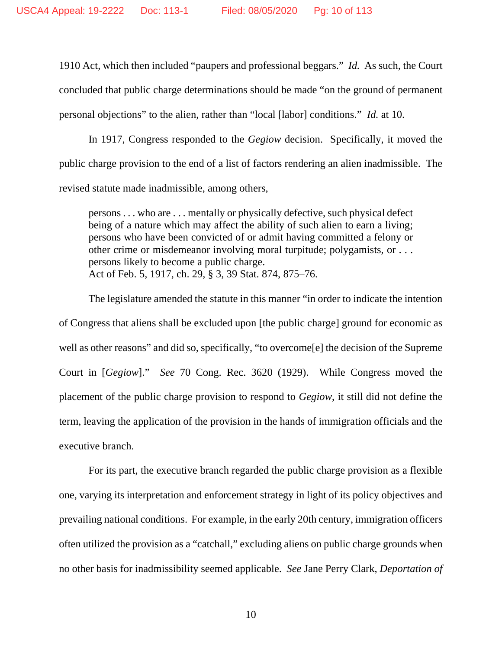1910 Act, which then included "paupers and professional beggars." *Id.* As such, the Court concluded that public charge determinations should be made "on the ground of permanent personal objections" to the alien, rather than "local [labor] conditions." *Id.* at 10.

In 1917, Congress responded to the *Gegiow* decision. Specifically, it moved the public charge provision to the end of a list of factors rendering an alien inadmissible. The revised statute made inadmissible, among others,

persons . . . who are . . . mentally or physically defective, such physical defect being of a nature which may affect the ability of such alien to earn a living; persons who have been convicted of or admit having committed a felony or other crime or misdemeanor involving moral turpitude; polygamists, or . . . persons likely to become a public charge. Act of Feb. 5, 1917, ch. 29, § 3, 39 Stat. 874, 875–76.

The legislature amended the statute in this manner "in order to indicate the intention of Congress that aliens shall be excluded upon [the public charge] ground for economic as well as other reasons" and did so, specifically, "to overcome[e] the decision of the Supreme Court in [*Gegiow*]." *See* 70 Cong. Rec. 3620 (1929). While Congress moved the placement of the public charge provision to respond to *Gegiow*, it still did not define the term, leaving the application of the provision in the hands of immigration officials and the executive branch.

For its part, the executive branch regarded the public charge provision as a flexible one, varying its interpretation and enforcement strategy in light of its policy objectives and prevailing national conditions. For example, in the early 20th century, immigration officers often utilized the provision as a "catchall," excluding aliens on public charge grounds when no other basis for inadmissibility seemed applicable. *See* Jane Perry Clark, *Deportation of*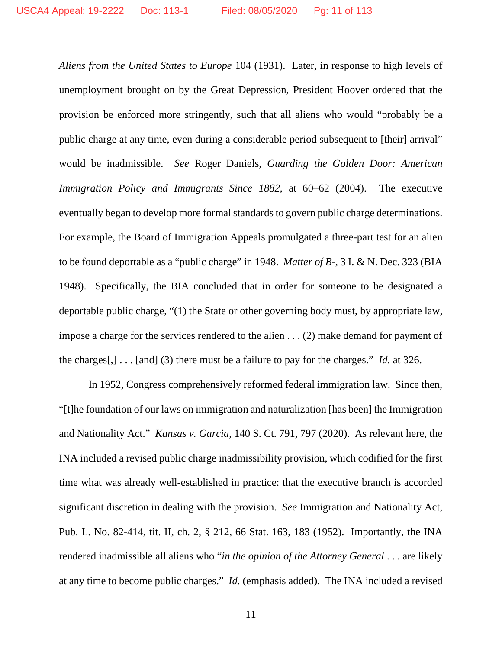*Aliens from the United States to Europe* 104 (1931). Later, in response to high levels of unemployment brought on by the Great Depression, President Hoover ordered that the provision be enforced more stringently, such that all aliens who would "probably be a public charge at any time, even during a considerable period subsequent to [their] arrival" would be inadmissible. *See* Roger Daniels, *Guarding the Golden Door: American Immigration Policy and Immigrants Since 1882*, at 60–62 (2004). The executive eventually began to develop more formal standards to govern public charge determinations. For example, the Board of Immigration Appeals promulgated a three-part test for an alien to be found deportable as a "public charge" in 1948. *Matter of B-*, 3 I. & N. Dec. 323 (BIA 1948). Specifically, the BIA concluded that in order for someone to be designated a deportable public charge, "(1) the State or other governing body must, by appropriate law, impose a charge for the services rendered to the alien . . . (2) make demand for payment of the charges[,] . . . [and] (3) there must be a failure to pay for the charges." *Id.* at 326.

In 1952, Congress comprehensively reformed federal immigration law. Since then, "[t]he foundation of our laws on immigration and naturalization [has been] the Immigration and Nationality Act." *Kansas v. Garcia*, 140 S. Ct. 791, 797 (2020). As relevant here, the INA included a revised public charge inadmissibility provision, which codified for the first time what was already well-established in practice: that the executive branch is accorded significant discretion in dealing with the provision. *See* Immigration and Nationality Act, Pub. L. No. 82-414, tit. II, ch. 2, § 212, 66 Stat. 163, 183 (1952). Importantly, the INA rendered inadmissible all aliens who "*in the opinion of the Attorney General* . . . are likely at any time to become public charges." *Id.* (emphasis added). The INA included a revised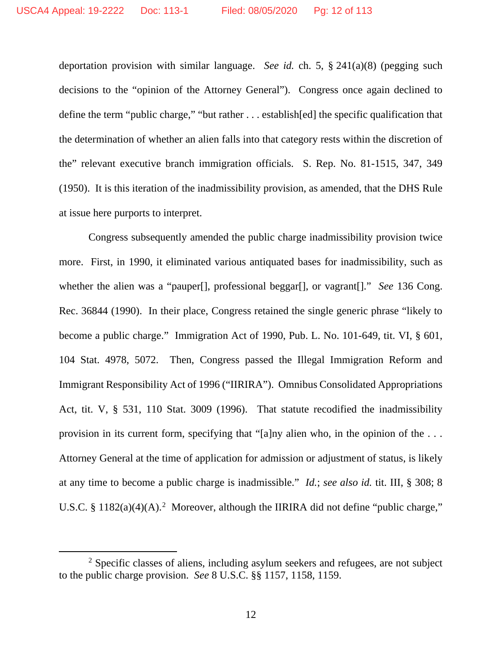deportation provision with similar language. *See id.* ch. 5, § 241(a)(8) (pegging such decisions to the "opinion of the Attorney General"). Congress once again declined to define the term "public charge," "but rather . . . establish[ed] the specific qualification that the determination of whether an alien falls into that category rests within the discretion of the" relevant executive branch immigration officials. S. Rep. No. 81-1515, 347, 349 (1950). It is this iteration of the inadmissibility provision, as amended, that the DHS Rule at issue here purports to interpret.

Congress subsequently amended the public charge inadmissibility provision twice more. First, in 1990, it eliminated various antiquated bases for inadmissibility, such as whether the alien was a "pauper<sup>[]</sup>, professional beggar<sup>[]</sup>, or vagrant<sup>[]</sup>." *See* 136 Cong. Rec. 36844 (1990). In their place, Congress retained the single generic phrase "likely to become a public charge." Immigration Act of 1990, Pub. L. No. 101-649, tit. VI, § 601, 104 Stat. 4978, 5072. Then, Congress passed the Illegal Immigration Reform and Immigrant Responsibility Act of 1996 ("IIRIRA"). Omnibus Consolidated Appropriations Act, tit. V, § 531, 110 Stat. 3009 (1996). That statute recodified the inadmissibility provision in its current form, specifying that "[a]ny alien who, in the opinion of the . . . Attorney General at the time of application for admission or adjustment of status, is likely at any time to become a public charge is inadmissible." *Id.*; *see also id.* tit. III, § 308; 8 U.S.C. § 118[2](#page-11-0)(a)(4)(A).<sup>2</sup> Moreover, although the IIRIRA did not define "public charge,"

<span id="page-11-0"></span><sup>&</sup>lt;sup>2</sup> Specific classes of aliens, including asylum seekers and refugees, are not subject to the public charge provision. *See* 8 U.S.C. §§ 1157, 1158, 1159.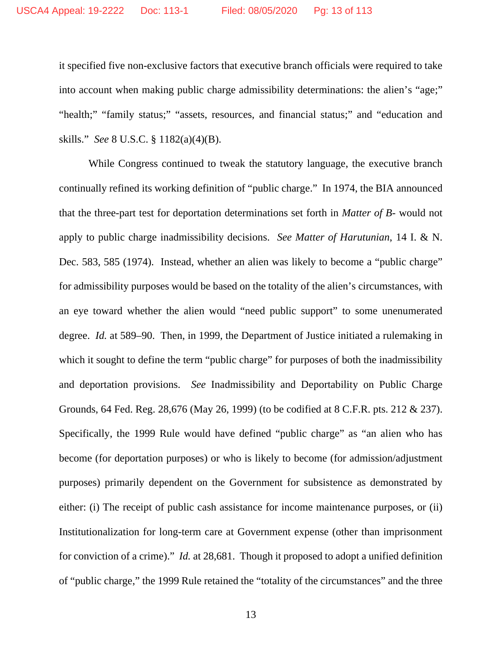it specified five non-exclusive factors that executive branch officials were required to take into account when making public charge admissibility determinations: the alien's "age;" "health;" "family status;" "assets, resources, and financial status;" and "education and skills." *See* 8 U.S.C. § 1182(a)(4)(B).

While Congress continued to tweak the statutory language, the executive branch continually refined its working definition of "public charge." In 1974, the BIA announced that the three-part test for deportation determinations set forth in *Matter of B*- would not apply to public charge inadmissibility decisions. *See Matter of Harutunian*, 14 I. & N. Dec. 583, 585 (1974). Instead, whether an alien was likely to become a "public charge" for admissibility purposes would be based on the totality of the alien's circumstances, with an eye toward whether the alien would "need public support" to some unenumerated degree. *Id.* at 589–90. Then, in 1999, the Department of Justice initiated a rulemaking in which it sought to define the term "public charge" for purposes of both the inadmissibility and deportation provisions. *See* Inadmissibility and Deportability on Public Charge Grounds, 64 Fed. Reg. 28,676 (May 26, 1999) (to be codified at 8 C.F.R. pts. 212 & 237). Specifically, the 1999 Rule would have defined "public charge" as "an alien who has become (for deportation purposes) or who is likely to become (for admission/adjustment purposes) primarily dependent on the Government for subsistence as demonstrated by either: (i) The receipt of public cash assistance for income maintenance purposes, or (ii) Institutionalization for long-term care at Government expense (other than imprisonment for conviction of a crime)." *Id.* at 28,681. Though it proposed to adopt a unified definition of "public charge," the 1999 Rule retained the "totality of the circumstances" and the three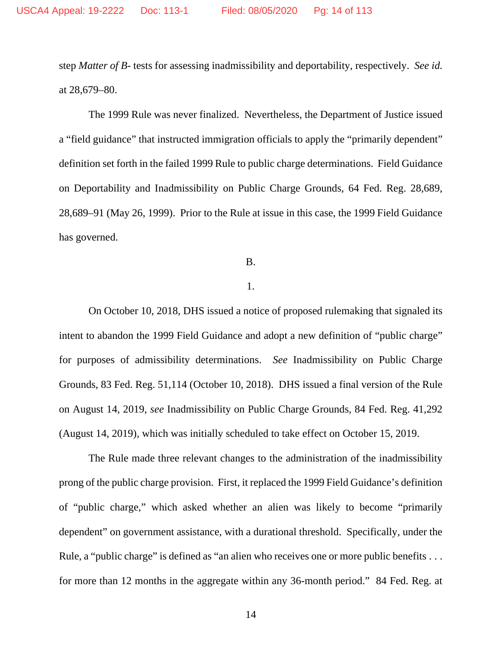step *Matter of B-* tests for assessing inadmissibility and deportability, respectively. *See id.* at 28,679–80.

The 1999 Rule was never finalized. Nevertheless, the Department of Justice issued a "field guidance" that instructed immigration officials to apply the "primarily dependent" definition set forth in the failed 1999 Rule to public charge determinations. Field Guidance on Deportability and Inadmissibility on Public Charge Grounds, 64 Fed. Reg. 28,689, 28,689–91 (May 26, 1999). Prior to the Rule at issue in this case, the 1999 Field Guidance has governed.

B.

### 1.

On October 10, 2018, DHS issued a notice of proposed rulemaking that signaled its intent to abandon the 1999 Field Guidance and adopt a new definition of "public charge" for purposes of admissibility determinations. *See* Inadmissibility on Public Charge Grounds, 83 Fed. Reg. 51,114 (October 10, 2018). DHS issued a final version of the Rule on August 14, 2019, *see* Inadmissibility on Public Charge Grounds, 84 Fed. Reg. 41,292 (August 14, 2019), which was initially scheduled to take effect on October 15, 2019.

The Rule made three relevant changes to the administration of the inadmissibility prong of the public charge provision. First, it replaced the 1999 Field Guidance's definition of "public charge," which asked whether an alien was likely to become "primarily dependent" on government assistance, with a durational threshold. Specifically, under the Rule, a "public charge" is defined as "an alien who receives one or more public benefits . . . for more than 12 months in the aggregate within any 36-month period." 84 Fed. Reg. at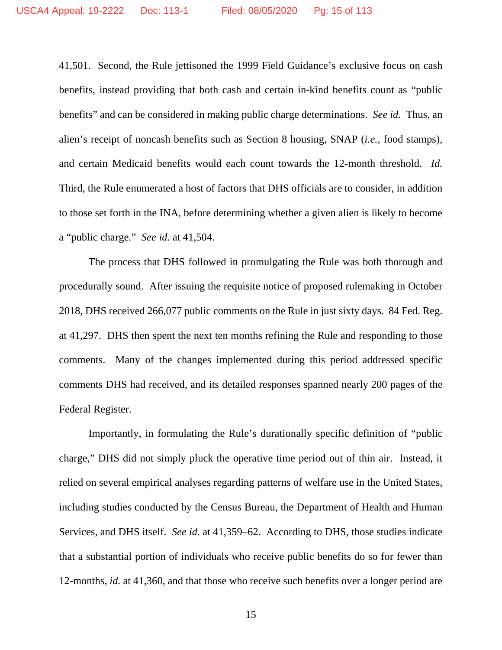41,501. Second, the Rule jettisoned the 1999 Field Guidance's exclusive focus on cash benefits, instead providing that both cash and certain in-kind benefits count as "public benefits" and can be considered in making public charge determinations. *See id.* Thus, an alien's receipt of noncash benefits such as Section 8 housing, SNAP (*i.e.*, food stamps), and certain Medicaid benefits would each count towards the 12-month threshold. *Id.*  Third, the Rule enumerated a host of factors that DHS officials are to consider, in addition to those set forth in the INA, before determining whether a given alien is likely to become a "public charge." *See id.* at 41,504.

The process that DHS followed in promulgating the Rule was both thorough and procedurally sound. After issuing the requisite notice of proposed rulemaking in October 2018, DHS received 266,077 public comments on the Rule in just sixty days. 84 Fed. Reg. at 41,297. DHS then spent the next ten months refining the Rule and responding to those comments. Many of the changes implemented during this period addressed specific comments DHS had received, and its detailed responses spanned nearly 200 pages of the Federal Register.

Importantly, in formulating the Rule's durationally specific definition of "public charge," DHS did not simply pluck the operative time period out of thin air. Instead, it relied on several empirical analyses regarding patterns of welfare use in the United States, including studies conducted by the Census Bureau, the Department of Health and Human Services, and DHS itself. *See id.* at 41,359–62. According to DHS, those studies indicate that a substantial portion of individuals who receive public benefits do so for fewer than 12-months, *id.* at 41,360, and that those who receive such benefits over a longer period are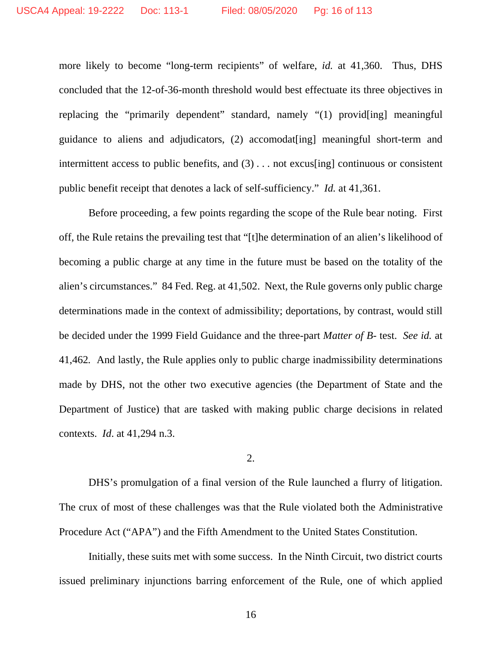more likely to become "long-term recipients" of welfare, *id.* at 41,360. Thus, DHS concluded that the 12-of-36-month threshold would best effectuate its three objectives in replacing the "primarily dependent" standard, namely "(1) provid[ing] meaningful guidance to aliens and adjudicators, (2) accomodat[ing] meaningful short-term and intermittent access to public benefits, and (3) . . . not excus[ing] continuous or consistent public benefit receipt that denotes a lack of self-sufficiency." *Id.* at 41,361.

Before proceeding, a few points regarding the scope of the Rule bear noting. First off, the Rule retains the prevailing test that "[t]he determination of an alien's likelihood of becoming a public charge at any time in the future must be based on the totality of the alien's circumstances." 84 Fed. Reg. at 41,502. Next, the Rule governs only public charge determinations made in the context of admissibility; deportations, by contrast, would still be decided under the 1999 Field Guidance and the three-part *Matter of B-* test. *See id.* at 41,462*.* And lastly, the Rule applies only to public charge inadmissibility determinations made by DHS, not the other two executive agencies (the Department of State and the Department of Justice) that are tasked with making public charge decisions in related contexts. *Id*. at 41,294 n.3.

2.

DHS's promulgation of a final version of the Rule launched a flurry of litigation. The crux of most of these challenges was that the Rule violated both the Administrative Procedure Act ("APA") and the Fifth Amendment to the United States Constitution.

Initially, these suits met with some success. In the Ninth Circuit, two district courts issued preliminary injunctions barring enforcement of the Rule, one of which applied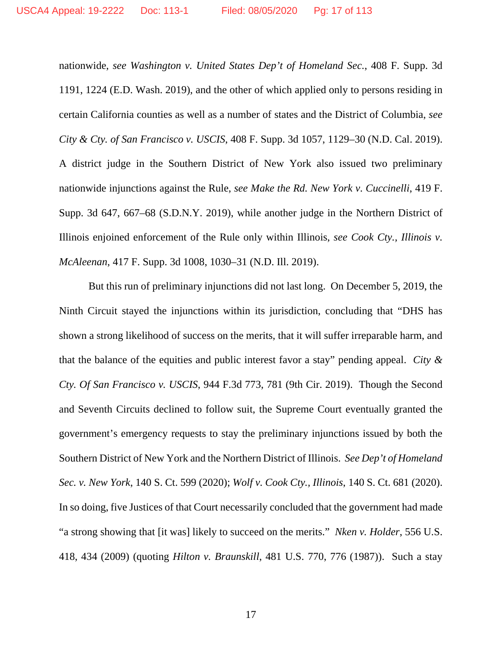nationwide, *see Washington v. United States Dep't of Homeland Sec.*, 408 F. Supp. 3d 1191, 1224 (E.D. Wash. 2019), and the other of which applied only to persons residing in certain California counties as well as a number of states and the District of Columbia, *see City & Cty. of San Francisco v. USCIS*, 408 F. Supp. 3d 1057, 1129–30 (N.D. Cal. 2019). A district judge in the Southern District of New York also issued two preliminary nationwide injunctions against the Rule, *see Make the Rd. New York v. Cuccinelli*, 419 F. Supp. 3d 647, 667–68 (S.D.N.Y. 2019), while another judge in the Northern District of Illinois enjoined enforcement of the Rule only within Illinois, *see Cook Cty., Illinois v. McAleenan*, 417 F. Supp. 3d 1008, 1030–31 (N.D. Ill. 2019).

But this run of preliminary injunctions did not last long. On December 5, 2019, the Ninth Circuit stayed the injunctions within its jurisdiction, concluding that "DHS has shown a strong likelihood of success on the merits, that it will suffer irreparable harm, and that the balance of the equities and public interest favor a stay" pending appeal. *City & Cty. Of San Francisco v. USCIS*, 944 F.3d 773, 781 (9th Cir. 2019). Though the Second and Seventh Circuits declined to follow suit, the Supreme Court eventually granted the government's emergency requests to stay the preliminary injunctions issued by both the Southern District of New York and the Northern District of Illinois. *See Dep't of Homeland Sec. v. New York*, 140 S. Ct. 599 (2020); *Wolf v. Cook Cty., Illinois*, 140 S. Ct. 681 (2020). In so doing, five Justices of that Court necessarily concluded that the government had made "a strong showing that [it was] likely to succeed on the merits." *Nken v. Holder*, 556 U.S. 418, 434 (2009) (quoting *Hilton v. Braunskill*, 481 U.S. 770, 776 (1987)). Such a stay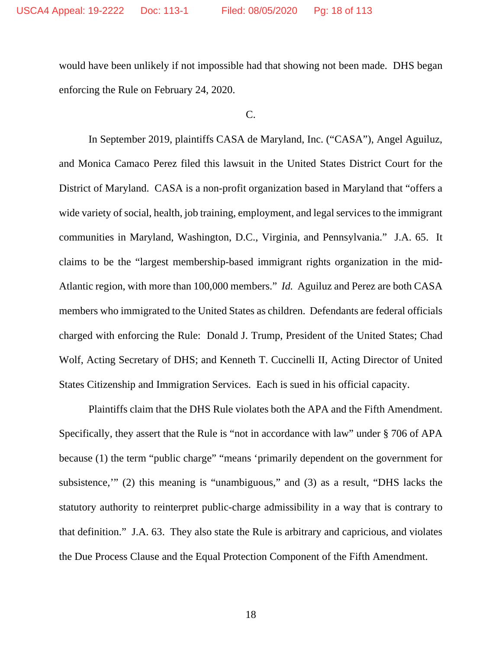would have been unlikely if not impossible had that showing not been made. DHS began enforcing the Rule on February 24, 2020.

C.

In September 2019, plaintiffs CASA de Maryland, Inc. ("CASA"), Angel Aguiluz, and Monica Camaco Perez filed this lawsuit in the United States District Court for the District of Maryland. CASA is a non-profit organization based in Maryland that "offers a wide variety of social, health, job training, employment, and legal services to the immigrant communities in Maryland, Washington, D.C., Virginia, and Pennsylvania." J.A. 65. It claims to be the "largest membership-based immigrant rights organization in the mid-Atlantic region, with more than 100,000 members." *Id.* Aguiluz and Perez are both CASA members who immigrated to the United States as children. Defendants are federal officials charged with enforcing the Rule: Donald J. Trump, President of the United States; Chad Wolf, Acting Secretary of DHS; and Kenneth T. Cuccinelli II, Acting Director of United States Citizenship and Immigration Services. Each is sued in his official capacity.

Plaintiffs claim that the DHS Rule violates both the APA and the Fifth Amendment. Specifically, they assert that the Rule is "not in accordance with law" under § 706 of APA because (1) the term "public charge" "means 'primarily dependent on the government for subsistence,'" (2) this meaning is "unambiguous," and (3) as a result, "DHS lacks the statutory authority to reinterpret public-charge admissibility in a way that is contrary to that definition." J.A. 63. They also state the Rule is arbitrary and capricious, and violates the Due Process Clause and the Equal Protection Component of the Fifth Amendment.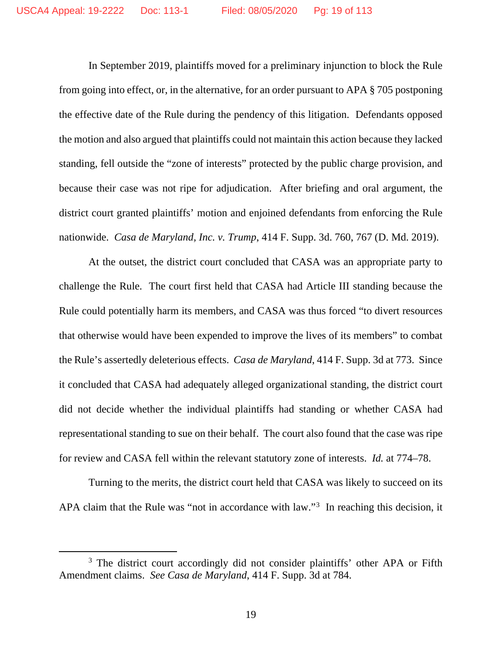In September 2019, plaintiffs moved for a preliminary injunction to block the Rule from going into effect, or, in the alternative, for an order pursuant to APA § 705 postponing the effective date of the Rule during the pendency of this litigation. Defendants opposed the motion and also argued that plaintiffs could not maintain this action because they lacked standing, fell outside the "zone of interests" protected by the public charge provision, and because their case was not ripe for adjudication. After briefing and oral argument, the district court granted plaintiffs' motion and enjoined defendants from enforcing the Rule nationwide. *Casa de Maryland, Inc. v. Trump*, 414 F. Supp. 3d. 760, 767 (D. Md. 2019).

At the outset, the district court concluded that CASA was an appropriate party to challenge the Rule. The court first held that CASA had Article III standing because the Rule could potentially harm its members, and CASA was thus forced "to divert resources that otherwise would have been expended to improve the lives of its members" to combat the Rule's assertedly deleterious effects. *Casa de Maryland*, 414 F. Supp. 3d at 773. Since it concluded that CASA had adequately alleged organizational standing, the district court did not decide whether the individual plaintiffs had standing or whether CASA had representational standing to sue on their behalf. The court also found that the case was ripe for review and CASA fell within the relevant statutory zone of interests. *Id.* at 774–78.

Turning to the merits, the district court held that CASA was likely to succeed on its APA claim that the Rule was "not in accordance with law."<sup>[3](#page-18-0)</sup> In reaching this decision, it

<span id="page-18-0"></span><sup>&</sup>lt;sup>3</sup> The district court accordingly did not consider plaintiffs' other APA or Fifth Amendment claims. *See Casa de Maryland*, 414 F. Supp. 3d at 784.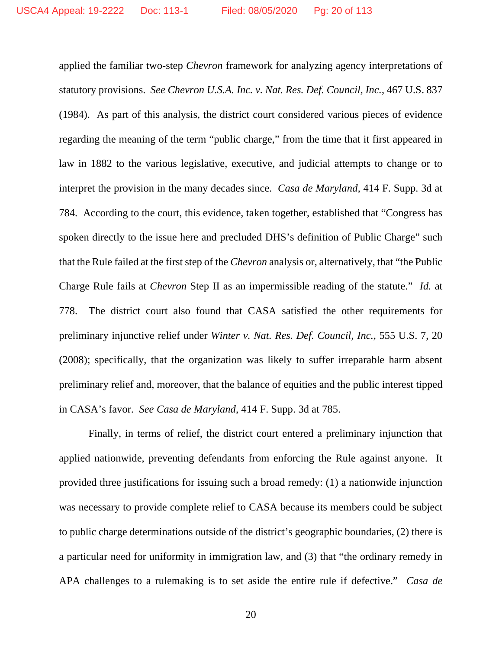applied the familiar two-step *Chevron* framework for analyzing agency interpretations of statutory provisions. *See Chevron U.S.A. Inc. v. Nat. Res. Def. Council, Inc.*, 467 U.S. 837 (1984). As part of this analysis, the district court considered various pieces of evidence regarding the meaning of the term "public charge," from the time that it first appeared in law in 1882 to the various legislative, executive, and judicial attempts to change or to interpret the provision in the many decades since. *Casa de Maryland*, 414 F. Supp. 3d at 784. According to the court, this evidence, taken together, established that "Congress has spoken directly to the issue here and precluded DHS's definition of Public Charge" such that the Rule failed at the first step of the *Chevron* analysis or, alternatively, that "the Public Charge Rule fails at *Chevron* Step II as an impermissible reading of the statute." *Id.* at 778. The district court also found that CASA satisfied the other requirements for preliminary injunctive relief under *Winter v. Nat. Res. Def. Council, Inc.*, 555 U.S. 7, 20 (2008); specifically, that the organization was likely to suffer irreparable harm absent preliminary relief and, moreover, that the balance of equities and the public interest tipped in CASA's favor. *See Casa de Maryland*, 414 F. Supp. 3d at 785.

Finally, in terms of relief, the district court entered a preliminary injunction that applied nationwide, preventing defendants from enforcing the Rule against anyone. It provided three justifications for issuing such a broad remedy: (1) a nationwide injunction was necessary to provide complete relief to CASA because its members could be subject to public charge determinations outside of the district's geographic boundaries, (2) there is a particular need for uniformity in immigration law, and (3) that "the ordinary remedy in APA challenges to a rulemaking is to set aside the entire rule if defective." *Casa de*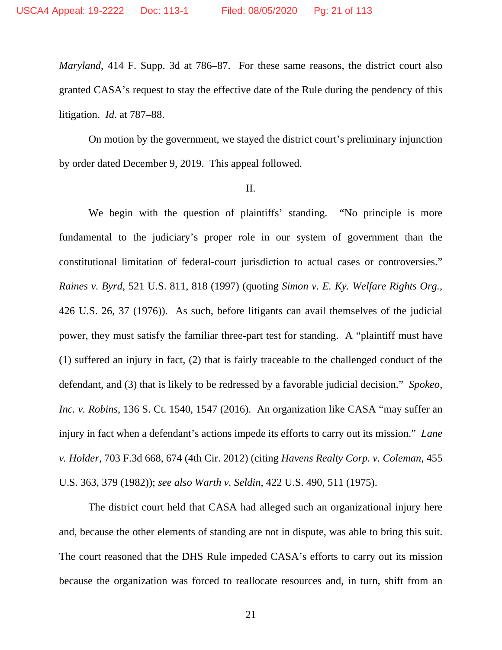*Maryland*, 414 F. Supp. 3d at 786–87. For these same reasons, the district court also granted CASA's request to stay the effective date of the Rule during the pendency of this litigation. *Id.* at 787–88.

On motion by the government, we stayed the district court's preliminary injunction by order dated December 9, 2019. This appeal followed.

#### II.

We begin with the question of plaintiffs' standing. "No principle is more fundamental to the judiciary's proper role in our system of government than the constitutional limitation of federal-court jurisdiction to actual cases or controversies." *Raines v. Byrd*, 521 U.S. 811, 818 (1997) (quoting *Simon v. E. Ky. Welfare Rights Org.*, 426 U.S. 26, 37 (1976)). As such, before litigants can avail themselves of the judicial power, they must satisfy the familiar three-part test for standing. A "plaintiff must have (1) suffered an injury in fact, (2) that is fairly traceable to the challenged conduct of the defendant, and (3) that is likely to be redressed by a favorable judicial decision." *Spokeo, Inc. v. Robins*, 136 S. Ct. 1540, 1547 (2016). An organization like CASA "may suffer an injury in fact when a defendant's actions impede its efforts to carry out its mission." *Lane v. Holder*, 703 F.3d 668, 674 (4th Cir. 2012) (citing *Havens Realty Corp. v. Coleman*, 455 U.S. 363, 379 (1982)); *see also Warth v. Seldin*, 422 U.S. 490, 511 (1975).

The district court held that CASA had alleged such an organizational injury here and, because the other elements of standing are not in dispute, was able to bring this suit. The court reasoned that the DHS Rule impeded CASA's efforts to carry out its mission because the organization was forced to reallocate resources and, in turn, shift from an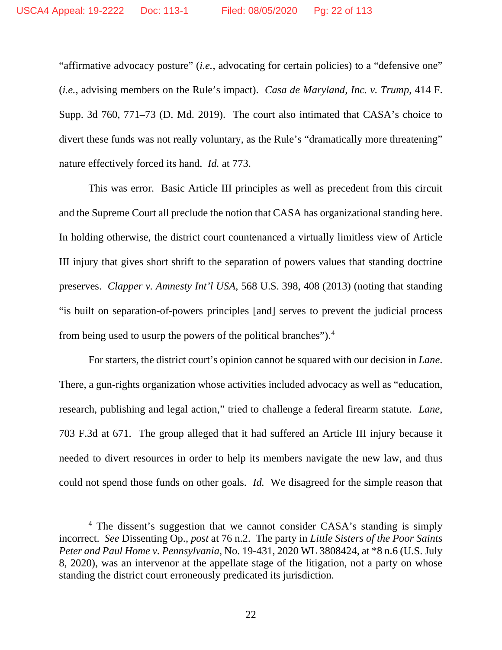"affirmative advocacy posture" (*i.e.*, advocating for certain policies) to a "defensive one" (*i.e.*, advising members on the Rule's impact). *Casa de Maryland, Inc. v. Trump*, 414 F. Supp. 3d 760, 771–73 (D. Md. 2019). The court also intimated that CASA's choice to divert these funds was not really voluntary, as the Rule's "dramatically more threatening" nature effectively forced its hand. *Id.* at 773.

This was error. Basic Article III principles as well as precedent from this circuit and the Supreme Court all preclude the notion that CASA has organizational standing here. In holding otherwise, the district court countenanced a virtually limitless view of Article III injury that gives short shrift to the separation of powers values that standing doctrine preserves. *Clapper v. Amnesty Int'l USA*, 568 U.S. 398, 408 (2013) (noting that standing "is built on separation-of-powers principles [and] serves to prevent the judicial process from being used to usurp the powers of the political branches").[4](#page-21-0)

For starters, the district court's opinion cannot be squared with our decision in *Lane*. There, a gun-rights organization whose activities included advocacy as well as "education, research, publishing and legal action," tried to challenge a federal firearm statute. *Lane*, 703 F.3d at 671. The group alleged that it had suffered an Article III injury because it needed to divert resources in order to help its members navigate the new law, and thus could not spend those funds on other goals. *Id.* We disagreed for the simple reason that

<span id="page-21-0"></span><sup>&</sup>lt;sup>4</sup> The dissent's suggestion that we cannot consider CASA's standing is simply incorrect. *See* Dissenting Op., *post* at 76 n.2. The party in *Little Sisters of the Poor Saints Peter and Paul Home v. Pennsylvania*, No. 19-431, 2020 WL 3808424, at \*8 n.6 (U.S. July 8, 2020), was an intervenor at the appellate stage of the litigation, not a party on whose standing the district court erroneously predicated its jurisdiction.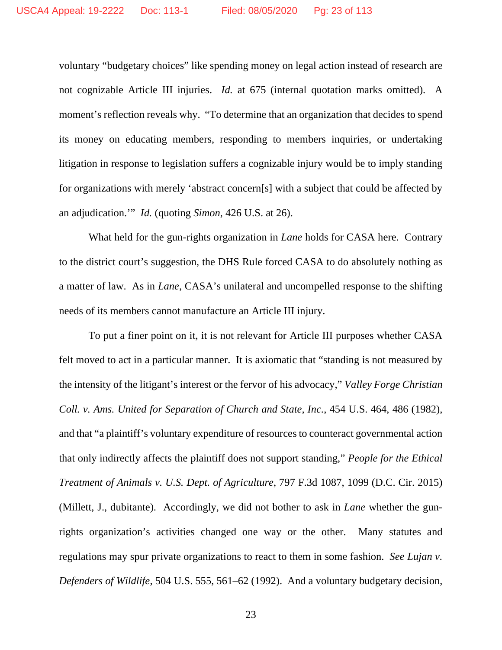voluntary "budgetary choices" like spending money on legal action instead of research are not cognizable Article III injuries. *Id.* at 675 (internal quotation marks omitted). A moment's reflection reveals why. "To determine that an organization that decides to spend its money on educating members, responding to members inquiries, or undertaking litigation in response to legislation suffers a cognizable injury would be to imply standing for organizations with merely 'abstract concern[s] with a subject that could be affected by an adjudication.'" *Id.* (quoting *Simon*, 426 U.S. at 26).

What held for the gun-rights organization in *Lane* holds for CASA here. Contrary to the district court's suggestion, the DHS Rule forced CASA to do absolutely nothing as a matter of law. As in *Lane*, CASA's unilateral and uncompelled response to the shifting needs of its members cannot manufacture an Article III injury.

To put a finer point on it, it is not relevant for Article III purposes whether CASA felt moved to act in a particular manner. It is axiomatic that "standing is not measured by the intensity of the litigant's interest or the fervor of his advocacy," *Valley Forge Christian Coll. v. Ams. United for Separation of Church and State, Inc.*, 454 U.S. 464, 486 (1982), and that "a plaintiff's voluntary expenditure of resources to counteract governmental action that only indirectly affects the plaintiff does not support standing," *People for the Ethical Treatment of Animals v. U.S. Dept. of Agriculture*, 797 F.3d 1087, 1099 (D.C. Cir. 2015) (Millett, J., dubitante). Accordingly, we did not bother to ask in *Lane* whether the gunrights organization's activities changed one way or the other. Many statutes and regulations may spur private organizations to react to them in some fashion. *See Lujan v. Defenders of Wildlife*, 504 U.S. 555, 561–62 (1992). And a voluntary budgetary decision,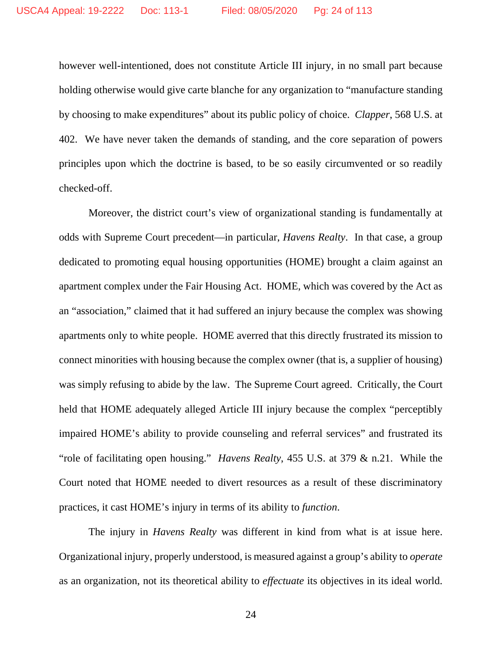however well-intentioned, does not constitute Article III injury, in no small part because holding otherwise would give carte blanche for any organization to "manufacture standing by choosing to make expenditures" about its public policy of choice. *Clapper*, 568 U.S. at 402. We have never taken the demands of standing, and the core separation of powers principles upon which the doctrine is based, to be so easily circumvented or so readily checked-off.

Moreover, the district court's view of organizational standing is fundamentally at odds with Supreme Court precedent—in particular, *Havens Realty*. In that case, a group dedicated to promoting equal housing opportunities (HOME) brought a claim against an apartment complex under the Fair Housing Act. HOME, which was covered by the Act as an "association," claimed that it had suffered an injury because the complex was showing apartments only to white people. HOME averred that this directly frustrated its mission to connect minorities with housing because the complex owner (that is, a supplier of housing) was simply refusing to abide by the law. The Supreme Court agreed. Critically, the Court held that HOME adequately alleged Article III injury because the complex "perceptibly impaired HOME's ability to provide counseling and referral services" and frustrated its "role of facilitating open housing." *Havens Realty*, 455 U.S. at 379 & n.21. While the Court noted that HOME needed to divert resources as a result of these discriminatory practices, it cast HOME's injury in terms of its ability to *function*.

The injury in *Havens Realty* was different in kind from what is at issue here. Organizational injury, properly understood, is measured against a group's ability to *operate* as an organization, not its theoretical ability to *effectuate* its objectives in its ideal world.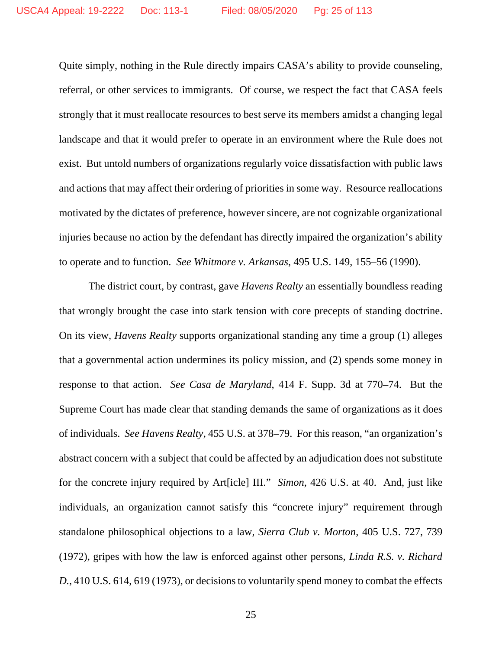Quite simply, nothing in the Rule directly impairs CASA's ability to provide counseling, referral, or other services to immigrants. Of course, we respect the fact that CASA feels strongly that it must reallocate resources to best serve its members amidst a changing legal landscape and that it would prefer to operate in an environment where the Rule does not exist. But untold numbers of organizations regularly voice dissatisfaction with public laws and actions that may affect their ordering of priorities in some way. Resource reallocations motivated by the dictates of preference, however sincere, are not cognizable organizational injuries because no action by the defendant has directly impaired the organization's ability to operate and to function. *See Whitmore v. Arkansas*, 495 U.S. 149, 155–56 (1990).

The district court, by contrast, gave *Havens Realty* an essentially boundless reading that wrongly brought the case into stark tension with core precepts of standing doctrine. On its view, *Havens Realty* supports organizational standing any time a group (1) alleges that a governmental action undermines its policy mission, and (2) spends some money in response to that action. *See Casa de Maryland*, 414 F. Supp. 3d at 770–74. But the Supreme Court has made clear that standing demands the same of organizations as it does of individuals. *See Havens Realty*, 455 U.S. at 378–79. For this reason, "an organization's abstract concern with a subject that could be affected by an adjudication does not substitute for the concrete injury required by Art[icle] III." *Simon*, 426 U.S. at 40. And, just like individuals, an organization cannot satisfy this "concrete injury" requirement through standalone philosophical objections to a law, *Sierra Club v. Morton*, 405 U.S. 727, 739 (1972), gripes with how the law is enforced against other persons, *Linda R.S. v. Richard D.*, 410 U.S. 614, 619 (1973), or decisions to voluntarily spend money to combat the effects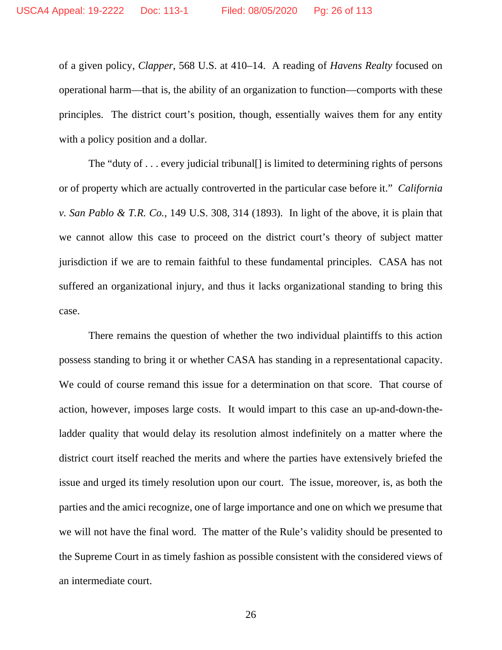of a given policy, *Clapper*, 568 U.S. at 410–14. A reading of *Havens Realty* focused on operational harm—that is, the ability of an organization to function—comports with these principles. The district court's position, though, essentially waives them for any entity with a policy position and a dollar.

The "duty of  $\dots$  every judicial tribunal. It is limited to determining rights of persons or of property which are actually controverted in the particular case before it." *California v. San Pablo & T.R. Co.*, 149 U.S. 308, 314 (1893). In light of the above, it is plain that we cannot allow this case to proceed on the district court's theory of subject matter jurisdiction if we are to remain faithful to these fundamental principles. CASA has not suffered an organizational injury, and thus it lacks organizational standing to bring this case.

There remains the question of whether the two individual plaintiffs to this action possess standing to bring it or whether CASA has standing in a representational capacity. We could of course remand this issue for a determination on that score. That course of action, however, imposes large costs. It would impart to this case an up-and-down-theladder quality that would delay its resolution almost indefinitely on a matter where the district court itself reached the merits and where the parties have extensively briefed the issue and urged its timely resolution upon our court. The issue, moreover, is, as both the parties and the amici recognize, one of large importance and one on which we presume that we will not have the final word. The matter of the Rule's validity should be presented to the Supreme Court in as timely fashion as possible consistent with the considered views of an intermediate court.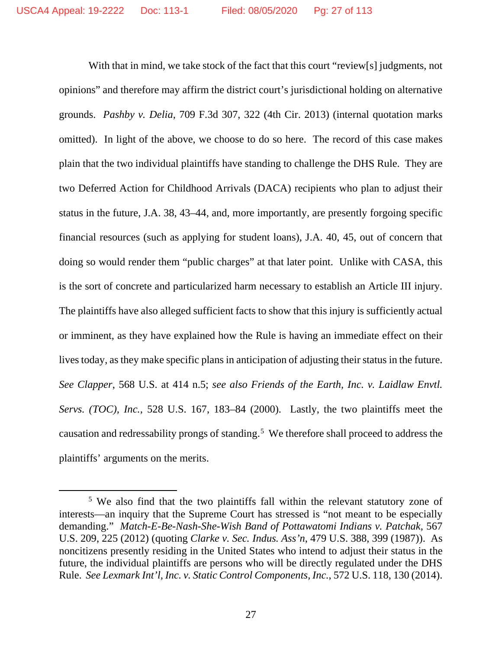With that in mind, we take stock of the fact that this court "review[s] judgments, not opinions" and therefore may affirm the district court's jurisdictional holding on alternative grounds. *Pashby v. Delia*, 709 F.3d 307, 322 (4th Cir. 2013) (internal quotation marks omitted). In light of the above, we choose to do so here. The record of this case makes plain that the two individual plaintiffs have standing to challenge the DHS Rule. They are two Deferred Action for Childhood Arrivals (DACA) recipients who plan to adjust their status in the future, J.A. 38, 43–44, and, more importantly, are presently forgoing specific financial resources (such as applying for student loans), J.A. 40, 45, out of concern that doing so would render them "public charges" at that later point. Unlike with CASA, this is the sort of concrete and particularized harm necessary to establish an Article III injury. The plaintiffs have also alleged sufficient facts to show that this injury is sufficiently actual or imminent, as they have explained how the Rule is having an immediate effect on their lives today, as they make specific plans in anticipation of adjusting their status in the future. *See Clapper*, 568 U.S. at 414 n.5; *see also Friends of the Earth, Inc. v. Laidlaw Envtl. Servs. (TOC), Inc.*, 528 U.S. 167, 183–84 (2000). Lastly, the two plaintiffs meet the causation and redressability prongs of standing.<sup>[5](#page-26-0)</sup> We therefore shall proceed to address the plaintiffs' arguments on the merits.

<span id="page-26-0"></span><sup>&</sup>lt;sup>5</sup> We also find that the two plaintiffs fall within the relevant statutory zone of interests—an inquiry that the Supreme Court has stressed is "not meant to be especially demanding." *Match-E-Be-Nash-She-Wish Band of Pottawatomi Indians v. Patchak*, 567 U.S. 209, 225 (2012) (quoting *Clarke v. Sec. Indus. Ass'n*, 479 U.S. 388, 399 (1987)). As noncitizens presently residing in the United States who intend to adjust their status in the future, the individual plaintiffs are persons who will be directly regulated under the DHS Rule. *See Lexmark Int'l, Inc. v. Static Control Components, Inc.*, 572 U.S. 118, 130 (2014).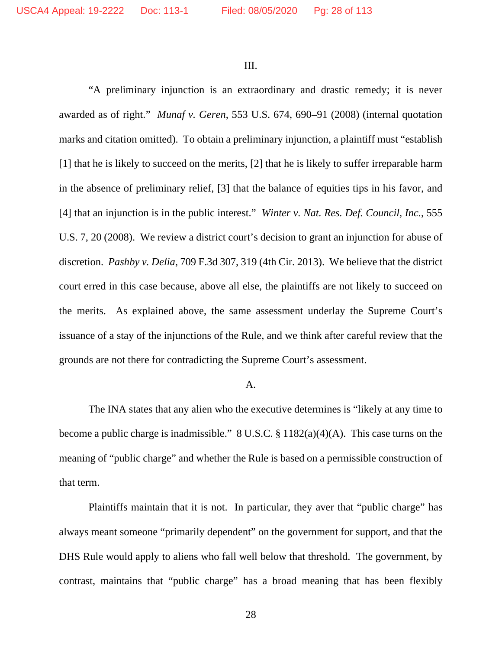III.

"A preliminary injunction is an extraordinary and drastic remedy; it is never awarded as of right." *Munaf v. Geren*, 553 U.S. 674, 690–91 (2008) (internal quotation marks and citation omitted). To obtain a preliminary injunction, a plaintiff must "establish [1] that he is likely to succeed on the merits, [2] that he is likely to suffer irreparable harm in the absence of preliminary relief, [3] that the balance of equities tips in his favor, and [4] that an injunction is in the public interest." *Winter v. Nat. Res. Def. Council, Inc.*, 555 U.S. 7, 20 (2008). We review a district court's decision to grant an injunction for abuse of discretion. *Pashby v. Delia*, 709 F.3d 307, 319 (4th Cir. 2013). We believe that the district court erred in this case because, above all else, the plaintiffs are not likely to succeed on the merits. As explained above, the same assessment underlay the Supreme Court's issuance of a stay of the injunctions of the Rule, and we think after careful review that the grounds are not there for contradicting the Supreme Court's assessment.

#### A.

The INA states that any alien who the executive determines is "likely at any time to become a public charge is inadmissible." 8 U.S.C. § 1182(a)(4)(A). This case turns on the meaning of "public charge" and whether the Rule is based on a permissible construction of that term.

Plaintiffs maintain that it is not. In particular, they aver that "public charge" has always meant someone "primarily dependent" on the government for support, and that the DHS Rule would apply to aliens who fall well below that threshold. The government, by contrast, maintains that "public charge" has a broad meaning that has been flexibly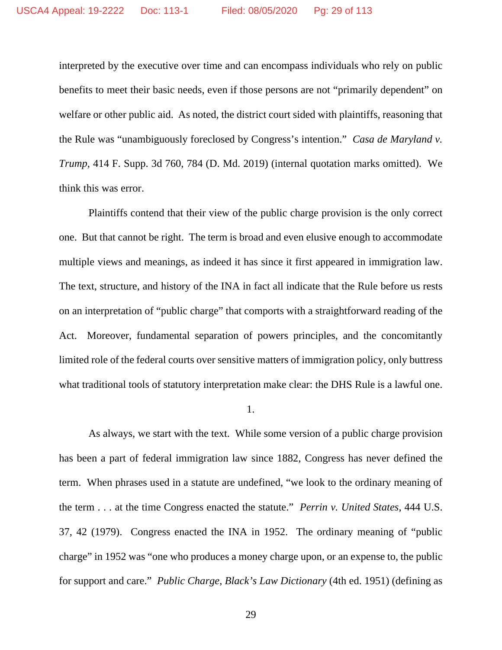interpreted by the executive over time and can encompass individuals who rely on public benefits to meet their basic needs, even if those persons are not "primarily dependent" on welfare or other public aid. As noted, the district court sided with plaintiffs, reasoning that the Rule was "unambiguously foreclosed by Congress's intention." *Casa de Maryland v. Trump*, 414 F. Supp. 3d 760, 784 (D. Md. 2019) (internal quotation marks omitted). We think this was error.

Plaintiffs contend that their view of the public charge provision is the only correct one. But that cannot be right. The term is broad and even elusive enough to accommodate multiple views and meanings, as indeed it has since it first appeared in immigration law. The text, structure, and history of the INA in fact all indicate that the Rule before us rests on an interpretation of "public charge" that comports with a straightforward reading of the Act. Moreover, fundamental separation of powers principles, and the concomitantly limited role of the federal courts over sensitive matters of immigration policy, only buttress what traditional tools of statutory interpretation make clear: the DHS Rule is a lawful one.

1.

As always, we start with the text. While some version of a public charge provision has been a part of federal immigration law since 1882, Congress has never defined the term. When phrases used in a statute are undefined, "we look to the ordinary meaning of the term . . . at the time Congress enacted the statute." *Perrin v. United States*, 444 U.S. 37, 42 (1979). Congress enacted the INA in 1952. The ordinary meaning of "public charge" in 1952 was "one who produces a money charge upon, or an expense to, the public for support and care." *Public Charge*, *Black's Law Dictionary* (4th ed. 1951) (defining as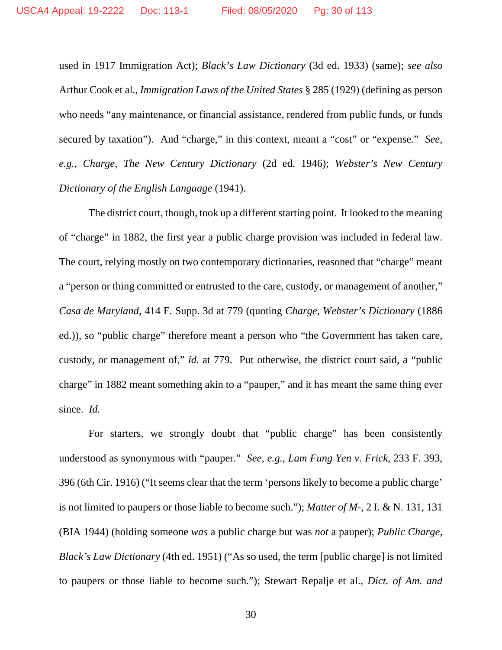used in 1917 Immigration Act); *Black's Law Dictionary* (3d ed. 1933) (same); *see also* Arthur Cook et al., *Immigration Laws of the United States* § 285 (1929) (defining as person who needs "any maintenance, or financial assistance, rendered from public funds, or funds secured by taxation"). And "charge," in this context, meant a "cost" or "expense." *See, e.g.*, *Charge*, *The New Century Dictionary* (2d ed. 1946); *Webster's New Century Dictionary of the English Language* (1941).

The district court, though, took up a different starting point. It looked to the meaning of "charge" in 1882, the first year a public charge provision was included in federal law. The court, relying mostly on two contemporary dictionaries, reasoned that "charge" meant a "person or thing committed or entrusted to the care, custody, or management of another," *Casa de Maryland*, 414 F. Supp. 3d at 779 (quoting *Charge*, *Webster's Dictionary* (1886 ed.)), so "public charge" therefore meant a person who "the Government has taken care, custody, or management of," *id.* at 779. Put otherwise, the district court said, a "public charge" in 1882 meant something akin to a "pauper," and it has meant the same thing ever since. *Id.*

For starters, we strongly doubt that "public charge" has been consistently understood as synonymous with "pauper." *See, e.g.*, *Lam Fung Yen v. Frick*, 233 F. 393, 396 (6th Cir. 1916) ("It seems clear that the term 'persons likely to become a public charge' is not limited to paupers or those liable to become such."); *Matter of M-*, 2 I. & N. 131, 131 (BIA 1944) (holding someone *was* a public charge but was *not* a pauper); *Public Charge*, *Black's Law Dictionary* (4th ed. 1951) ("As so used, the term [public charge] is not limited to paupers or those liable to become such."); Stewart Repalje et al., *Dict. of Am. and*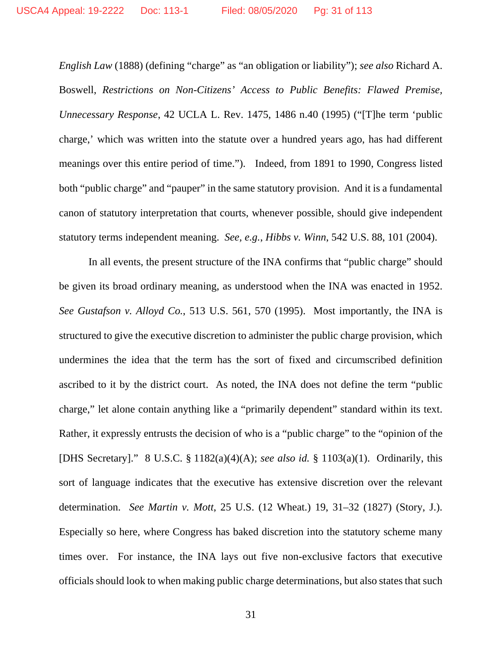*English Law* (1888) (defining "charge" as "an obligation or liability"); *see also* Richard A. Boswell, *Restrictions on Non-Citizens' Access to Public Benefits: Flawed Premise, Unnecessary Response*, 42 UCLA L. Rev. 1475, 1486 n.40 (1995) ("[T]he term 'public charge,' which was written into the statute over a hundred years ago, has had different meanings over this entire period of time."). Indeed, from 1891 to 1990, Congress listed both "public charge" and "pauper" in the same statutory provision. And it is a fundamental canon of statutory interpretation that courts, whenever possible, should give independent statutory terms independent meaning. *See, e.g.*, *Hibbs v. Winn*, 542 U.S. 88, 101 (2004).

In all events, the present structure of the INA confirms that "public charge" should be given its broad ordinary meaning, as understood when the INA was enacted in 1952. *See Gustafson v. Alloyd Co.*, 513 U.S. 561, 570 (1995). Most importantly, the INA is structured to give the executive discretion to administer the public charge provision, which undermines the idea that the term has the sort of fixed and circumscribed definition ascribed to it by the district court. As noted, the INA does not define the term "public charge," let alone contain anything like a "primarily dependent" standard within its text. Rather, it expressly entrusts the decision of who is a "public charge" to the "opinion of the [DHS Secretary]." 8 U.S.C. § 1182(a)(4)(A); *see also id.* § 1103(a)(1). Ordinarily, this sort of language indicates that the executive has extensive discretion over the relevant determination. *See Martin v. Mott*, 25 U.S. (12 Wheat.) 19, 31–32 (1827) (Story, J.). Especially so here, where Congress has baked discretion into the statutory scheme many times over. For instance, the INA lays out five non-exclusive factors that executive officials should look to when making public charge determinations, but also states that such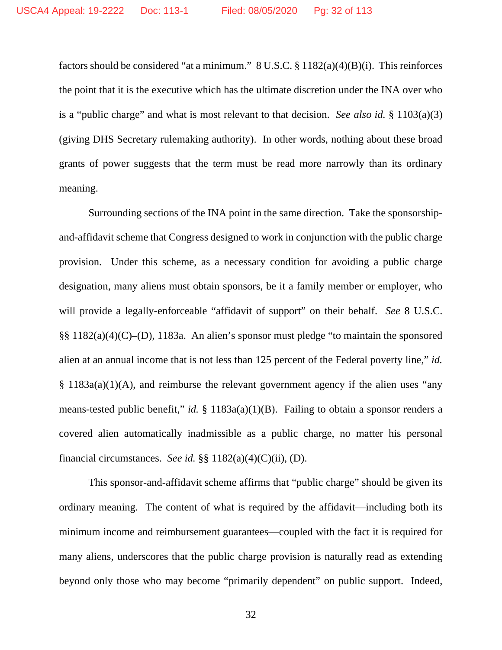factors should be considered "at a minimum."  $8 \text{ U.S.C.} \$  $8 \text{ 1182(a)(4)(B)(i)}$ . This reinforces the point that it is the executive which has the ultimate discretion under the INA over who is a "public charge" and what is most relevant to that decision. *See also id.* § 1103(a)(3) (giving DHS Secretary rulemaking authority). In other words, nothing about these broad grants of power suggests that the term must be read more narrowly than its ordinary meaning.

Surrounding sections of the INA point in the same direction. Take the sponsorshipand-affidavit scheme that Congress designed to work in conjunction with the public charge provision. Under this scheme, as a necessary condition for avoiding a public charge designation, many aliens must obtain sponsors, be it a family member or employer, who will provide a legally-enforceable "affidavit of support" on their behalf. *See* 8 U.S.C. §§ 1182(a)(4)(C)–(D), 1183a. An alien's sponsor must pledge "to maintain the sponsored alien at an annual income that is not less than 125 percent of the Federal poverty line," *id.* § 1183a(a)(1)(A), and reimburse the relevant government agency if the alien uses "any means-tested public benefit," *id.* § 1183a(a)(1)(B). Failing to obtain a sponsor renders a covered alien automatically inadmissible as a public charge, no matter his personal financial circumstances. *See id.* §§ 1182(a)(4)(C)(ii), (D).

This sponsor-and-affidavit scheme affirms that "public charge" should be given its ordinary meaning. The content of what is required by the affidavit—including both its minimum income and reimbursement guarantees—coupled with the fact it is required for many aliens, underscores that the public charge provision is naturally read as extending beyond only those who may become "primarily dependent" on public support. Indeed,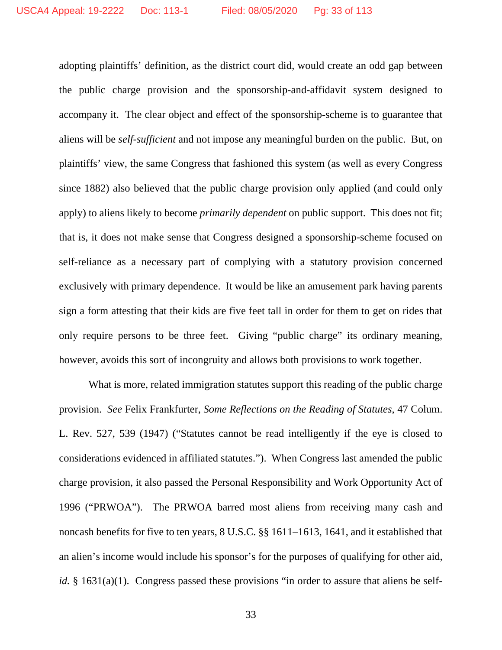adopting plaintiffs' definition, as the district court did, would create an odd gap between the public charge provision and the sponsorship-and-affidavit system designed to accompany it. The clear object and effect of the sponsorship-scheme is to guarantee that aliens will be *self-sufficient* and not impose any meaningful burden on the public. But, on plaintiffs' view, the same Congress that fashioned this system (as well as every Congress since 1882) also believed that the public charge provision only applied (and could only apply) to aliens likely to become *primarily dependent* on public support. This does not fit; that is, it does not make sense that Congress designed a sponsorship-scheme focused on self-reliance as a necessary part of complying with a statutory provision concerned exclusively with primary dependence. It would be like an amusement park having parents sign a form attesting that their kids are five feet tall in order for them to get on rides that only require persons to be three feet. Giving "public charge" its ordinary meaning, however, avoids this sort of incongruity and allows both provisions to work together.

What is more, related immigration statutes support this reading of the public charge provision. *See* Felix Frankfurter, *Some Reflections on the Reading of Statutes*, 47 Colum. L. Rev. 527, 539 (1947) ("Statutes cannot be read intelligently if the eye is closed to considerations evidenced in affiliated statutes."). When Congress last amended the public charge provision, it also passed the Personal Responsibility and Work Opportunity Act of 1996 ("PRWOA"). The PRWOA barred most aliens from receiving many cash and noncash benefits for five to ten years, 8 U.S.C. §§ 1611–1613, 1641, and it established that an alien's income would include his sponsor's for the purposes of qualifying for other aid, *id.* § 1631(a)(1). Congress passed these provisions "in order to assure that aliens be self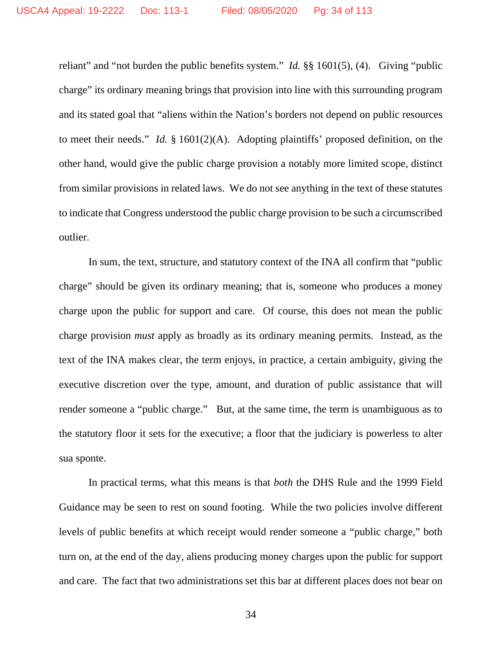reliant" and "not burden the public benefits system." *Id.* §§ 1601(5), (4). Giving "public charge" its ordinary meaning brings that provision into line with this surrounding program and its stated goal that "aliens within the Nation's borders not depend on public resources to meet their needs." *Id.* § 1601(2)(A). Adopting plaintiffs' proposed definition, on the other hand, would give the public charge provision a notably more limited scope, distinct from similar provisions in related laws. We do not see anything in the text of these statutes to indicate that Congress understood the public charge provision to be such a circumscribed outlier.

In sum, the text, structure, and statutory context of the INA all confirm that "public charge" should be given its ordinary meaning; that is, someone who produces a money charge upon the public for support and care. Of course, this does not mean the public charge provision *must* apply as broadly as its ordinary meaning permits. Instead, as the text of the INA makes clear, the term enjoys, in practice, a certain ambiguity, giving the executive discretion over the type, amount, and duration of public assistance that will render someone a "public charge." But, at the same time, the term is unambiguous as to the statutory floor it sets for the executive; a floor that the judiciary is powerless to alter sua sponte.

In practical terms, what this means is that *both* the DHS Rule and the 1999 Field Guidance may be seen to rest on sound footing. While the two policies involve different levels of public benefits at which receipt would render someone a "public charge," both turn on, at the end of the day, aliens producing money charges upon the public for support and care. The fact that two administrations set this bar at different places does not bear on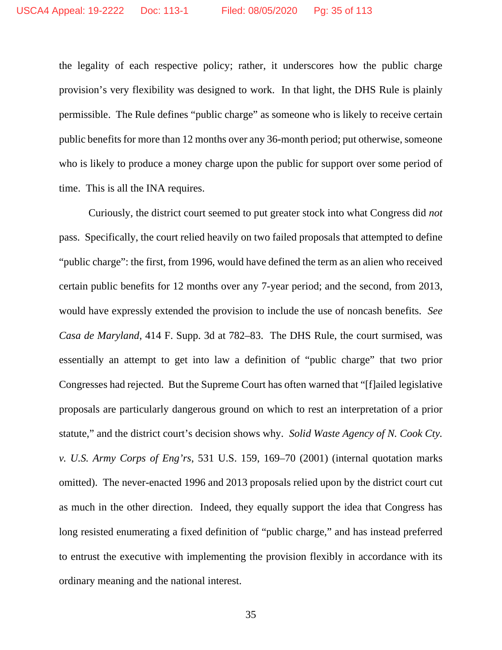the legality of each respective policy; rather, it underscores how the public charge provision's very flexibility was designed to work. In that light, the DHS Rule is plainly permissible. The Rule defines "public charge" as someone who is likely to receive certain public benefits for more than 12 months over any 36-month period; put otherwise, someone who is likely to produce a money charge upon the public for support over some period of time. This is all the INA requires.

Curiously, the district court seemed to put greater stock into what Congress did *not* pass. Specifically, the court relied heavily on two failed proposals that attempted to define "public charge": the first, from 1996, would have defined the term as an alien who received certain public benefits for 12 months over any 7-year period; and the second, from 2013, would have expressly extended the provision to include the use of noncash benefits. *See Casa de Maryland*, 414 F. Supp. 3d at 782–83.The DHS Rule, the court surmised, was essentially an attempt to get into law a definition of "public charge" that two prior Congresses had rejected. But the Supreme Court has often warned that "[f]ailed legislative proposals are particularly dangerous ground on which to rest an interpretation of a prior statute," and the district court's decision shows why. *Solid Waste Agency of N. Cook Cty. v. U.S. Army Corps of Eng'rs*, 531 U.S. 159, 169–70 (2001) (internal quotation marks omitted). The never-enacted 1996 and 2013 proposals relied upon by the district court cut as much in the other direction. Indeed, they equally support the idea that Congress has long resisted enumerating a fixed definition of "public charge," and has instead preferred to entrust the executive with implementing the provision flexibly in accordance with its ordinary meaning and the national interest.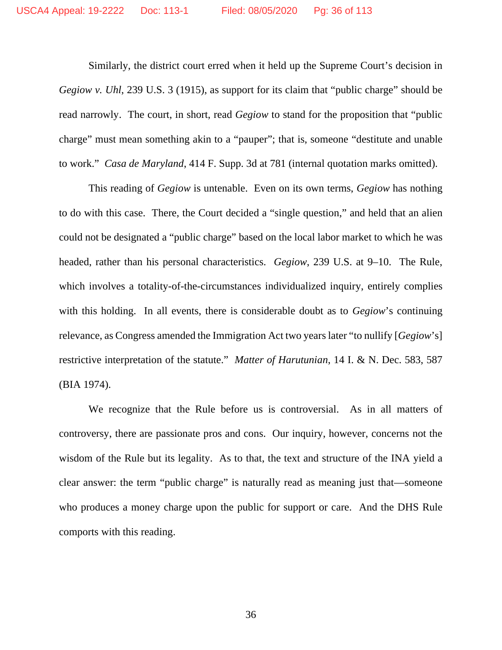Similarly, the district court erred when it held up the Supreme Court's decision in *Gegiow v. Uhl*, 239 U.S. 3 (1915), as support for its claim that "public charge" should be read narrowly. The court, in short, read *Gegiow* to stand for the proposition that "public charge" must mean something akin to a "pauper"; that is, someone "destitute and unable to work." *Casa de Maryland*, 414 F. Supp. 3d at 781 (internal quotation marks omitted).

This reading of *Gegiow* is untenable. Even on its own terms, *Gegiow* has nothing to do with this case. There, the Court decided a "single question," and held that an alien could not be designated a "public charge" based on the local labor market to which he was headed, rather than his personal characteristics. *Gegiow*, 239 U.S. at 9–10. The Rule, which involves a totality-of-the-circumstances individualized inquiry, entirely complies with this holding. In all events, there is considerable doubt as to *Gegiow*'s continuing relevance, as Congress amended the Immigration Act two years later "to nullify [*Gegiow*'s] restrictive interpretation of the statute." *Matter of Harutunian*, 14 I. & N. Dec. 583, 587 (BIA 1974).

We recognize that the Rule before us is controversial. As in all matters of controversy, there are passionate pros and cons. Our inquiry, however, concerns not the wisdom of the Rule but its legality. As to that, the text and structure of the INA yield a clear answer: the term "public charge" is naturally read as meaning just that—someone who produces a money charge upon the public for support or care. And the DHS Rule comports with this reading.

36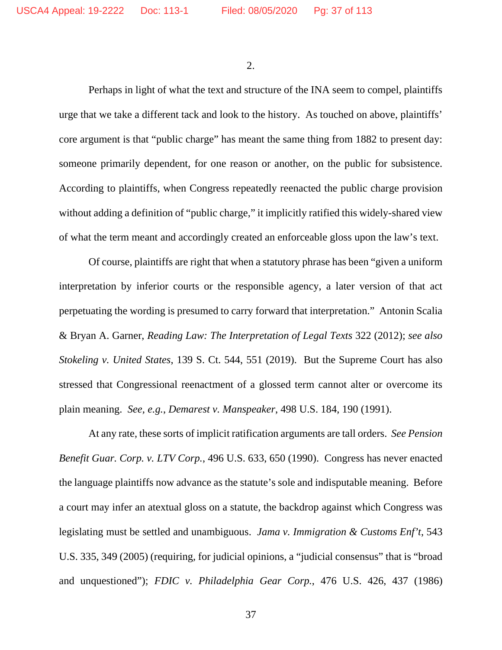2.

Perhaps in light of what the text and structure of the INA seem to compel, plaintiffs urge that we take a different tack and look to the history. As touched on above, plaintiffs' core argument is that "public charge" has meant the same thing from 1882 to present day: someone primarily dependent, for one reason or another, on the public for subsistence. According to plaintiffs, when Congress repeatedly reenacted the public charge provision without adding a definition of "public charge," it implicitly ratified this widely-shared view of what the term meant and accordingly created an enforceable gloss upon the law's text.

Of course, plaintiffs are right that when a statutory phrase has been "given a uniform interpretation by inferior courts or the responsible agency, a later version of that act perpetuating the wording is presumed to carry forward that interpretation." Antonin Scalia & Bryan A. Garner, *Reading Law: The Interpretation of Legal Texts* 322 (2012); *see also Stokeling v. United States*, 139 S. Ct. 544, 551 (2019). But the Supreme Court has also stressed that Congressional reenactment of a glossed term cannot alter or overcome its plain meaning. *See, e.g.*, *Demarest v. Manspeaker*, 498 U.S. 184, 190 (1991).

At any rate, these sorts of implicit ratification arguments are tall orders. *See Pension Benefit Guar. Corp. v. LTV Corp.*, 496 U.S. 633, 650 (1990). Congress has never enacted the language plaintiffs now advance as the statute's sole and indisputable meaning. Before a court may infer an atextual gloss on a statute, the backdrop against which Congress was legislating must be settled and unambiguous. *Jama v. Immigration & Customs Enf't*, 543 U.S. 335, 349 (2005) (requiring, for judicial opinions, a "judicial consensus" that is "broad and unquestioned"); *FDIC v. Philadelphia Gear Corp.*, 476 U.S. 426, 437 (1986)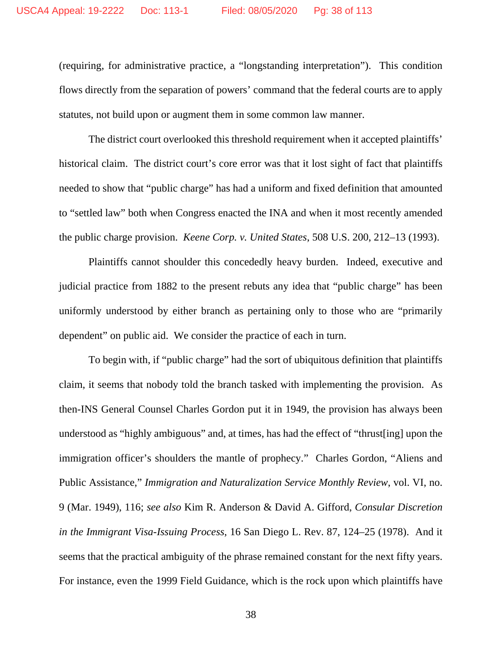(requiring, for administrative practice, a "longstanding interpretation"). This condition flows directly from the separation of powers' command that the federal courts are to apply statutes, not build upon or augment them in some common law manner.

The district court overlooked this threshold requirement when it accepted plaintiffs' historical claim. The district court's core error was that it lost sight of fact that plaintiffs needed to show that "public charge" has had a uniform and fixed definition that amounted to "settled law" both when Congress enacted the INA and when it most recently amended the public charge provision. *Keene Corp. v. United States*, 508 U.S. 200, 212–13 (1993).

Plaintiffs cannot shoulder this concededly heavy burden. Indeed, executive and judicial practice from 1882 to the present rebuts any idea that "public charge" has been uniformly understood by either branch as pertaining only to those who are "primarily dependent" on public aid. We consider the practice of each in turn.

To begin with, if "public charge" had the sort of ubiquitous definition that plaintiffs claim, it seems that nobody told the branch tasked with implementing the provision. As then-INS General Counsel Charles Gordon put it in 1949, the provision has always been understood as "highly ambiguous" and, at times, has had the effect of "thrust[ing] upon the immigration officer's shoulders the mantle of prophecy." Charles Gordon, "Aliens and Public Assistance," *Immigration and Naturalization Service Monthly Review*, vol. VI, no. 9 (Mar. 1949), 116; *see also* Kim R. Anderson & David A. Gifford, *Consular Discretion in the Immigrant Visa-Issuing Process*, 16 San Diego L. Rev. 87, 124–25 (1978). And it seems that the practical ambiguity of the phrase remained constant for the next fifty years. For instance, even the 1999 Field Guidance, which is the rock upon which plaintiffs have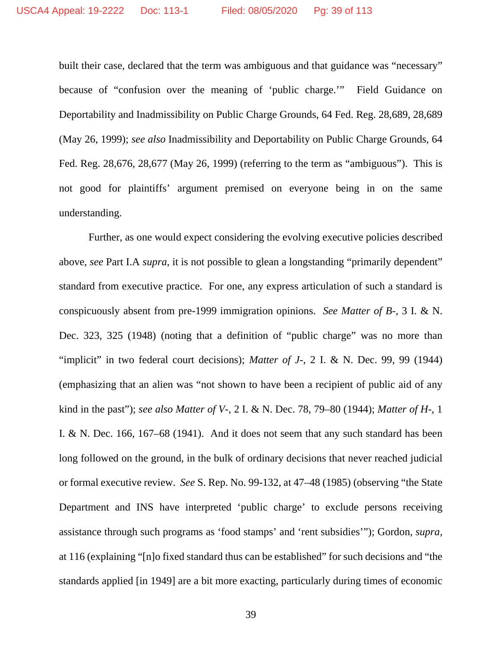built their case, declared that the term was ambiguous and that guidance was "necessary" because of "confusion over the meaning of 'public charge.'" Field Guidance on Deportability and Inadmissibility on Public Charge Grounds, 64 Fed. Reg. 28,689, 28,689 (May 26, 1999); *see also* Inadmissibility and Deportability on Public Charge Grounds, 64 Fed. Reg. 28,676, 28,677 (May 26, 1999) (referring to the term as "ambiguous"). This is not good for plaintiffs' argument premised on everyone being in on the same understanding.

Further, as one would expect considering the evolving executive policies described above, *see* Part I.A *supra*, it is not possible to glean a longstanding "primarily dependent" standard from executive practice. For one, any express articulation of such a standard is conspicuously absent from pre-1999 immigration opinions. *See Matter of B-*, 3 I. & N. Dec. 323, 325 (1948) (noting that a definition of "public charge" was no more than "implicit" in two federal court decisions); *Matter of J-*, 2 I. & N. Dec. 99, 99 (1944) (emphasizing that an alien was "not shown to have been a recipient of public aid of any kind in the past"); *see also Matter of V-*, 2 I. & N. Dec. 78, 79–80 (1944); *Matter of H-*, 1 I. & N. Dec. 166, 167–68 (1941). And it does not seem that any such standard has been long followed on the ground, in the bulk of ordinary decisions that never reached judicial or formal executive review. *See* S. Rep. No. 99-132, at 47–48 (1985) (observing "the State Department and INS have interpreted 'public charge' to exclude persons receiving assistance through such programs as 'food stamps' and 'rent subsidies'"); Gordon, *supra*, at 116 (explaining "[n]o fixed standard thus can be established" for such decisions and "the standards applied [in 1949] are a bit more exacting, particularly during times of economic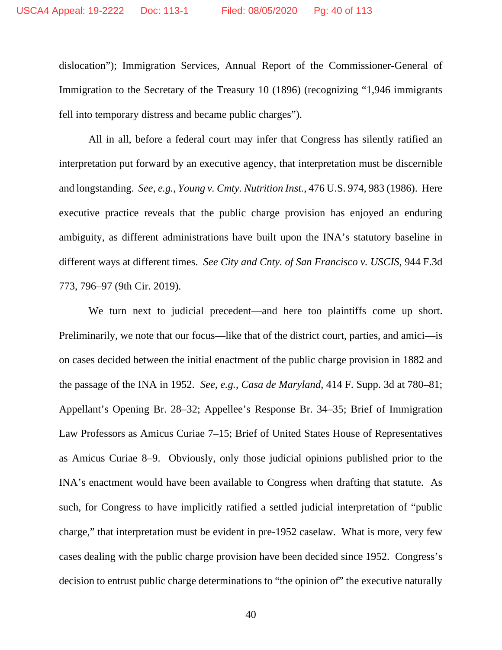dislocation"); Immigration Services, Annual Report of the Commissioner-General of Immigration to the Secretary of the Treasury 10 (1896) (recognizing "1,946 immigrants fell into temporary distress and became public charges").

All in all, before a federal court may infer that Congress has silently ratified an interpretation put forward by an executive agency, that interpretation must be discernible and longstanding. *See, e.g.*, *Young v. Cmty. Nutrition Inst.*, 476 U.S. 974, 983 (1986). Here executive practice reveals that the public charge provision has enjoyed an enduring ambiguity, as different administrations have built upon the INA's statutory baseline in different ways at different times. *See City and Cnty. of San Francisco v. USCIS*, 944 F.3d 773, 796–97 (9th Cir. 2019).

We turn next to judicial precedent—and here too plaintiffs come up short. Preliminarily, we note that our focus—like that of the district court, parties, and amici—is on cases decided between the initial enactment of the public charge provision in 1882 and the passage of the INA in 1952. *See, e.g.*, *Casa de Maryland*, 414 F. Supp. 3d at 780–81; Appellant's Opening Br. 28–32; Appellee's Response Br. 34–35; Brief of Immigration Law Professors as Amicus Curiae 7–15; Brief of United States House of Representatives as Amicus Curiae 8–9. Obviously, only those judicial opinions published prior to the INA's enactment would have been available to Congress when drafting that statute. As such, for Congress to have implicitly ratified a settled judicial interpretation of "public charge," that interpretation must be evident in pre-1952 caselaw. What is more, very few cases dealing with the public charge provision have been decided since 1952. Congress's decision to entrust public charge determinations to "the opinion of" the executive naturally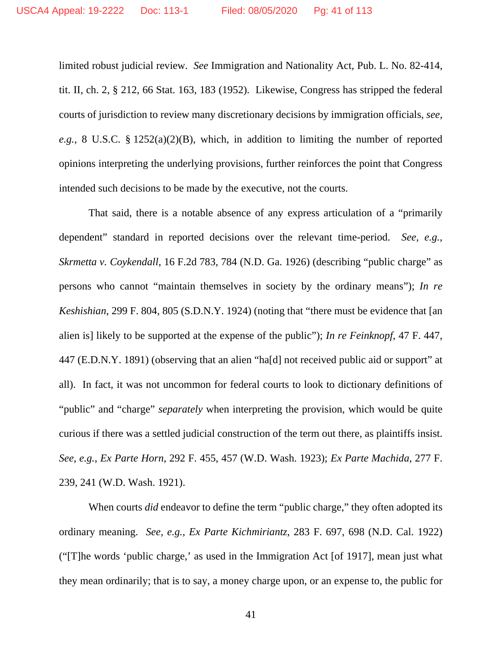limited robust judicial review. *See* Immigration and Nationality Act, Pub. L. No. 82-414, tit. II, ch. 2, § 212, 66 Stat. 163, 183 (1952). Likewise, Congress has stripped the federal courts of jurisdiction to review many discretionary decisions by immigration officials, *see, e.g.*, 8 U.S.C. § 1252(a)(2)(B), which, in addition to limiting the number of reported opinions interpreting the underlying provisions, further reinforces the point that Congress intended such decisions to be made by the executive, not the courts.

That said, there is a notable absence of any express articulation of a "primarily dependent" standard in reported decisions over the relevant time-period. *See, e.g.*, *Skrmetta v. Coykendall*, 16 F.2d 783, 784 (N.D. Ga. 1926) (describing "public charge" as persons who cannot "maintain themselves in society by the ordinary means"); *In re Keshishian*, 299 F. 804, 805 (S.D.N.Y. 1924) (noting that "there must be evidence that [an alien is] likely to be supported at the expense of the public"); *In re Feinknopf*, 47 F. 447, 447 (E.D.N.Y. 1891) (observing that an alien "ha[d] not received public aid or support" at all). In fact, it was not uncommon for federal courts to look to dictionary definitions of "public" and "charge" *separately* when interpreting the provision, which would be quite curious if there was a settled judicial construction of the term out there, as plaintiffs insist. *See, e.g.*, *Ex Parte Horn*, 292 F. 455, 457 (W.D. Wash. 1923); *Ex Parte Machida*, 277 F. 239, 241 (W.D. Wash. 1921).

When courts *did* endeavor to define the term "public charge," they often adopted its ordinary meaning. *See, e.g.*, *Ex Parte Kichmiriantz*, 283 F. 697, 698 (N.D. Cal. 1922) ("[T]he words 'public charge,' as used in the Immigration Act [of 1917], mean just what they mean ordinarily; that is to say, a money charge upon, or an expense to, the public for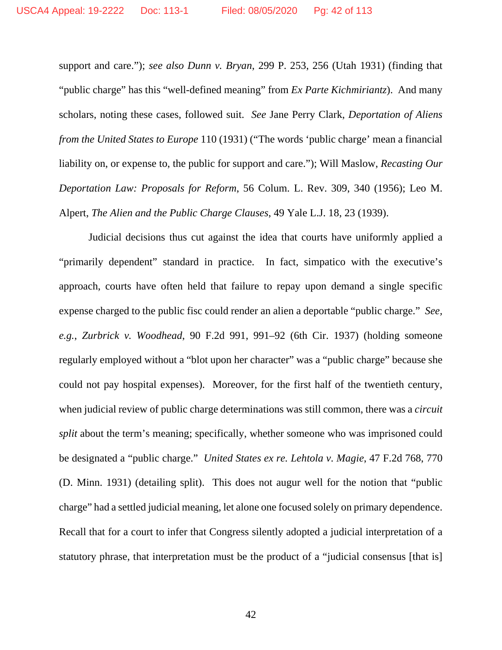support and care."); *see also Dunn v. Bryan*, 299 P. 253, 256 (Utah 1931) (finding that "public charge" has this "well-defined meaning" from *Ex Parte Kichmiriantz*). And many scholars, noting these cases, followed suit. *See* Jane Perry Clark, *Deportation of Aliens from the United States to Europe* 110 (1931) ("The words 'public charge' mean a financial liability on, or expense to, the public for support and care."); Will Maslow, *Recasting Our Deportation Law: Proposals for Reform*, 56 Colum. L. Rev. 309, 340 (1956); Leo M. Alpert, *The Alien and the Public Charge Clauses*, 49 Yale L.J. 18, 23 (1939).

Judicial decisions thus cut against the idea that courts have uniformly applied a "primarily dependent" standard in practice. In fact, simpatico with the executive's approach, courts have often held that failure to repay upon demand a single specific expense charged to the public fisc could render an alien a deportable "public charge." *See, e.g.*, *Zurbrick v. Woodhead*, 90 F.2d 991, 991–92 (6th Cir. 1937) (holding someone regularly employed without a "blot upon her character" was a "public charge" because she could not pay hospital expenses). Moreover, for the first half of the twentieth century, when judicial review of public charge determinations was still common, there was a *circuit split* about the term's meaning; specifically, whether someone who was imprisoned could be designated a "public charge." *United States ex re. Lehtola v. Magie*, 47 F.2d 768, 770 (D. Minn. 1931) (detailing split). This does not augur well for the notion that "public charge" had a settled judicial meaning, let alone one focused solely on primary dependence. Recall that for a court to infer that Congress silently adopted a judicial interpretation of a statutory phrase, that interpretation must be the product of a "judicial consensus [that is]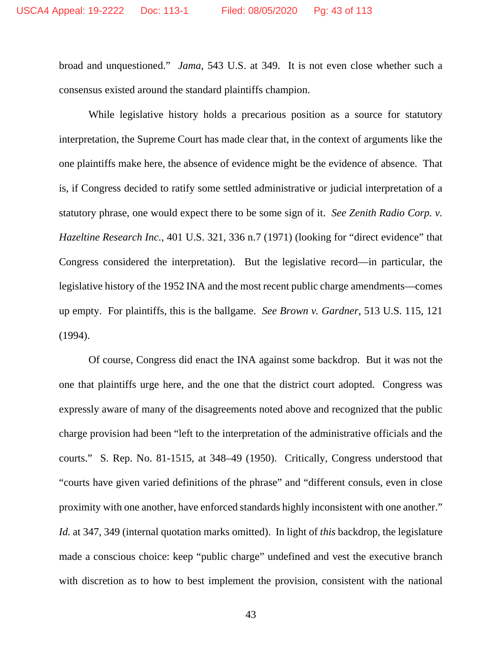broad and unquestioned." *Jama*, 543 U.S. at 349. It is not even close whether such a consensus existed around the standard plaintiffs champion.

While legislative history holds a precarious position as a source for statutory interpretation, the Supreme Court has made clear that, in the context of arguments like the one plaintiffs make here, the absence of evidence might be the evidence of absence. That is, if Congress decided to ratify some settled administrative or judicial interpretation of a statutory phrase, one would expect there to be some sign of it. *See Zenith Radio Corp. v. Hazeltine Research Inc.*, 401 U.S. 321, 336 n.7 (1971) (looking for "direct evidence" that Congress considered the interpretation). But the legislative record—in particular, the legislative history of the 1952 INA and the most recent public charge amendments—comes up empty. For plaintiffs, this is the ballgame. *See Brown v. Gardner*, 513 U.S. 115, 121 (1994).

Of course, Congress did enact the INA against some backdrop. But it was not the one that plaintiffs urge here, and the one that the district court adopted. Congress was expressly aware of many of the disagreements noted above and recognized that the public charge provision had been "left to the interpretation of the administrative officials and the courts." S. Rep. No. 81-1515, at 348–49 (1950). Critically, Congress understood that "courts have given varied definitions of the phrase" and "different consuls, even in close proximity with one another, have enforced standards highly inconsistent with one another." *Id.* at 347, 349 (internal quotation marks omitted). In light of *this* backdrop, the legislature made a conscious choice: keep "public charge" undefined and vest the executive branch with discretion as to how to best implement the provision, consistent with the national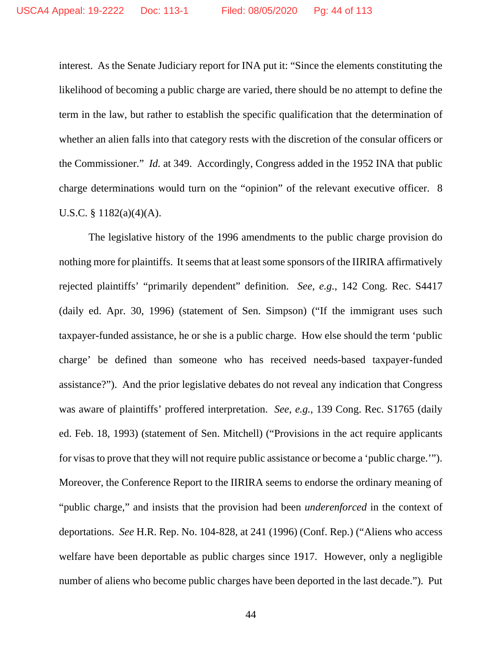interest. As the Senate Judiciary report for INA put it: "Since the elements constituting the likelihood of becoming a public charge are varied, there should be no attempt to define the term in the law, but rather to establish the specific qualification that the determination of whether an alien falls into that category rests with the discretion of the consular officers or the Commissioner." *Id.* at 349. Accordingly, Congress added in the 1952 INA that public charge determinations would turn on the "opinion" of the relevant executive officer. 8 U.S.C. § 1182(a)(4)(A).

The legislative history of the 1996 amendments to the public charge provision do nothing more for plaintiffs. It seems that at least some sponsors of the IIRIRA affirmatively rejected plaintiffs' "primarily dependent" definition. *See, e.g.*, 142 Cong. Rec. S4417 (daily ed. Apr. 30, 1996) (statement of Sen. Simpson) ("If the immigrant uses such taxpayer-funded assistance, he or she is a public charge. How else should the term 'public charge' be defined than someone who has received needs-based taxpayer-funded assistance?"). And the prior legislative debates do not reveal any indication that Congress was aware of plaintiffs' proffered interpretation. *See, e.g.*, 139 Cong. Rec. S1765 (daily ed. Feb. 18, 1993) (statement of Sen. Mitchell) ("Provisions in the act require applicants for visas to prove that they will not require public assistance or become a 'public charge.'"). Moreover, the Conference Report to the IIRIRA seems to endorse the ordinary meaning of "public charge," and insists that the provision had been *underenforced* in the context of deportations. *See* H.R. Rep. No. 104-828, at 241 (1996) (Conf. Rep.) ("Aliens who access welfare have been deportable as public charges since 1917. However, only a negligible number of aliens who become public charges have been deported in the last decade."). Put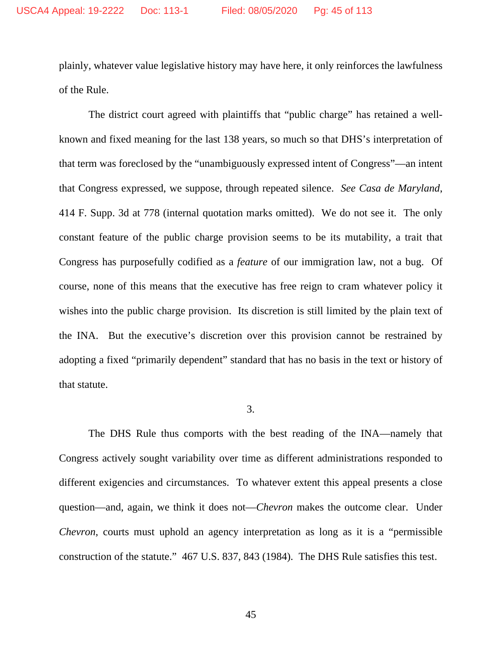plainly, whatever value legislative history may have here, it only reinforces the lawfulness of the Rule.

The district court agreed with plaintiffs that "public charge" has retained a wellknown and fixed meaning for the last 138 years, so much so that DHS's interpretation of that term was foreclosed by the "unambiguously expressed intent of Congress"—an intent that Congress expressed, we suppose, through repeated silence. *See Casa de Maryland*, 414 F. Supp. 3d at 778 (internal quotation marks omitted). We do not see it. The only constant feature of the public charge provision seems to be its mutability, a trait that Congress has purposefully codified as a *feature* of our immigration law, not a bug. Of course, none of this means that the executive has free reign to cram whatever policy it wishes into the public charge provision. Its discretion is still limited by the plain text of the INA. But the executive's discretion over this provision cannot be restrained by adopting a fixed "primarily dependent" standard that has no basis in the text or history of that statute.

### 3.

The DHS Rule thus comports with the best reading of the INA—namely that Congress actively sought variability over time as different administrations responded to different exigencies and circumstances. To whatever extent this appeal presents a close question—and, again, we think it does not—*Chevron* makes the outcome clear. Under *Chevron*, courts must uphold an agency interpretation as long as it is a "permissible construction of the statute." 467 U.S. 837, 843 (1984). The DHS Rule satisfies this test.

45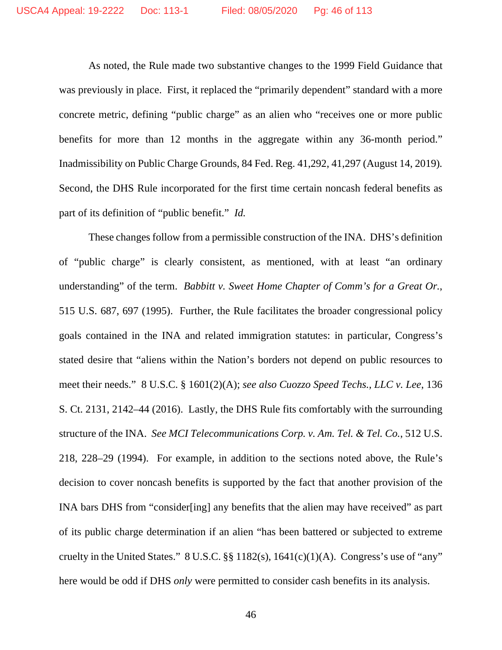As noted, the Rule made two substantive changes to the 1999 Field Guidance that was previously in place. First, it replaced the "primarily dependent" standard with a more concrete metric, defining "public charge" as an alien who "receives one or more public benefits for more than 12 months in the aggregate within any 36-month period." Inadmissibility on Public Charge Grounds, 84 Fed. Reg. 41,292, 41,297 (August 14, 2019)*.* Second, the DHS Rule incorporated for the first time certain noncash federal benefits as part of its definition of "public benefit." *Id.*

These changes follow from a permissible construction of the INA. DHS's definition of "public charge" is clearly consistent, as mentioned, with at least "an ordinary understanding" of the term. *Babbitt v. Sweet Home Chapter of Comm's for a Great Or.*, 515 U.S. 687, 697 (1995). Further, the Rule facilitates the broader congressional policy goals contained in the INA and related immigration statutes: in particular, Congress's stated desire that "aliens within the Nation's borders not depend on public resources to meet their needs." 8 U.S.C. § 1601(2)(A); *see also Cuozzo Speed Techs., LLC v. Lee*, 136 S. Ct. 2131, 2142–44 (2016). Lastly, the DHS Rule fits comfortably with the surrounding structure of the INA. *See MCI Telecommunications Corp. v. Am. Tel. & Tel. Co.*, 512 U.S. 218, 228–29 (1994). For example, in addition to the sections noted above, the Rule's decision to cover noncash benefits is supported by the fact that another provision of the INA bars DHS from "consider[ing] any benefits that the alien may have received" as part of its public charge determination if an alien "has been battered or subjected to extreme cruelty in the United States."  $8 \text{ U.S.C.}$   $\S$   $\S$  1182(s), 1641(c)(1)(A). Congress's use of "any" here would be odd if DHS *only* were permitted to consider cash benefits in its analysis.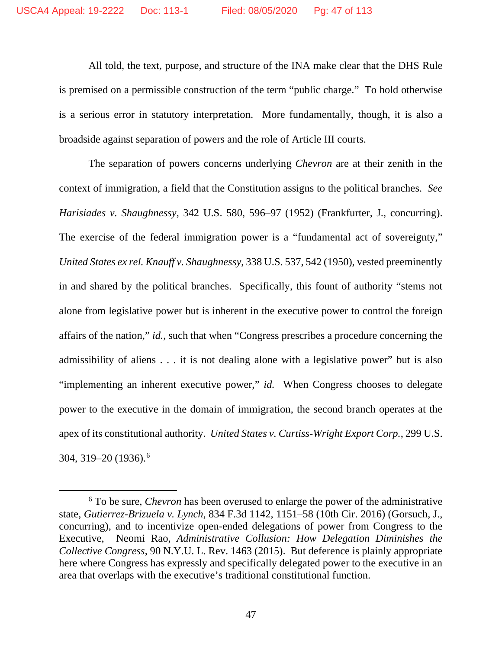All told, the text, purpose, and structure of the INA make clear that the DHS Rule is premised on a permissible construction of the term "public charge." To hold otherwise is a serious error in statutory interpretation. More fundamentally, though, it is also a broadside against separation of powers and the role of Article III courts.

The separation of powers concerns underlying *Chevron* are at their zenith in the context of immigration, a field that the Constitution assigns to the political branches. *See Harisiades v. Shaughnessy*, 342 U.S. 580, 596–97 (1952) (Frankfurter, J., concurring). The exercise of the federal immigration power is a "fundamental act of sovereignty," *United States ex rel. Knauff v. Shaughnessy*, 338 U.S. 537, 542 (1950), vested preeminently in and shared by the political branches. Specifically, this fount of authority "stems not alone from legislative power but is inherent in the executive power to control the foreign affairs of the nation," *id.*, such that when "Congress prescribes a procedure concerning the admissibility of aliens . . . it is not dealing alone with a legislative power" but is also "implementing an inherent executive power," *id.* When Congress chooses to delegate power to the executive in the domain of immigration, the second branch operates at the apex of its constitutional authority. *United States v. Curtiss-Wright Export Corp.*, 299 U.S. 304, 319–20 (1936).[6](#page-46-0)

<span id="page-46-0"></span><sup>6</sup> To be sure, *Chevron* has been overused to enlarge the power of the administrative state, *Gutierrez-Brizuela v. Lynch*, 834 F.3d 1142, 1151–58 (10th Cir. 2016) (Gorsuch, J., concurring), and to incentivize open-ended delegations of power from Congress to the Executive, Neomi Rao, *Administrative Collusion: How Delegation Diminishes the Collective Congress*, 90 N.Y.U. L. Rev. 1463 (2015). But deference is plainly appropriate here where Congress has expressly and specifically delegated power to the executive in an area that overlaps with the executive's traditional constitutional function.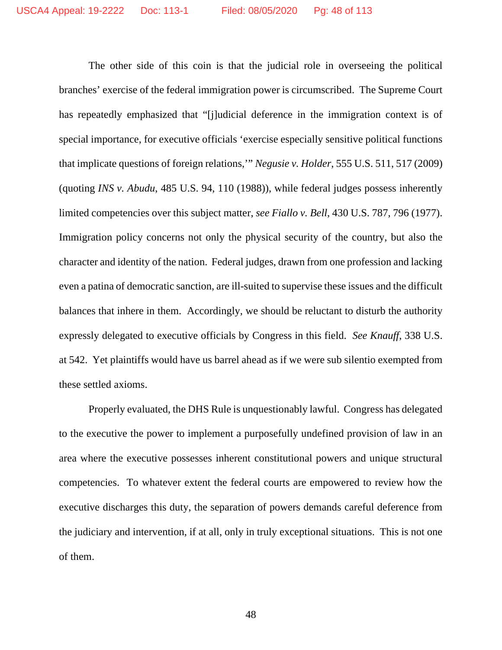The other side of this coin is that the judicial role in overseeing the political branches' exercise of the federal immigration power is circumscribed. The Supreme Court has repeatedly emphasized that "[j]udicial deference in the immigration context is of special importance, for executive officials 'exercise especially sensitive political functions that implicate questions of foreign relations,'" *Negusie v. Holder*, 555 U.S. 511, 517 (2009) (quoting *INS v. Abudu*, 485 U.S. 94, 110 (1988)), while federal judges possess inherently limited competencies over this subject matter, *see Fiallo v. Bell*, 430 U.S. 787, 796 (1977). Immigration policy concerns not only the physical security of the country, but also the character and identity of the nation. Federal judges, drawn from one profession and lacking even a patina of democratic sanction, are ill-suited to supervise these issues and the difficult balances that inhere in them. Accordingly, we should be reluctant to disturb the authority expressly delegated to executive officials by Congress in this field. *See Knauff*, 338 U.S. at 542. Yet plaintiffs would have us barrel ahead as if we were sub silentio exempted from these settled axioms.

Properly evaluated, the DHS Rule is unquestionably lawful. Congress has delegated to the executive the power to implement a purposefully undefined provision of law in an area where the executive possesses inherent constitutional powers and unique structural competencies. To whatever extent the federal courts are empowered to review how the executive discharges this duty, the separation of powers demands careful deference from the judiciary and intervention, if at all, only in truly exceptional situations. This is not one of them.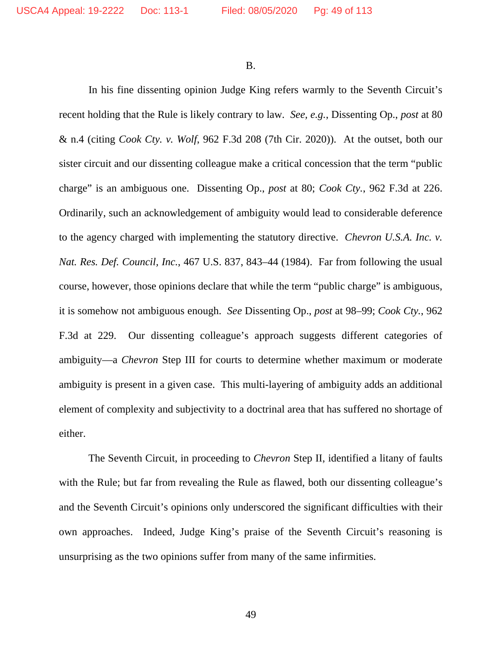B.

In his fine dissenting opinion Judge King refers warmly to the Seventh Circuit's recent holding that the Rule is likely contrary to law. *See, e.g.*, Dissenting Op., *post* at 80 & n.4 (citing *Cook Cty. v. Wolf*, 962 F.3d 208 (7th Cir. 2020)). At the outset, both our sister circuit and our dissenting colleague make a critical concession that the term "public charge" is an ambiguous one. Dissenting Op., *post* at 80; *Cook Cty.*, 962 F.3d at 226. Ordinarily, such an acknowledgement of ambiguity would lead to considerable deference to the agency charged with implementing the statutory directive. *Chevron U.S.A. Inc. v. Nat. Res. Def. Council, Inc.*, 467 U.S. 837, 843–44 (1984). Far from following the usual course, however, those opinions declare that while the term "public charge" is ambiguous, it is somehow not ambiguous enough. *See* Dissenting Op., *post* at 98–99; *Cook Cty.*, 962 F.3d at 229. Our dissenting colleague's approach suggests different categories of ambiguity—a *Chevron* Step III for courts to determine whether maximum or moderate ambiguity is present in a given case. This multi-layering of ambiguity adds an additional element of complexity and subjectivity to a doctrinal area that has suffered no shortage of either.

The Seventh Circuit, in proceeding to *Chevron* Step II, identified a litany of faults with the Rule; but far from revealing the Rule as flawed, both our dissenting colleague's and the Seventh Circuit's opinions only underscored the significant difficulties with their own approaches. Indeed, Judge King's praise of the Seventh Circuit's reasoning is unsurprising as the two opinions suffer from many of the same infirmities.

49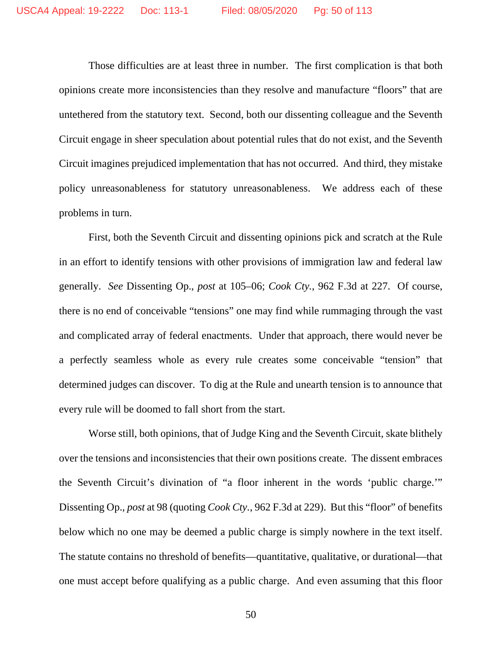Those difficulties are at least three in number. The first complication is that both opinions create more inconsistencies than they resolve and manufacture "floors" that are untethered from the statutory text. Second, both our dissenting colleague and the Seventh Circuit engage in sheer speculation about potential rules that do not exist, and the Seventh Circuit imagines prejudiced implementation that has not occurred. And third, they mistake policy unreasonableness for statutory unreasonableness. We address each of these problems in turn.

First, both the Seventh Circuit and dissenting opinions pick and scratch at the Rule in an effort to identify tensions with other provisions of immigration law and federal law generally. *See* Dissenting Op., *post* at 105–06; *Cook Cty.*, 962 F.3d at 227. Of course, there is no end of conceivable "tensions" one may find while rummaging through the vast and complicated array of federal enactments. Under that approach, there would never be a perfectly seamless whole as every rule creates some conceivable "tension" that determined judges can discover. To dig at the Rule and unearth tension is to announce that every rule will be doomed to fall short from the start.

Worse still, both opinions, that of Judge King and the Seventh Circuit, skate blithely over the tensions and inconsistencies that their own positions create. The dissent embraces the Seventh Circuit's divination of "a floor inherent in the words 'public charge.'" Dissenting Op., *post* at 98 (quoting *Cook Cty.*, 962 F.3d at 229). But this "floor" of benefits below which no one may be deemed a public charge is simply nowhere in the text itself. The statute contains no threshold of benefits—quantitative, qualitative, or durational—that one must accept before qualifying as a public charge. And even assuming that this floor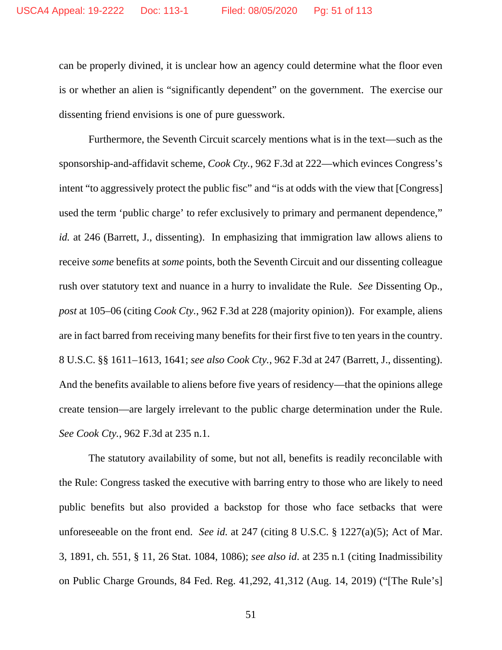can be properly divined, it is unclear how an agency could determine what the floor even is or whether an alien is "significantly dependent" on the government. The exercise our dissenting friend envisions is one of pure guesswork.

Furthermore, the Seventh Circuit scarcely mentions what is in the text—such as the sponsorship-and-affidavit scheme, *Cook Cty.*, 962 F.3d at 222—which evinces Congress's intent "to aggressively protect the public fisc" and "is at odds with the view that [Congress] used the term 'public charge' to refer exclusively to primary and permanent dependence," *id.* at 246 (Barrett, J., dissenting). In emphasizing that immigration law allows aliens to receive *some* benefits at *some* points, both the Seventh Circuit and our dissenting colleague rush over statutory text and nuance in a hurry to invalidate the Rule. *See* Dissenting Op., *post* at 105–06 (citing *Cook Cty.*, 962 F.3d at 228 (majority opinion)). For example, aliens are in fact barred from receiving many benefits for their first five to ten years in the country. 8 U.S.C. §§ 1611–1613, 1641; *see also Cook Cty.*, 962 F.3d at 247 (Barrett, J., dissenting). And the benefits available to aliens before five years of residency—that the opinions allege create tension—are largely irrelevant to the public charge determination under the Rule. *See Cook Cty.*, 962 F.3d at 235 n.1.

The statutory availability of some, but not all, benefits is readily reconcilable with the Rule: Congress tasked the executive with barring entry to those who are likely to need public benefits but also provided a backstop for those who face setbacks that were unforeseeable on the front end. *See id.* at 247 (citing 8 U.S.C. § 1227(a)(5); Act of Mar. 3, 1891, ch. 551, § 11, 26 Stat. 1084, 1086); *see also id*. at 235 n.1 (citing Inadmissibility on Public Charge Grounds, 84 Fed. Reg. 41,292, 41,312 (Aug. 14, 2019) ("[The Rule's]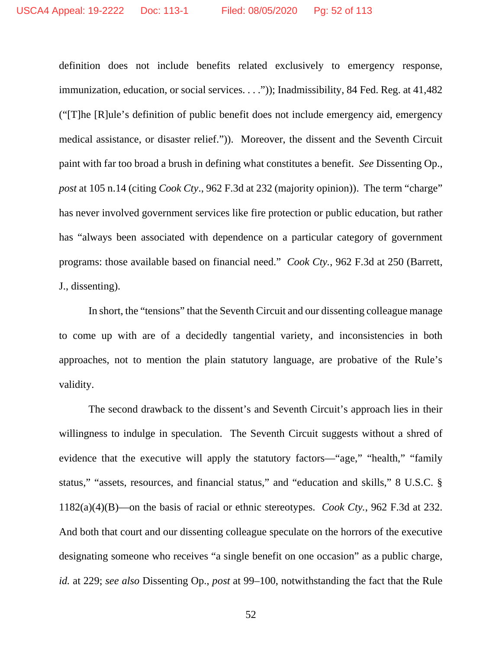definition does not include benefits related exclusively to emergency response, immunization, education, or social services. . . .")); Inadmissibility, 84 Fed. Reg. at 41,482 ("[T]he [R]ule's definition of public benefit does not include emergency aid, emergency medical assistance, or disaster relief.")). Moreover, the dissent and the Seventh Circuit paint with far too broad a brush in defining what constitutes a benefit. *See* Dissenting Op., *post* at 105 n.14 (citing *Cook Cty*., 962 F.3d at 232 (majority opinion)). The term "charge" has never involved government services like fire protection or public education, but rather has "always been associated with dependence on a particular category of government programs: those available based on financial need." *Cook Cty.*, 962 F.3d at 250 (Barrett, J., dissenting).

In short, the "tensions" that the Seventh Circuit and our dissenting colleague manage to come up with are of a decidedly tangential variety, and inconsistencies in both approaches, not to mention the plain statutory language, are probative of the Rule's validity.

The second drawback to the dissent's and Seventh Circuit's approach lies in their willingness to indulge in speculation. The Seventh Circuit suggests without a shred of evidence that the executive will apply the statutory factors—"age," "health," "family status," "assets, resources, and financial status," and "education and skills," 8 U.S.C. § 1182(a)(4)(B)—on the basis of racial or ethnic stereotypes. *Cook Cty.*, 962 F.3d at 232. And both that court and our dissenting colleague speculate on the horrors of the executive designating someone who receives "a single benefit on one occasion" as a public charge, *id.* at 229; *see also* Dissenting Op., *post* at 99–100, notwithstanding the fact that the Rule

52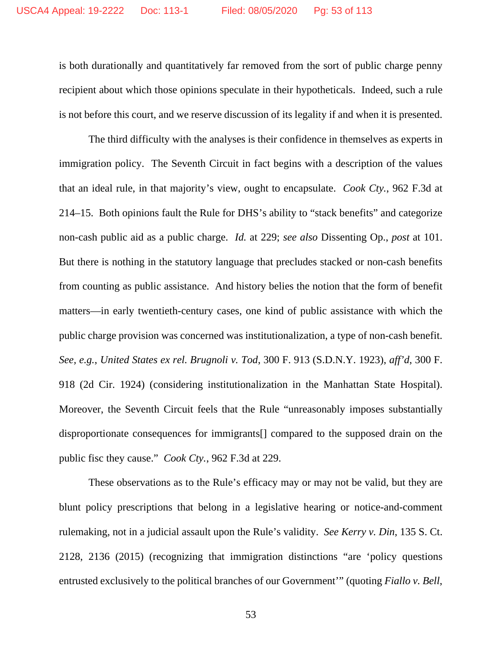is both durationally and quantitatively far removed from the sort of public charge penny recipient about which those opinions speculate in their hypotheticals. Indeed, such a rule is not before this court, and we reserve discussion of its legality if and when it is presented.

The third difficulty with the analyses is their confidence in themselves as experts in immigration policy. The Seventh Circuit in fact begins with a description of the values that an ideal rule, in that majority's view, ought to encapsulate. *Cook Cty.*, 962 F.3d at 214–15. Both opinions fault the Rule for DHS's ability to "stack benefits" and categorize non-cash public aid as a public charge. *Id.* at 229; *see also* Dissenting Op., *post* at 101. But there is nothing in the statutory language that precludes stacked or non-cash benefits from counting as public assistance. And history belies the notion that the form of benefit matters—in early twentieth-century cases, one kind of public assistance with which the public charge provision was concerned was institutionalization, a type of non-cash benefit. *See, e.g.*, *United States ex rel. Brugnoli v. Tod*, 300 F. 913 (S.D.N.Y. 1923), *aff'd*, 300 F. 918 (2d Cir. 1924) (considering institutionalization in the Manhattan State Hospital). Moreover, the Seventh Circuit feels that the Rule "unreasonably imposes substantially disproportionate consequences for immigrants[] compared to the supposed drain on the public fisc they cause." *Cook Cty.*, 962 F.3d at 229.

These observations as to the Rule's efficacy may or may not be valid, but they are blunt policy prescriptions that belong in a legislative hearing or notice-and-comment rulemaking, not in a judicial assault upon the Rule's validity. *See Kerry v. Din*, 135 S. Ct. 2128, 2136 (2015) (recognizing that immigration distinctions "are 'policy questions entrusted exclusively to the political branches of our Government'" (quoting *Fiallo v. Bell*,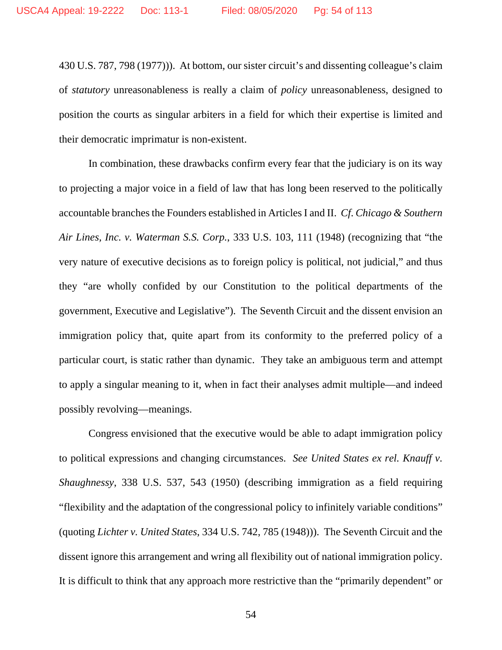430 U.S. 787, 798 (1977))). At bottom, our sister circuit's and dissenting colleague's claim of *statutory* unreasonableness is really a claim of *policy* unreasonableness, designed to position the courts as singular arbiters in a field for which their expertise is limited and their democratic imprimatur is non-existent.

In combination, these drawbacks confirm every fear that the judiciary is on its way to projecting a major voice in a field of law that has long been reserved to the politically accountable branches the Founders established in Articles I and II. *Cf*. *Chicago & Southern Air Lines, Inc. v. Waterman S.S. Corp.*, 333 U.S. 103, 111 (1948) (recognizing that "the very nature of executive decisions as to foreign policy is political, not judicial," and thus they "are wholly confided by our Constitution to the political departments of the government, Executive and Legislative"). The Seventh Circuit and the dissent envision an immigration policy that, quite apart from its conformity to the preferred policy of a particular court, is static rather than dynamic. They take an ambiguous term and attempt to apply a singular meaning to it, when in fact their analyses admit multiple—and indeed possibly revolving—meanings.

Congress envisioned that the executive would be able to adapt immigration policy to political expressions and changing circumstances. *See United States ex rel. Knauff v. Shaughnessy*, 338 U.S. 537, 543 (1950) (describing immigration as a field requiring "flexibility and the adaptation of the congressional policy to infinitely variable conditions" (quoting *Lichter v. United States*, 334 U.S. 742, 785 (1948))). The Seventh Circuit and the dissent ignore this arrangement and wring all flexibility out of national immigration policy. It is difficult to think that any approach more restrictive than the "primarily dependent" or

54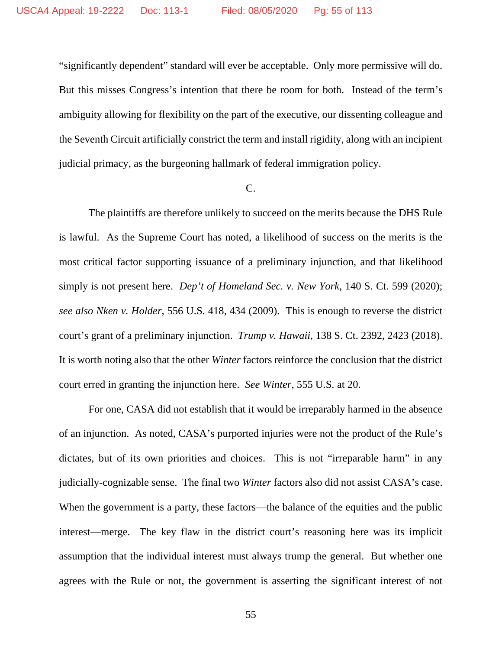"significantly dependent" standard will ever be acceptable. Only more permissive will do. But this misses Congress's intention that there be room for both. Instead of the term's ambiguity allowing for flexibility on the part of the executive, our dissenting colleague and the Seventh Circuit artificially constrict the term and install rigidity, along with an incipient judicial primacy, as the burgeoning hallmark of federal immigration policy.

#### C.

The plaintiffs are therefore unlikely to succeed on the merits because the DHS Rule is lawful. As the Supreme Court has noted, a likelihood of success on the merits is the most critical factor supporting issuance of a preliminary injunction, and that likelihood simply is not present here. *Dep't of Homeland Sec. v. New York*, 140 S. Ct. 599 (2020); *see also Nken v. Holder*, 556 U.S. 418, 434 (2009). This is enough to reverse the district court's grant of a preliminary injunction. *Trump v. Hawaii*, 138 S. Ct. 2392, 2423 (2018). It is worth noting also that the other *Winter* factors reinforce the conclusion that the district court erred in granting the injunction here. *See Winter*, 555 U.S. at 20.

For one, CASA did not establish that it would be irreparably harmed in the absence of an injunction. As noted, CASA's purported injuries were not the product of the Rule's dictates, but of its own priorities and choices. This is not "irreparable harm" in any judicially-cognizable sense. The final two *Winter* factors also did not assist CASA's case. When the government is a party, these factors—the balance of the equities and the public interest—merge. The key flaw in the district court's reasoning here was its implicit assumption that the individual interest must always trump the general. But whether one agrees with the Rule or not, the government is asserting the significant interest of not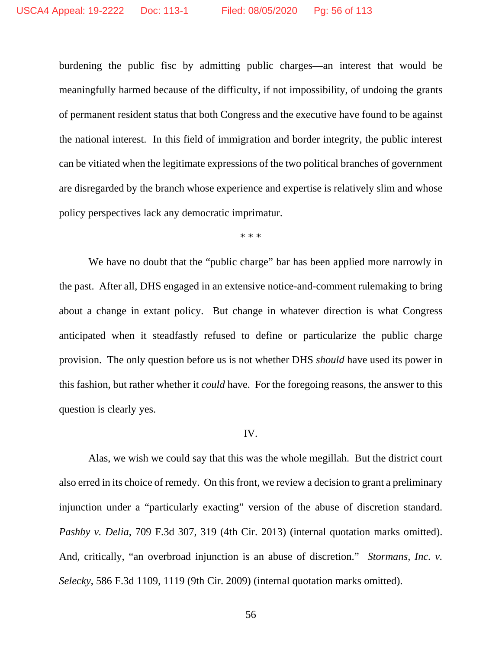burdening the public fisc by admitting public charges—an interest that would be meaningfully harmed because of the difficulty, if not impossibility, of undoing the grants of permanent resident status that both Congress and the executive have found to be against the national interest. In this field of immigration and border integrity, the public interest can be vitiated when the legitimate expressions of the two political branches of government are disregarded by the branch whose experience and expertise is relatively slim and whose policy perspectives lack any democratic imprimatur.

\* \* \*

We have no doubt that the "public charge" bar has been applied more narrowly in the past. After all, DHS engaged in an extensive notice-and-comment rulemaking to bring about a change in extant policy. But change in whatever direction is what Congress anticipated when it steadfastly refused to define or particularize the public charge provision. The only question before us is not whether DHS *should* have used its power in this fashion, but rather whether it *could* have. For the foregoing reasons, the answer to this question is clearly yes.

## IV.

Alas, we wish we could say that this was the whole megillah. But the district court also erred in its choice of remedy. On this front, we review a decision to grant a preliminary injunction under a "particularly exacting" version of the abuse of discretion standard. *Pashby v. Delia*, 709 F.3d 307, 319 (4th Cir. 2013) (internal quotation marks omitted). And, critically, "an overbroad injunction is an abuse of discretion." *Stormans, Inc. v. Selecky*, 586 F.3d 1109, 1119 (9th Cir. 2009) (internal quotation marks omitted).

56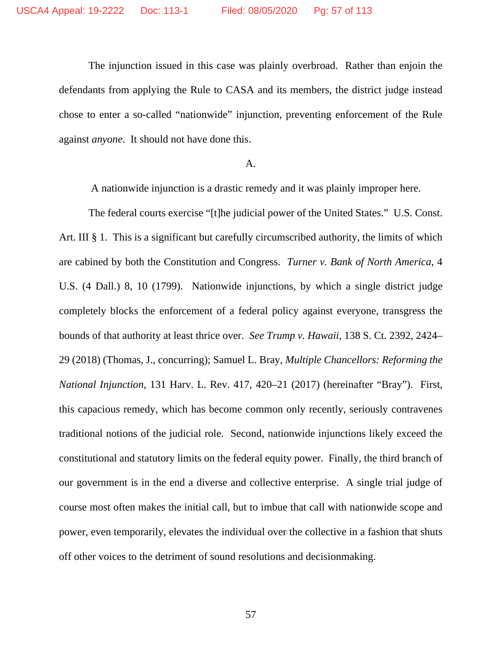The injunction issued in this case was plainly overbroad. Rather than enjoin the defendants from applying the Rule to CASA and its members, the district judge instead chose to enter a so-called "nationwide" injunction, preventing enforcement of the Rule against *anyone*. It should not have done this.

# A.

A nationwide injunction is a drastic remedy and it was plainly improper here.

The federal courts exercise "[t]he judicial power of the United States." U.S. Const. Art. III § 1. This is a significant but carefully circumscribed authority, the limits of which are cabined by both the Constitution and Congress. *Turner v. Bank of North America*, 4 U.S. (4 Dall.) 8, 10 (1799). Nationwide injunctions, by which a single district judge completely blocks the enforcement of a federal policy against everyone, transgress the bounds of that authority at least thrice over. *See Trump v. Hawaii*, 138 S. Ct. 2392, 2424– 29 (2018) (Thomas, J., concurring); Samuel L. Bray, *Multiple Chancellors: Reforming the National Injunction*, 131 Harv. L. Rev. 417, 420–21 (2017) (hereinafter "Bray"). First, this capacious remedy, which has become common only recently, seriously contravenes traditional notions of the judicial role. Second, nationwide injunctions likely exceed the constitutional and statutory limits on the federal equity power. Finally, the third branch of our government is in the end a diverse and collective enterprise. A single trial judge of course most often makes the initial call, but to imbue that call with nationwide scope and power, even temporarily, elevates the individual over the collective in a fashion that shuts off other voices to the detriment of sound resolutions and decisionmaking.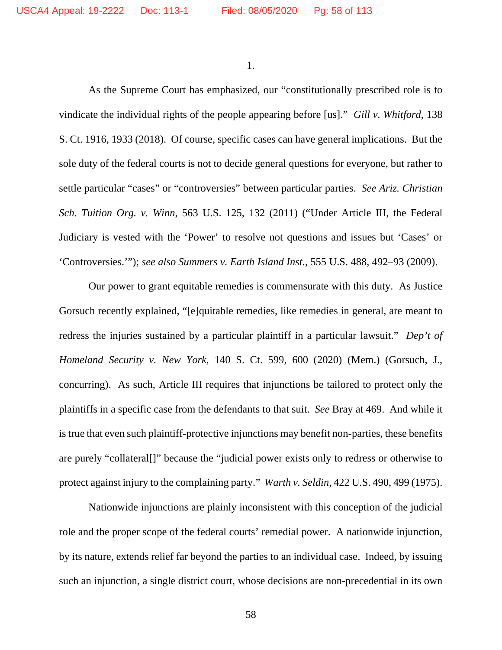1.

As the Supreme Court has emphasized, our "constitutionally prescribed role is to vindicate the individual rights of the people appearing before [us]." *Gill v. Whitford*, 138 S. Ct. 1916, 1933 (2018). Of course, specific cases can have general implications. But the sole duty of the federal courts is not to decide general questions for everyone, but rather to settle particular "cases" or "controversies" between particular parties. *See Ariz. Christian Sch. Tuition Org. v. Winn*, 563 U.S. 125, 132 (2011) ("Under Article III, the Federal Judiciary is vested with the 'Power' to resolve not questions and issues but 'Cases' or 'Controversies.'"); *see also Summers v. Earth Island Inst.*, 555 U.S. 488, 492–93 (2009).

Our power to grant equitable remedies is commensurate with this duty. As Justice Gorsuch recently explained, "[e]quitable remedies, like remedies in general, are meant to redress the injuries sustained by a particular plaintiff in a particular lawsuit." *Dep't of Homeland Security v. New York*, 140 S. Ct. 599, 600 (2020) (Mem.) (Gorsuch, J., concurring). As such, Article III requires that injunctions be tailored to protect only the plaintiffs in a specific case from the defendants to that suit. *See* Bray at 469. And while it is true that even such plaintiff-protective injunctions may benefit non-parties, these benefits are purely "collateral[]" because the "judicial power exists only to redress or otherwise to protect against injury to the complaining party." *Warth v. Seldin*, 422 U.S. 490, 499 (1975).

Nationwide injunctions are plainly inconsistent with this conception of the judicial role and the proper scope of the federal courts' remedial power. A nationwide injunction, by its nature, extends relief far beyond the parties to an individual case. Indeed, by issuing such an injunction, a single district court, whose decisions are non-precedential in its own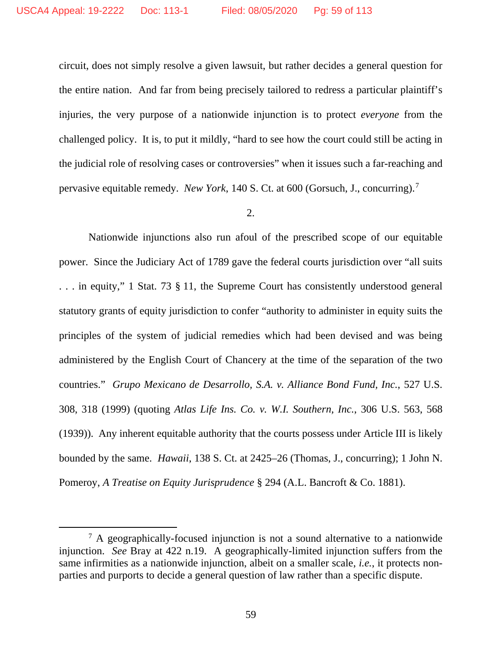circuit, does not simply resolve a given lawsuit, but rather decides a general question for the entire nation. And far from being precisely tailored to redress a particular plaintiff's injuries, the very purpose of a nationwide injunction is to protect *everyone* from the challenged policy. It is, to put it mildly, "hard to see how the court could still be acting in the judicial role of resolving cases or controversies" when it issues such a far-reaching and pervasive equitable remedy. *New York*, 140 S. Ct. at 600 (Gorsuch, J., concurring). [7](#page-58-0)

# 2.

Nationwide injunctions also run afoul of the prescribed scope of our equitable power. Since the Judiciary Act of 1789 gave the federal courts jurisdiction over "all suits . . . in equity," 1 Stat. 73 § 11, the Supreme Court has consistently understood general statutory grants of equity jurisdiction to confer "authority to administer in equity suits the principles of the system of judicial remedies which had been devised and was being administered by the English Court of Chancery at the time of the separation of the two countries." *Grupo Mexicano de Desarrollo, S.A. v. Alliance Bond Fund, Inc.*, 527 U.S. 308, 318 (1999) (quoting *Atlas Life Ins. Co. v. W.I. Southern, Inc.*, 306 U.S. 563, 568 (1939)). Any inherent equitable authority that the courts possess under Article III is likely bounded by the same. *Hawaii*, 138 S. Ct. at 2425–26 (Thomas, J., concurring); 1 John N. Pomeroy, *A Treatise on Equity Jurisprudence* § 294 (A.L. Bancroft & Co. 1881).

<span id="page-58-0"></span> $<sup>7</sup>$  A geographically-focused injunction is not a sound alternative to a nationwide</sup> injunction. *See* Bray at 422 n.19. A geographically-limited injunction suffers from the same infirmities as a nationwide injunction, albeit on a smaller scale, *i.e.*, it protects nonparties and purports to decide a general question of law rather than a specific dispute.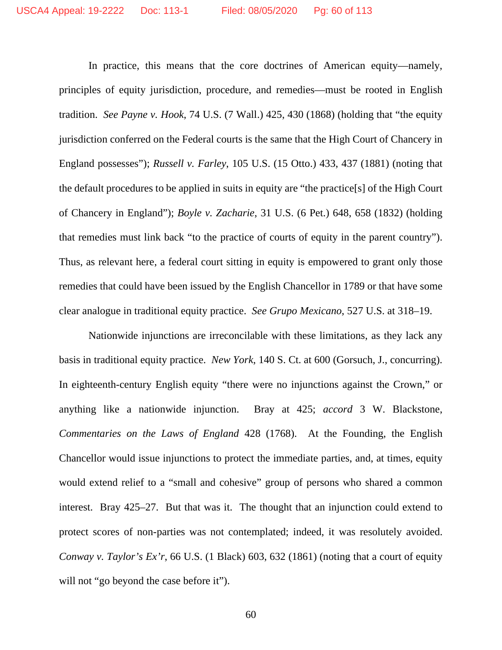In practice, this means that the core doctrines of American equity—namely, principles of equity jurisdiction, procedure, and remedies—must be rooted in English tradition. *See Payne v. Hook*, 74 U.S. (7 Wall.) 425, 430 (1868) (holding that "the equity jurisdiction conferred on the Federal courts is the same that the High Court of Chancery in England possesses"); *Russell v. Farley*, 105 U.S. (15 Otto.) 433, 437 (1881) (noting that the default procedures to be applied in suits in equity are "the practice[s] of the High Court of Chancery in England"); *Boyle v. Zacharie*, 31 U.S. (6 Pet.) 648, 658 (1832) (holding that remedies must link back "to the practice of courts of equity in the parent country"). Thus, as relevant here, a federal court sitting in equity is empowered to grant only those remedies that could have been issued by the English Chancellor in 1789 or that have some clear analogue in traditional equity practice. *See Grupo Mexicano*, 527 U.S. at 318–19.

Nationwide injunctions are irreconcilable with these limitations, as they lack any basis in traditional equity practice. *New York*, 140 S. Ct. at 600 (Gorsuch, J., concurring). In eighteenth-century English equity "there were no injunctions against the Crown," or anything like a nationwide injunction. Bray at 425; *accord* 3 W. Blackstone, *Commentaries on the Laws of England* 428 (1768). At the Founding, the English Chancellor would issue injunctions to protect the immediate parties, and, at times, equity would extend relief to a "small and cohesive" group of persons who shared a common interest. Bray 425–27. But that was it. The thought that an injunction could extend to protect scores of non-parties was not contemplated; indeed, it was resolutely avoided. *Conway v. Taylor's Ex'r*, 66 U.S. (1 Black) 603, 632 (1861) (noting that a court of equity will not "go beyond the case before it").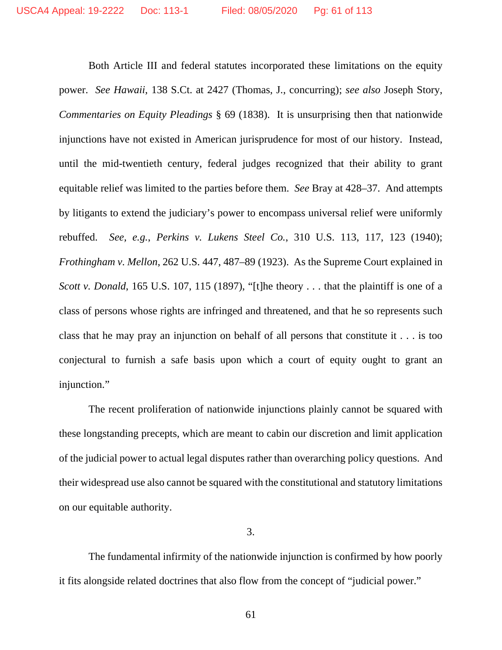Both Article III and federal statutes incorporated these limitations on the equity power. *See Hawaii*, 138 S.Ct. at 2427 (Thomas, J., concurring); *see also* Joseph Story, *Commentaries on Equity Pleadings* § 69 (1838). It is unsurprising then that nationwide injunctions have not existed in American jurisprudence for most of our history. Instead, until the mid-twentieth century, federal judges recognized that their ability to grant equitable relief was limited to the parties before them. *See* Bray at 428–37. And attempts by litigants to extend the judiciary's power to encompass universal relief were uniformly rebuffed. *See, e.g.*, *Perkins v. Lukens Steel Co.*, 310 U.S. 113, 117, 123 (1940); *Frothingham v. Mellon*, 262 U.S. 447, 487–89 (1923). As the Supreme Court explained in *Scott v. Donald*, 165 U.S. 107, 115 (1897), "[t]he theory . . . that the plaintiff is one of a class of persons whose rights are infringed and threatened, and that he so represents such class that he may pray an injunction on behalf of all persons that constitute it . . . is too conjectural to furnish a safe basis upon which a court of equity ought to grant an injunction."

The recent proliferation of nationwide injunctions plainly cannot be squared with these longstanding precepts, which are meant to cabin our discretion and limit application of the judicial power to actual legal disputes rather than overarching policy questions. And their widespread use also cannot be squared with the constitutional and statutory limitations on our equitable authority.

## 3.

The fundamental infirmity of the nationwide injunction is confirmed by how poorly it fits alongside related doctrines that also flow from the concept of "judicial power."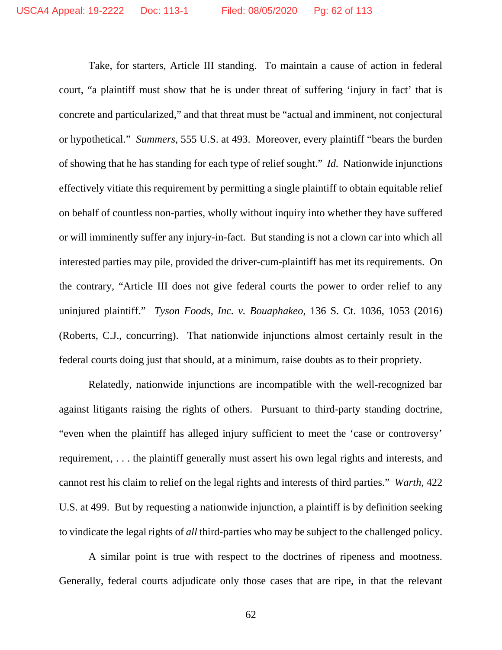Take, for starters, Article III standing. To maintain a cause of action in federal court, "a plaintiff must show that he is under threat of suffering 'injury in fact' that is concrete and particularized," and that threat must be "actual and imminent, not conjectural or hypothetical." *Summers*, 555 U.S. at 493. Moreover, every plaintiff "bears the burden of showing that he has standing for each type of relief sought." *Id.* Nationwide injunctions effectively vitiate this requirement by permitting a single plaintiff to obtain equitable relief on behalf of countless non-parties, wholly without inquiry into whether they have suffered or will imminently suffer any injury-in-fact. But standing is not a clown car into which all interested parties may pile, provided the driver-cum-plaintiff has met its requirements. On the contrary, "Article III does not give federal courts the power to order relief to any uninjured plaintiff." *Tyson Foods, Inc. v. Bouaphakeo*, 136 S. Ct. 1036, 1053 (2016) (Roberts, C.J., concurring). That nationwide injunctions almost certainly result in the federal courts doing just that should, at a minimum, raise doubts as to their propriety.

Relatedly, nationwide injunctions are incompatible with the well-recognized bar against litigants raising the rights of others. Pursuant to third-party standing doctrine, "even when the plaintiff has alleged injury sufficient to meet the 'case or controversy' requirement, . . . the plaintiff generally must assert his own legal rights and interests, and cannot rest his claim to relief on the legal rights and interests of third parties." *Warth*, 422 U.S. at 499. But by requesting a nationwide injunction, a plaintiff is by definition seeking to vindicate the legal rights of *all* third-parties who may be subject to the challenged policy.

A similar point is true with respect to the doctrines of ripeness and mootness. Generally, federal courts adjudicate only those cases that are ripe, in that the relevant

62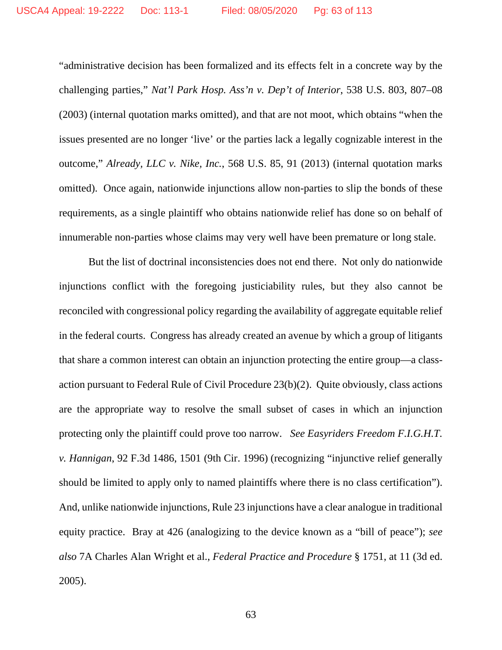"administrative decision has been formalized and its effects felt in a concrete way by the challenging parties," *Nat'l Park Hosp. Ass'n v. Dep't of Interior*, 538 U.S. 803, 807–08 (2003) (internal quotation marks omitted)*,* and that are not moot, which obtains "when the issues presented are no longer 'live' or the parties lack a legally cognizable interest in the outcome," *Already, LLC v. Nike, Inc.*, 568 U.S. 85, 91 (2013) (internal quotation marks omitted). Once again, nationwide injunctions allow non-parties to slip the bonds of these requirements, as a single plaintiff who obtains nationwide relief has done so on behalf of innumerable non-parties whose claims may very well have been premature or long stale.

But the list of doctrinal inconsistencies does not end there. Not only do nationwide injunctions conflict with the foregoing justiciability rules, but they also cannot be reconciled with congressional policy regarding the availability of aggregate equitable relief in the federal courts. Congress has already created an avenue by which a group of litigants that share a common interest can obtain an injunction protecting the entire group—a classaction pursuant to Federal Rule of Civil Procedure 23(b)(2). Quite obviously, class actions are the appropriate way to resolve the small subset of cases in which an injunction protecting only the plaintiff could prove too narrow. *See Easyriders Freedom F.I.G.H.T. v. Hannigan*, 92 F.3d 1486, 1501 (9th Cir. 1996) (recognizing "injunctive relief generally should be limited to apply only to named plaintiffs where there is no class certification"). And, unlike nationwide injunctions, Rule 23 injunctions have a clear analogue in traditional equity practice. Bray at 426 (analogizing to the device known as a "bill of peace"); *see also* 7A Charles Alan Wright et al., *Federal Practice and Procedure* § 1751, at 11 (3d ed. 2005).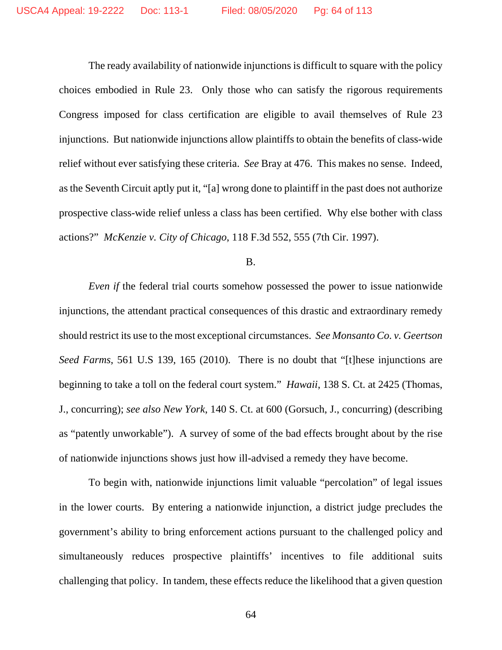The ready availability of nationwide injunctions is difficult to square with the policy choices embodied in Rule 23. Only those who can satisfy the rigorous requirements Congress imposed for class certification are eligible to avail themselves of Rule 23 injunctions. But nationwide injunctions allow plaintiffs to obtain the benefits of class-wide relief without ever satisfying these criteria. *See* Bray at 476. This makes no sense. Indeed, as the Seventh Circuit aptly put it, "[a] wrong done to plaintiff in the past does not authorize prospective class-wide relief unless a class has been certified. Why else bother with class actions?" *McKenzie v. City of Chicago*, 118 F.3d 552, 555 (7th Cir. 1997).

#### B.

*Even if* the federal trial courts somehow possessed the power to issue nationwide injunctions, the attendant practical consequences of this drastic and extraordinary remedy should restrict its use to the most exceptional circumstances. *See Monsanto Co. v. Geertson Seed Farms*, 561 U.S 139, 165 (2010). There is no doubt that "[t]hese injunctions are beginning to take a toll on the federal court system." *Hawaii*, 138 S. Ct. at 2425 (Thomas, J., concurring); *see also New York*, 140 S. Ct. at 600 (Gorsuch, J., concurring) (describing as "patently unworkable"). A survey of some of the bad effects brought about by the rise of nationwide injunctions shows just how ill-advised a remedy they have become.

To begin with, nationwide injunctions limit valuable "percolation" of legal issues in the lower courts. By entering a nationwide injunction, a district judge precludes the government's ability to bring enforcement actions pursuant to the challenged policy and simultaneously reduces prospective plaintiffs' incentives to file additional suits challenging that policy. In tandem, these effects reduce the likelihood that a given question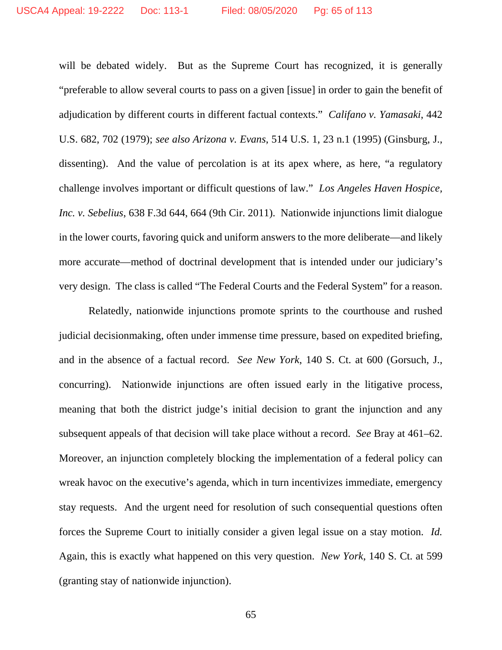will be debated widely. But as the Supreme Court has recognized, it is generally "preferable to allow several courts to pass on a given [issue] in order to gain the benefit of adjudication by different courts in different factual contexts." *Califano v. Yamasaki*, 442 U.S. 682, 702 (1979); *see also Arizona v. Evans*, 514 U.S. 1, 23 n.1 (1995) (Ginsburg, J., dissenting). And the value of percolation is at its apex where, as here, "a regulatory challenge involves important or difficult questions of law." *Los Angeles Haven Hospice, Inc. v. Sebelius*, 638 F.3d 644, 664 (9th Cir. 2011). Nationwide injunctions limit dialogue in the lower courts, favoring quick and uniform answers to the more deliberate—and likely more accurate—method of doctrinal development that is intended under our judiciary's very design. The class is called "The Federal Courts and the Federal System" for a reason.

Relatedly, nationwide injunctions promote sprints to the courthouse and rushed judicial decisionmaking, often under immense time pressure, based on expedited briefing, and in the absence of a factual record. *See New York*, 140 S. Ct. at 600 (Gorsuch, J., concurring). Nationwide injunctions are often issued early in the litigative process, meaning that both the district judge's initial decision to grant the injunction and any subsequent appeals of that decision will take place without a record. *See* Bray at 461–62. Moreover, an injunction completely blocking the implementation of a federal policy can wreak havoc on the executive's agenda, which in turn incentivizes immediate, emergency stay requests. And the urgent need for resolution of such consequential questions often forces the Supreme Court to initially consider a given legal issue on a stay motion. *Id.*  Again, this is exactly what happened on this very question. *New York*, 140 S. Ct. at 599 (granting stay of nationwide injunction).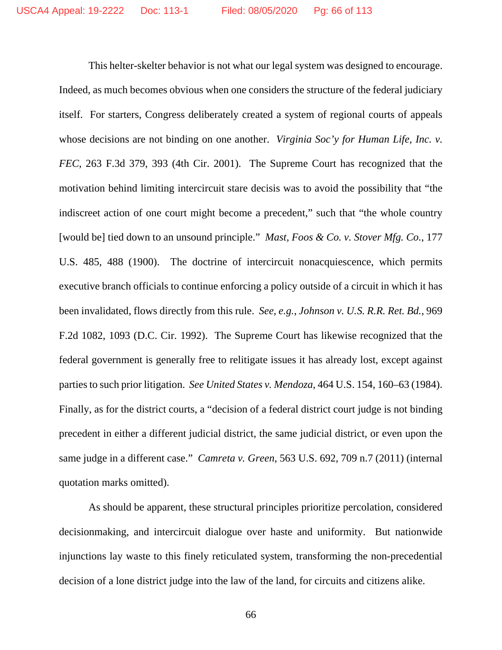This helter-skelter behavior is not what our legal system was designed to encourage. Indeed, as much becomes obvious when one considers the structure of the federal judiciary itself. For starters, Congress deliberately created a system of regional courts of appeals whose decisions are not binding on one another. *Virginia Soc'y for Human Life, Inc. v. FEC*, 263 F.3d 379, 393 (4th Cir. 2001). The Supreme Court has recognized that the motivation behind limiting intercircuit stare decisis was to avoid the possibility that "the indiscreet action of one court might become a precedent," such that "the whole country [would be] tied down to an unsound principle." *Mast, Foos & Co. v. Stover Mfg. Co.*, 177 U.S. 485, 488 (1900). The doctrine of intercircuit nonacquiescence, which permits executive branch officials to continue enforcing a policy outside of a circuit in which it has been invalidated, flows directly from this rule. *See, e.g.*, *Johnson v. U.S. R.R. Ret. Bd.*, 969 F.2d 1082, 1093 (D.C. Cir. 1992). The Supreme Court has likewise recognized that the federal government is generally free to relitigate issues it has already lost, except against parties to such prior litigation. *See United States v. Mendoza*, 464 U.S. 154, 160–63 (1984). Finally, as for the district courts, a "decision of a federal district court judge is not binding precedent in either a different judicial district, the same judicial district, or even upon the same judge in a different case." *Camreta v. Green*, 563 U.S. 692, 709 n.7 (2011) (internal quotation marks omitted).

As should be apparent, these structural principles prioritize percolation, considered decisionmaking, and intercircuit dialogue over haste and uniformity. But nationwide injunctions lay waste to this finely reticulated system, transforming the non-precedential decision of a lone district judge into the law of the land, for circuits and citizens alike.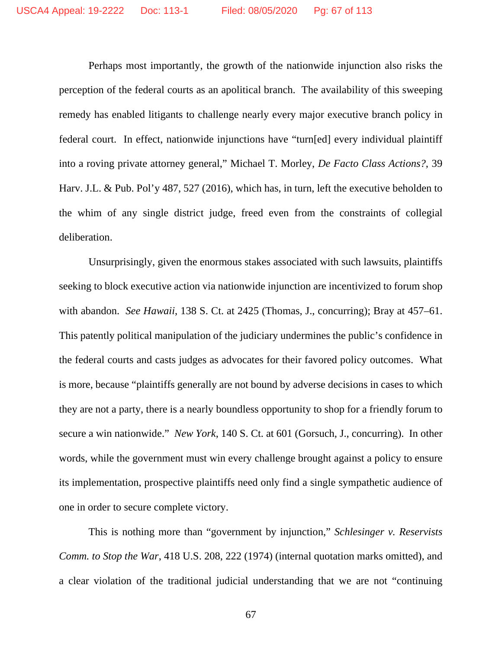Perhaps most importantly, the growth of the nationwide injunction also risks the perception of the federal courts as an apolitical branch. The availability of this sweeping remedy has enabled litigants to challenge nearly every major executive branch policy in federal court. In effect, nationwide injunctions have "turn[ed] every individual plaintiff into a roving private attorney general," Michael T. Morley, *De Facto Class Actions?*, 39 Harv. J.L. & Pub. Pol'y 487, 527 (2016), which has, in turn, left the executive beholden to the whim of any single district judge, freed even from the constraints of collegial deliberation.

Unsurprisingly, given the enormous stakes associated with such lawsuits, plaintiffs seeking to block executive action via nationwide injunction are incentivized to forum shop with abandon. *See Hawaii*, 138 S. Ct. at 2425 (Thomas, J., concurring); Bray at 457–61. This patently political manipulation of the judiciary undermines the public's confidence in the federal courts and casts judges as advocates for their favored policy outcomes. What is more, because "plaintiffs generally are not bound by adverse decisions in cases to which they are not a party, there is a nearly boundless opportunity to shop for a friendly forum to secure a win nationwide." *New York*, 140 S. Ct. at 601 (Gorsuch, J., concurring). In other words, while the government must win every challenge brought against a policy to ensure its implementation, prospective plaintiffs need only find a single sympathetic audience of one in order to secure complete victory.

This is nothing more than "government by injunction," *Schlesinger v. Reservists Comm. to Stop the War*, 418 U.S. 208, 222 (1974) (internal quotation marks omitted), and a clear violation of the traditional judicial understanding that we are not "continuing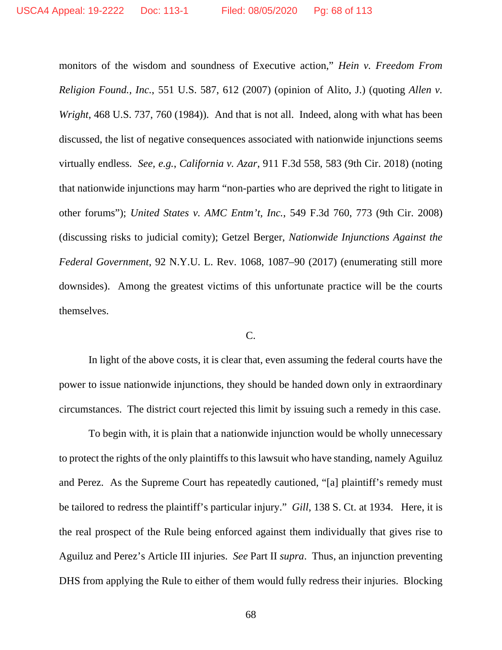monitors of the wisdom and soundness of Executive action," *Hein v. Freedom From Religion Found., Inc.*, 551 U.S. 587, 612 (2007) (opinion of Alito, J.) (quoting *Allen v. Wright*, 468 U.S. 737, 760 (1984)). And that is not all. Indeed, along with what has been discussed, the list of negative consequences associated with nationwide injunctions seems virtually endless. *See, e.g.*, *California v. Azar*, 911 F.3d 558, 583 (9th Cir. 2018) (noting that nationwide injunctions may harm "non-parties who are deprived the right to litigate in other forums"); *United States v. AMC Entm't, Inc.*, 549 F.3d 760, 773 (9th Cir. 2008) (discussing risks to judicial comity); Getzel Berger, *Nationwide Injunctions Against the Federal Government*, 92 N.Y.U. L. Rev. 1068, 1087–90 (2017) (enumerating still more downsides). Among the greatest victims of this unfortunate practice will be the courts themselves.

# C.

In light of the above costs, it is clear that, even assuming the federal courts have the power to issue nationwide injunctions, they should be handed down only in extraordinary circumstances. The district court rejected this limit by issuing such a remedy in this case.

To begin with, it is plain that a nationwide injunction would be wholly unnecessary to protect the rights of the only plaintiffs to this lawsuit who have standing, namely Aguiluz and Perez. As the Supreme Court has repeatedly cautioned, "[a] plaintiff's remedy must be tailored to redress the plaintiff's particular injury." *Gill*, 138 S. Ct. at 1934. Here, it is the real prospect of the Rule being enforced against them individually that gives rise to Aguiluz and Perez's Article III injuries. *See* Part II *supra*. Thus, an injunction preventing DHS from applying the Rule to either of them would fully redress their injuries. Blocking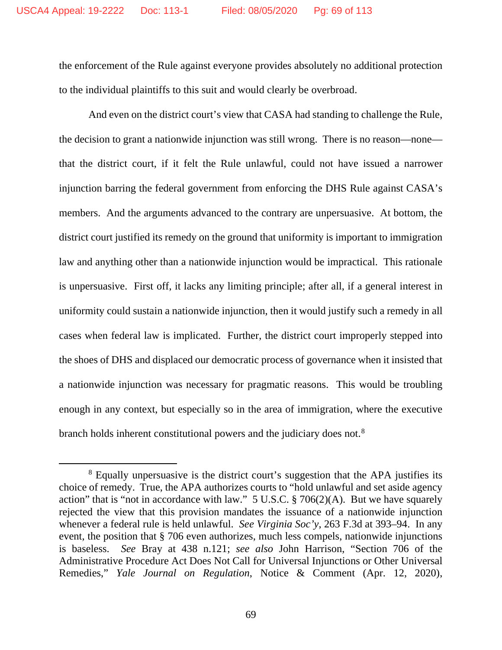the enforcement of the Rule against everyone provides absolutely no additional protection to the individual plaintiffs to this suit and would clearly be overbroad.

And even on the district court's view that CASA had standing to challenge the Rule, the decision to grant a nationwide injunction was still wrong. There is no reason—none that the district court, if it felt the Rule unlawful, could not have issued a narrower injunction barring the federal government from enforcing the DHS Rule against CASA's members. And the arguments advanced to the contrary are unpersuasive. At bottom, the district court justified its remedy on the ground that uniformity is important to immigration law and anything other than a nationwide injunction would be impractical. This rationale is unpersuasive. First off, it lacks any limiting principle; after all, if a general interest in uniformity could sustain a nationwide injunction, then it would justify such a remedy in all cases when federal law is implicated. Further, the district court improperly stepped into the shoes of DHS and displaced our democratic process of governance when it insisted that a nationwide injunction was necessary for pragmatic reasons. This would be troubling enough in any context, but especially so in the area of immigration, where the executive branch holds inherent constitutional powers and the judiciary does not.[8](#page-68-0)

<span id="page-68-0"></span><sup>&</sup>lt;sup>8</sup> Equally unpersuasive is the district court's suggestion that the APA justifies its choice of remedy. True, the APA authorizes courts to "hold unlawful and set aside agency action" that is "not in accordance with law."  $5 \text{ U.S.C.}$  § 706(2)(A). But we have squarely rejected the view that this provision mandates the issuance of a nationwide injunction whenever a federal rule is held unlawful. *See Virginia Soc'y*, 263 F.3d at 393–94. In any event, the position that § 706 even authorizes, much less compels, nationwide injunctions is baseless. *See* Bray at 438 n.121; *see also* John Harrison, "Section 706 of the Administrative Procedure Act Does Not Call for Universal Injunctions or Other Universal Remedies," *Yale Journal on Regulation*, Notice & Comment (Apr. 12, 2020),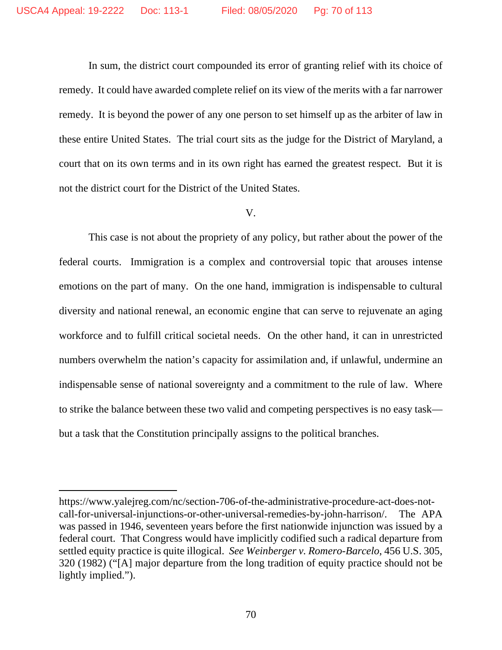In sum, the district court compounded its error of granting relief with its choice of remedy. It could have awarded complete relief on its view of the merits with a far narrower remedy. It is beyond the power of any one person to set himself up as the arbiter of law in these entire United States. The trial court sits as the judge for the District of Maryland, a court that on its own terms and in its own right has earned the greatest respect. But it is not the district court for the District of the United States.

## V.

This case is not about the propriety of any policy, but rather about the power of the federal courts. Immigration is a complex and controversial topic that arouses intense emotions on the part of many. On the one hand, immigration is indispensable to cultural diversity and national renewal, an economic engine that can serve to rejuvenate an aging workforce and to fulfill critical societal needs. On the other hand, it can in unrestricted numbers overwhelm the nation's capacity for assimilation and, if unlawful, undermine an indispensable sense of national sovereignty and a commitment to the rule of law. Where to strike the balance between these two valid and competing perspectives is no easy task but a task that the Constitution principally assigns to the political branches.

https://www.yalejreg.com/nc/section-706-of-the-administrative-procedure-act-does-notcall-for-universal-injunctions-or-other-universal-remedies-by-john-harrison/. The APA was passed in 1946, seventeen years before the first nationwide injunction was issued by a federal court. That Congress would have implicitly codified such a radical departure from settled equity practice is quite illogical. *See Weinberger v. Romero-Barcelo*, 456 U.S. 305, 320 (1982) ("[A] major departure from the long tradition of equity practice should not be lightly implied.").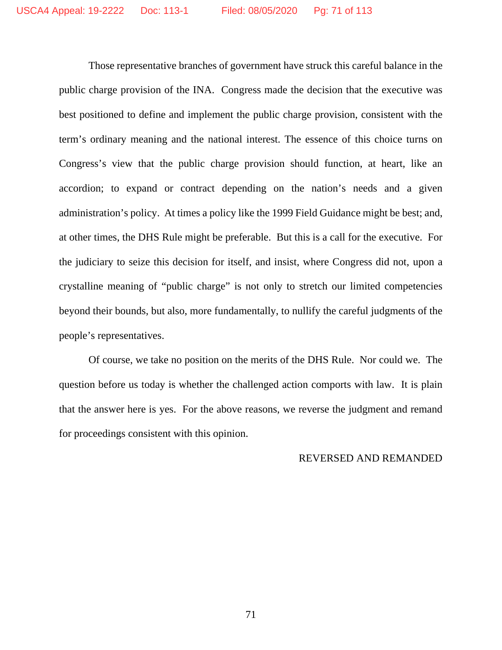Those representative branches of government have struck this careful balance in the public charge provision of the INA. Congress made the decision that the executive was best positioned to define and implement the public charge provision, consistent with the term's ordinary meaning and the national interest. The essence of this choice turns on Congress's view that the public charge provision should function, at heart, like an accordion; to expand or contract depending on the nation's needs and a given administration's policy. At times a policy like the 1999 Field Guidance might be best; and, at other times, the DHS Rule might be preferable. But this is a call for the executive. For the judiciary to seize this decision for itself, and insist, where Congress did not, upon a crystalline meaning of "public charge" is not only to stretch our limited competencies beyond their bounds, but also, more fundamentally, to nullify the careful judgments of the people's representatives.

Of course, we take no position on the merits of the DHS Rule. Nor could we. The question before us today is whether the challenged action comports with law. It is plain that the answer here is yes. For the above reasons, we reverse the judgment and remand for proceedings consistent with this opinion.

# REVERSED AND REMANDED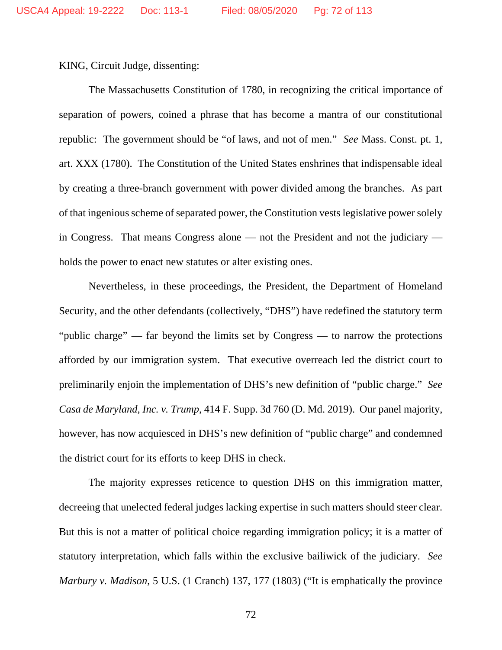KING, Circuit Judge, dissenting:

The Massachusetts Constitution of 1780, in recognizing the critical importance of separation of powers, coined a phrase that has become a mantra of our constitutional republic: The government should be "of laws, and not of men." *See* Mass. Const. pt. 1, art. XXX (1780). The Constitution of the United States enshrines that indispensable ideal by creating a three-branch government with power divided among the branches. As part of that ingenious scheme of separated power, the Constitution vests legislative power solely in Congress. That means Congress alone — not the President and not the judiciary holds the power to enact new statutes or alter existing ones.

Nevertheless, in these proceedings, the President, the Department of Homeland Security, and the other defendants (collectively, "DHS") have redefined the statutory term "public charge" — far beyond the limits set by Congress — to narrow the protections afforded by our immigration system. That executive overreach led the district court to preliminarily enjoin the implementation of DHS's new definition of "public charge." *See Casa de Maryland, Inc. v. Trump*, 414 F. Supp. 3d 760 (D. Md. 2019). Our panel majority, however, has now acquiesced in DHS's new definition of "public charge" and condemned the district court for its efforts to keep DHS in check.

The majority expresses reticence to question DHS on this immigration matter, decreeing that unelected federal judges lacking expertise in such matters should steer clear. But this is not a matter of political choice regarding immigration policy; it is a matter of statutory interpretation, which falls within the exclusive bailiwick of the judiciary. *See Marbury v. Madison*, 5 U.S. (1 Cranch) 137, 177 (1803) ("It is emphatically the province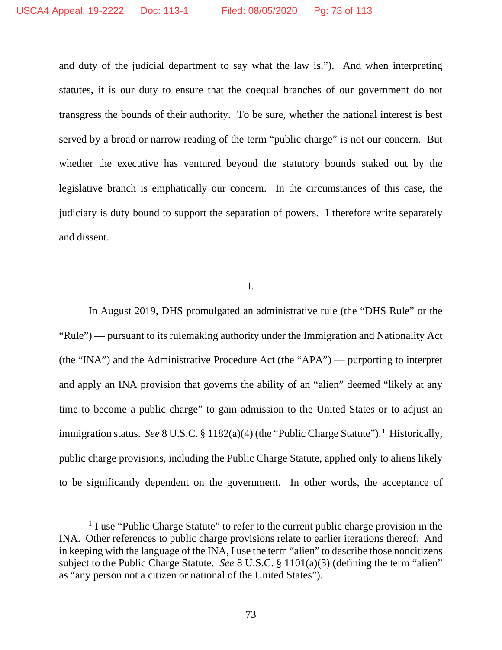and duty of the judicial department to say what the law is."). And when interpreting statutes, it is our duty to ensure that the coequal branches of our government do not transgress the bounds of their authority. To be sure, whether the national interest is best served by a broad or narrow reading of the term "public charge" is not our concern. But whether the executive has ventured beyond the statutory bounds staked out by the legislative branch is emphatically our concern. In the circumstances of this case, the judiciary is duty bound to support the separation of powers. I therefore write separately and dissent.

I.

In August 2019, DHS promulgated an administrative rule (the "DHS Rule" or the "Rule") — pursuant to its rulemaking authority under the Immigration and Nationality Act (the "INA") and the Administrative Procedure Act (the "APA") — purporting to interpret and apply an INA provision that governs the ability of an "alien" deemed "likely at any time to become a public charge" to gain admission to the United States or to adjust an immigration status. See 8 U.S.C. § [1](#page-72-0)182(a)(4) (the "Public Charge Statute").<sup>1</sup> Historically, public charge provisions, including the Public Charge Statute, applied only to aliens likely to be significantly dependent on the government. In other words, the acceptance of

<span id="page-72-0"></span><sup>&</sup>lt;sup>1</sup> I use "Public Charge Statute" to refer to the current public charge provision in the INA. Other references to public charge provisions relate to earlier iterations thereof. And in keeping with the language of the INA, I use the term "alien" to describe those noncitizens subject to the Public Charge Statute. *See* 8 U.S.C. § 1101(a)(3) (defining the term "alien" as "any person not a citizen or national of the United States").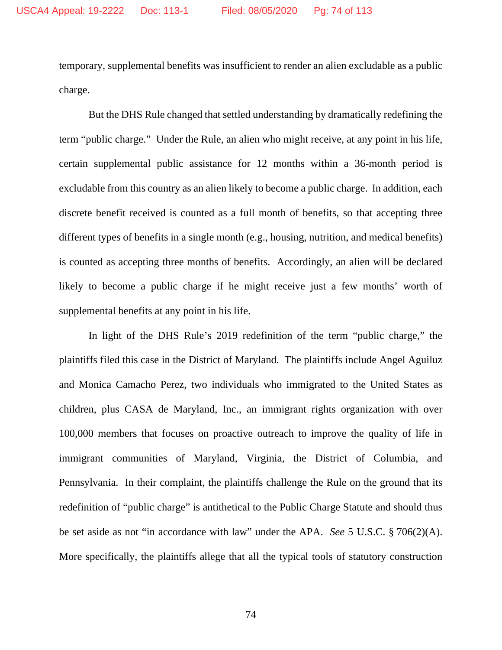temporary, supplemental benefits was insufficient to render an alien excludable as a public charge.

But the DHS Rule changed that settled understanding by dramatically redefining the term "public charge." Under the Rule, an alien who might receive, at any point in his life, certain supplemental public assistance for 12 months within a 36-month period is excludable from this country as an alien likely to become a public charge. In addition, each discrete benefit received is counted as a full month of benefits, so that accepting three different types of benefits in a single month (e.g., housing, nutrition, and medical benefits) is counted as accepting three months of benefits. Accordingly, an alien will be declared likely to become a public charge if he might receive just a few months' worth of supplemental benefits at any point in his life.

In light of the DHS Rule's 2019 redefinition of the term "public charge," the plaintiffs filed this case in the District of Maryland. The plaintiffs include Angel Aguiluz and Monica Camacho Perez, two individuals who immigrated to the United States as children, plus CASA de Maryland, Inc., an immigrant rights organization with over 100,000 members that focuses on proactive outreach to improve the quality of life in immigrant communities of Maryland, Virginia, the District of Columbia, and Pennsylvania. In their complaint, the plaintiffs challenge the Rule on the ground that its redefinition of "public charge" is antithetical to the Public Charge Statute and should thus be set aside as not "in accordance with law" under the APA. *See* 5 U.S.C. § 706(2)(A). More specifically, the plaintiffs allege that all the typical tools of statutory construction

74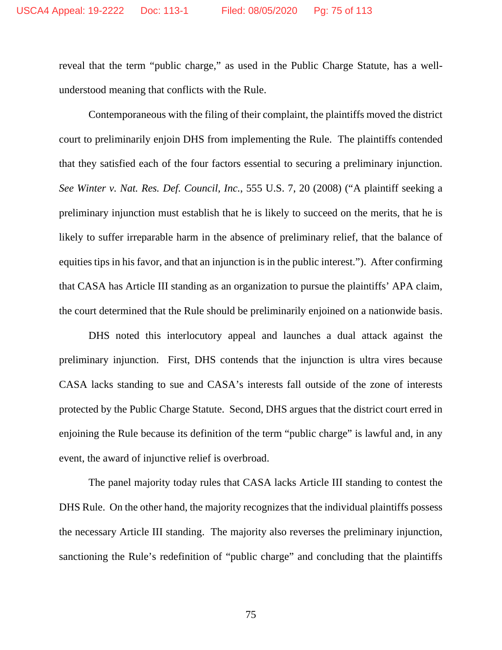reveal that the term "public charge," as used in the Public Charge Statute, has a wellunderstood meaning that conflicts with the Rule.

Contemporaneous with the filing of their complaint, the plaintiffs moved the district court to preliminarily enjoin DHS from implementing the Rule. The plaintiffs contended that they satisfied each of the four factors essential to securing a preliminary injunction. *See Winter v. Nat. Res. Def. Council, Inc.*, 555 U.S. 7, 20 (2008) ("A plaintiff seeking a preliminary injunction must establish that he is likely to succeed on the merits, that he is likely to suffer irreparable harm in the absence of preliminary relief, that the balance of equities tips in his favor, and that an injunction is in the public interest."). After confirming that CASA has Article III standing as an organization to pursue the plaintiffs' APA claim, the court determined that the Rule should be preliminarily enjoined on a nationwide basis.

DHS noted this interlocutory appeal and launches a dual attack against the preliminary injunction. First, DHS contends that the injunction is ultra vires because CASA lacks standing to sue and CASA's interests fall outside of the zone of interests protected by the Public Charge Statute. Second, DHS argues that the district court erred in enjoining the Rule because its definition of the term "public charge" is lawful and, in any event, the award of injunctive relief is overbroad.

The panel majority today rules that CASA lacks Article III standing to contest the DHS Rule. On the other hand, the majority recognizes that the individual plaintiffs possess the necessary Article III standing. The majority also reverses the preliminary injunction, sanctioning the Rule's redefinition of "public charge" and concluding that the plaintiffs

75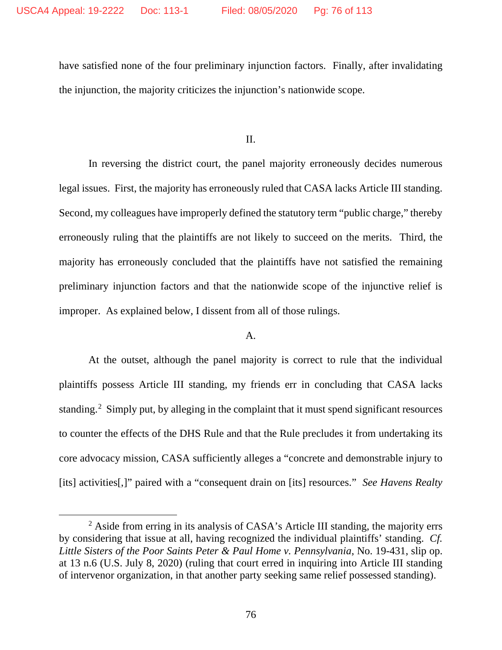have satisfied none of the four preliminary injunction factors. Finally, after invalidating the injunction, the majority criticizes the injunction's nationwide scope.

II.

In reversing the district court, the panel majority erroneously decides numerous legal issues. First, the majority has erroneously ruled that CASA lacks Article III standing. Second, my colleagues have improperly defined the statutory term "public charge," thereby erroneously ruling that the plaintiffs are not likely to succeed on the merits. Third, the majority has erroneously concluded that the plaintiffs have not satisfied the remaining preliminary injunction factors and that the nationwide scope of the injunctive relief is improper. As explained below, I dissent from all of those rulings.

## A.

At the outset, although the panel majority is correct to rule that the individual plaintiffs possess Article III standing, my friends err in concluding that CASA lacks standing.<sup>[2](#page-75-0)</sup> Simply put, by alleging in the complaint that it must spend significant resources to counter the effects of the DHS Rule and that the Rule precludes it from undertaking its core advocacy mission, CASA sufficiently alleges a "concrete and demonstrable injury to [its] activities[,]" paired with a "consequent drain on [its] resources." *See Havens Realty* 

<span id="page-75-0"></span><sup>&</sup>lt;sup>2</sup> Aside from erring in its analysis of CASA's Article III standing, the majority errs by considering that issue at all, having recognized the individual plaintiffs' standing. *Cf. Little Sisters of the Poor Saints Peter & Paul Home v. Pennsylvania*, No. 19-431, slip op. at 13 n.6 (U.S. July 8, 2020) (ruling that court erred in inquiring into Article III standing of intervenor organization, in that another party seeking same relief possessed standing).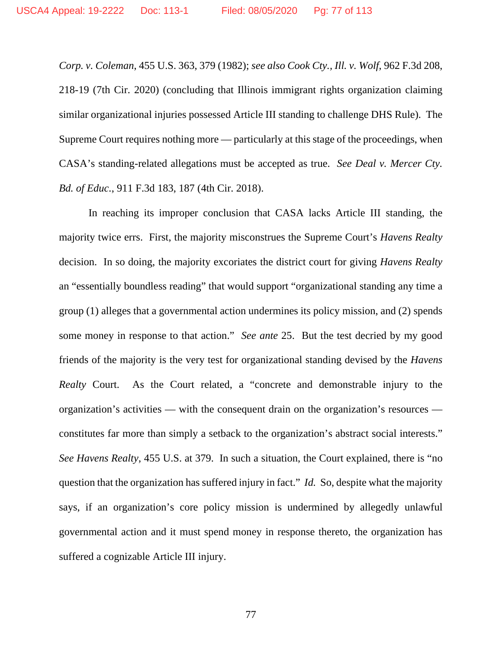*Corp. v. Coleman*, 455 U.S. 363, 379 (1982); *see also Cook Cty., Ill. v. Wolf*, 962 F.3d 208, 218-19 (7th Cir. 2020) (concluding that Illinois immigrant rights organization claiming similar organizational injuries possessed Article III standing to challenge DHS Rule). The Supreme Court requires nothing more — particularly at this stage of the proceedings, when CASA's standing-related allegations must be accepted as true. *See Deal v. Mercer Cty. Bd. of Educ.*, 911 F.3d 183, 187 (4th Cir. 2018).

In reaching its improper conclusion that CASA lacks Article III standing, the majority twice errs. First, the majority misconstrues the Supreme Court's *Havens Realty* decision. In so doing, the majority excoriates the district court for giving *Havens Realty* an "essentially boundless reading" that would support "organizational standing any time a group (1) alleges that a governmental action undermines its policy mission, and (2) spends some money in response to that action." *See ante* 25. But the test decried by my good friends of the majority is the very test for organizational standing devised by the *Havens Realty* Court. As the Court related, a "concrete and demonstrable injury to the organization's activities — with the consequent drain on the organization's resources constitutes far more than simply a setback to the organization's abstract social interests." *See Havens Realty*, 455 U.S. at 379. In such a situation, the Court explained, there is "no question that the organization has suffered injury in fact." *Id.* So, despite what the majority says, if an organization's core policy mission is undermined by allegedly unlawful governmental action and it must spend money in response thereto, the organization has suffered a cognizable Article III injury.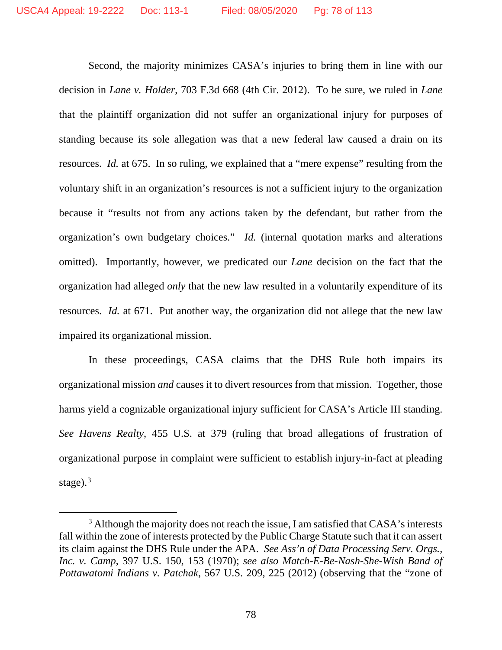Second, the majority minimizes CASA's injuries to bring them in line with our decision in *Lane v. Holder*, 703 F.3d 668 (4th Cir. 2012). To be sure, we ruled in *Lane* that the plaintiff organization did not suffer an organizational injury for purposes of standing because its sole allegation was that a new federal law caused a drain on its resources. *Id.* at 675. In so ruling, we explained that a "mere expense" resulting from the voluntary shift in an organization's resources is not a sufficient injury to the organization because it "results not from any actions taken by the defendant, but rather from the organization's own budgetary choices." *Id.* (internal quotation marks and alterations omitted). Importantly, however, we predicated our *Lane* decision on the fact that the organization had alleged *only* that the new law resulted in a voluntarily expenditure of its resources. *Id.* at 671. Put another way, the organization did not allege that the new law impaired its organizational mission.

In these proceedings, CASA claims that the DHS Rule both impairs its organizational mission *and* causes it to divert resources from that mission. Together, those harms yield a cognizable organizational injury sufficient for CASA's Article III standing. *See Havens Realty*, 455 U.S. at 379 (ruling that broad allegations of frustration of organizational purpose in complaint were sufficient to establish injury-in-fact at pleading stage). $3$ 

<span id="page-77-0"></span><sup>&</sup>lt;sup>3</sup> Although the majority does not reach the issue, I am satisfied that CASA's interests fall within the zone of interests protected by the Public Charge Statute such that it can assert its claim against the DHS Rule under the APA. *See Ass'n of Data Processing Serv. Orgs., Inc. v. Camp*, 397 U.S. 150, 153 (1970); *see also Match-E-Be-Nash-She-Wish Band of Pottawatomi Indians v. Patchak*, 567 U.S. 209, 225 (2012) (observing that the "zone of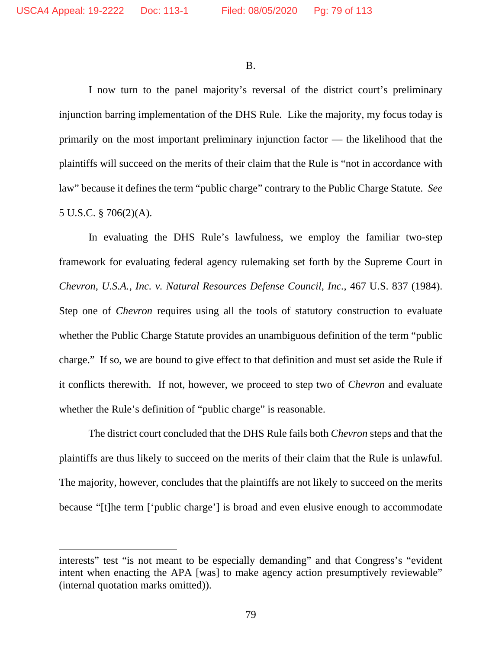B.

I now turn to the panel majority's reversal of the district court's preliminary injunction barring implementation of the DHS Rule. Like the majority, my focus today is primarily on the most important preliminary injunction factor — the likelihood that the plaintiffs will succeed on the merits of their claim that the Rule is "not in accordance with law" because it defines the term "public charge" contrary to the Public Charge Statute. *See* 5 U.S.C. § 706(2)(A).

In evaluating the DHS Rule's lawfulness, we employ the familiar two-step framework for evaluating federal agency rulemaking set forth by the Supreme Court in *Chevron, U.S.A., Inc. v. Natural Resources Defense Council, Inc.*, 467 U.S. 837 (1984). Step one of *Chevron* requires using all the tools of statutory construction to evaluate whether the Public Charge Statute provides an unambiguous definition of the term "public charge." If so, we are bound to give effect to that definition and must set aside the Rule if it conflicts therewith. If not, however, we proceed to step two of *Chevron* and evaluate whether the Rule's definition of "public charge" is reasonable.

The district court concluded that the DHS Rule fails both *Chevron* steps and that the plaintiffs are thus likely to succeed on the merits of their claim that the Rule is unlawful. The majority, however, concludes that the plaintiffs are not likely to succeed on the merits because "[t]he term ['public charge'] is broad and even elusive enough to accommodate

interests" test "is not meant to be especially demanding" and that Congress's "evident intent when enacting the APA [was] to make agency action presumptively reviewable" (internal quotation marks omitted)).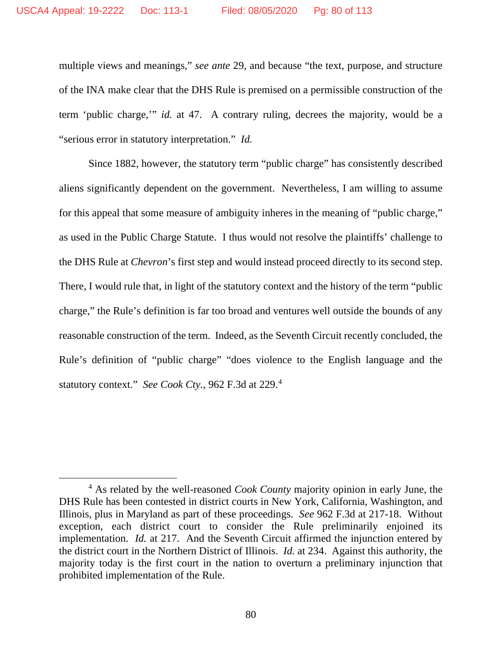multiple views and meanings," *see ante* 29, and because "the text, purpose, and structure of the INA make clear that the DHS Rule is premised on a permissible construction of the term 'public charge,'" *id.* at 47. A contrary ruling, decrees the majority, would be a "serious error in statutory interpretation." *Id.*

Since 1882, however, the statutory term "public charge" has consistently described aliens significantly dependent on the government. Nevertheless, I am willing to assume for this appeal that some measure of ambiguity inheres in the meaning of "public charge," as used in the Public Charge Statute. I thus would not resolve the plaintiffs' challenge to the DHS Rule at *Chevron*'s first step and would instead proceed directly to its second step. There, I would rule that, in light of the statutory context and the history of the term "public charge," the Rule's definition is far too broad and ventures well outside the bounds of any reasonable construction of the term. Indeed, as the Seventh Circuit recently concluded, the Rule's definition of "public charge" "does violence to the English language and the statutory context." *See Cook Cty.*, 962 F.3d at 229.[4](#page-79-0)

<span id="page-79-0"></span><sup>4</sup> As related by the well-reasoned *Cook County* majority opinion in early June, the DHS Rule has been contested in district courts in New York, California, Washington, and Illinois, plus in Maryland as part of these proceedings. *See* 962 F.3d at 217-18. Without exception, each district court to consider the Rule preliminarily enjoined its implementation. *Id.* at 217. And the Seventh Circuit affirmed the injunction entered by the district court in the Northern District of Illinois. *Id.* at 234. Against this authority, the majority today is the first court in the nation to overturn a preliminary injunction that prohibited implementation of the Rule.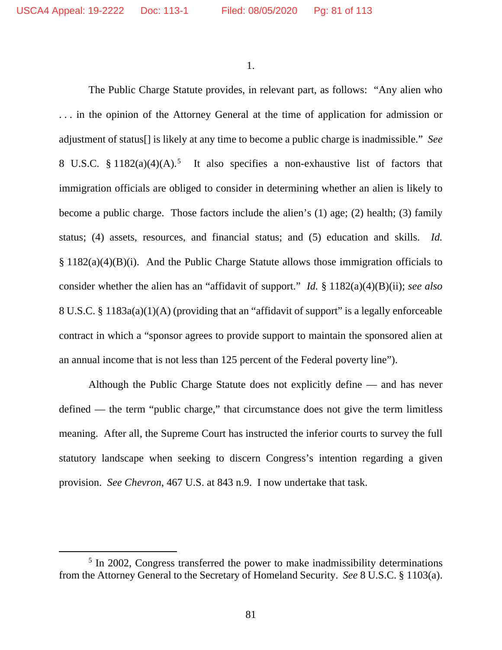1.

The Public Charge Statute provides, in relevant part, as follows: "Any alien who . . . in the opinion of the Attorney General at the time of application for admission or adjustment of status[] is likely at any time to become a public charge is inadmissible." *See* 8 U.S.C.  $§ 1182(a)(4)(A).$ <sup>[5](#page-80-0)</sup> It also specifies a non-exhaustive list of factors that immigration officials are obliged to consider in determining whether an alien is likely to become a public charge. Those factors include the alien's (1) age; (2) health; (3) family status; (4) assets, resources, and financial status; and (5) education and skills. *Id.* § 1182(a)(4)(B)(i). And the Public Charge Statute allows those immigration officials to consider whether the alien has an "affidavit of support." *Id.* § 1182(a)(4)(B)(ii); *see also* 8 U.S.C. § 1183a(a)(1)(A) (providing that an "affidavit of support" is a legally enforceable contract in which a "sponsor agrees to provide support to maintain the sponsored alien at an annual income that is not less than 125 percent of the Federal poverty line").

Although the Public Charge Statute does not explicitly define — and has never defined — the term "public charge," that circumstance does not give the term limitless meaning. After all, the Supreme Court has instructed the inferior courts to survey the full statutory landscape when seeking to discern Congress's intention regarding a given provision. *See Chevron*, 467 U.S. at 843 n.9. I now undertake that task.

<span id="page-80-0"></span><sup>&</sup>lt;sup>5</sup> In 2002, Congress transferred the power to make inadmissibility determinations from the Attorney General to the Secretary of Homeland Security. *See* 8 U.S.C. § 1103(a).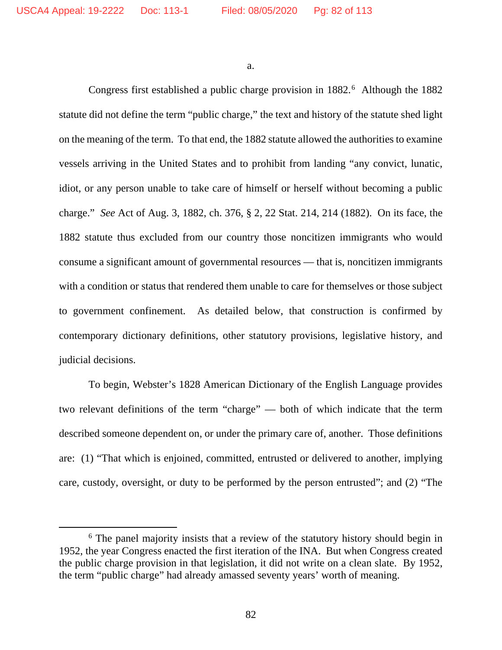a.

Congress first established a public charge provision in 1882.<sup>[6](#page-81-0)</sup> Although the 1882 statute did not define the term "public charge," the text and history of the statute shed light on the meaning of the term. To that end, the 1882 statute allowed the authorities to examine vessels arriving in the United States and to prohibit from landing "any convict, lunatic, idiot, or any person unable to take care of himself or herself without becoming a public charge." *See* Act of Aug. 3, 1882, ch. 376, § 2, 22 Stat. 214, 214 (1882). On its face, the 1882 statute thus excluded from our country those noncitizen immigrants who would consume a significant amount of governmental resources — that is, noncitizen immigrants with a condition or status that rendered them unable to care for themselves or those subject to government confinement. As detailed below, that construction is confirmed by contemporary dictionary definitions, other statutory provisions, legislative history, and judicial decisions.

To begin, Webster's 1828 American Dictionary of the English Language provides two relevant definitions of the term "charge" — both of which indicate that the term described someone dependent on, or under the primary care of, another. Those definitions are: (1) "That which is enjoined, committed, entrusted or delivered to another, implying care, custody, oversight, or duty to be performed by the person entrusted"; and (2) "The

<span id="page-81-0"></span><sup>&</sup>lt;sup>6</sup> The panel majority insists that a review of the statutory history should begin in 1952, the year Congress enacted the first iteration of the INA. But when Congress created the public charge provision in that legislation, it did not write on a clean slate. By 1952, the term "public charge" had already amassed seventy years' worth of meaning.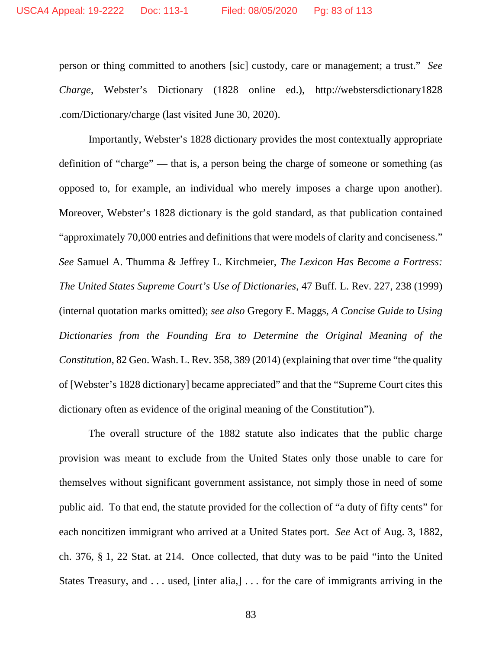person or thing committed to anothers [sic] custody, care or management; a trust." *See Charge*, Webster's Dictionary (1828 online ed.), http://webstersdictionary1828 .com/Dictionary/charge (last visited June 30, 2020).

Importantly, Webster's 1828 dictionary provides the most contextually appropriate definition of "charge" — that is, a person being the charge of someone or something (as opposed to, for example, an individual who merely imposes a charge upon another). Moreover, Webster's 1828 dictionary is the gold standard, as that publication contained "approximately 70,000 entries and definitions that were models of clarity and conciseness." *See* Samuel A. Thumma & Jeffrey L. Kirchmeier, *The Lexicon Has Become a Fortress: The United States Supreme Court's Use of Dictionaries*, 47 Buff. L. Rev. 227, 238 (1999) (internal quotation marks omitted); *see also* Gregory E. Maggs, *A Concise Guide to Using Dictionaries from the Founding Era to Determine the Original Meaning of the Constitution*, 82 Geo. Wash. L. Rev. 358, 389 (2014) (explaining that over time "the quality of [Webster's 1828 dictionary] became appreciated" and that the "Supreme Court cites this dictionary often as evidence of the original meaning of the Constitution").

The overall structure of the 1882 statute also indicates that the public charge provision was meant to exclude from the United States only those unable to care for themselves without significant government assistance, not simply those in need of some public aid. To that end, the statute provided for the collection of "a duty of fifty cents" for each noncitizen immigrant who arrived at a United States port. *See* Act of Aug. 3, 1882, ch. 376, § 1, 22 Stat. at 214. Once collected, that duty was to be paid "into the United States Treasury, and . . . used, [inter alia,] . . . for the care of immigrants arriving in the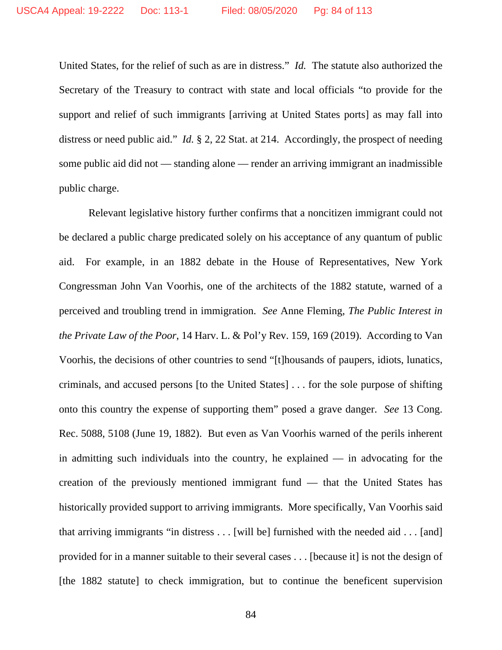United States, for the relief of such as are in distress." *Id.* The statute also authorized the Secretary of the Treasury to contract with state and local officials "to provide for the support and relief of such immigrants [arriving at United States ports] as may fall into distress or need public aid." *Id.* § 2, 22 Stat. at 214. Accordingly, the prospect of needing some public aid did not — standing alone — render an arriving immigrant an inadmissible public charge.

Relevant legislative history further confirms that a noncitizen immigrant could not be declared a public charge predicated solely on his acceptance of any quantum of public aid. For example, in an 1882 debate in the House of Representatives, New York Congressman John Van Voorhis, one of the architects of the 1882 statute, warned of a perceived and troubling trend in immigration. *See* Anne Fleming, *The Public Interest in the Private Law of the Poor*, 14 Harv. L. & Pol'y Rev. 159, 169 (2019). According to Van Voorhis, the decisions of other countries to send "[t]housands of paupers, idiots, lunatics, criminals, and accused persons [to the United States] . . . for the sole purpose of shifting onto this country the expense of supporting them" posed a grave danger. *See* 13 Cong. Rec. 5088, 5108 (June 19, 1882). But even as Van Voorhis warned of the perils inherent in admitting such individuals into the country, he explained — in advocating for the creation of the previously mentioned immigrant fund — that the United States has historically provided support to arriving immigrants. More specifically, Van Voorhis said that arriving immigrants "in distress . . . [will be] furnished with the needed aid . . . [and] provided for in a manner suitable to their several cases . . . [because it] is not the design of [the 1882 statute] to check immigration, but to continue the beneficent supervision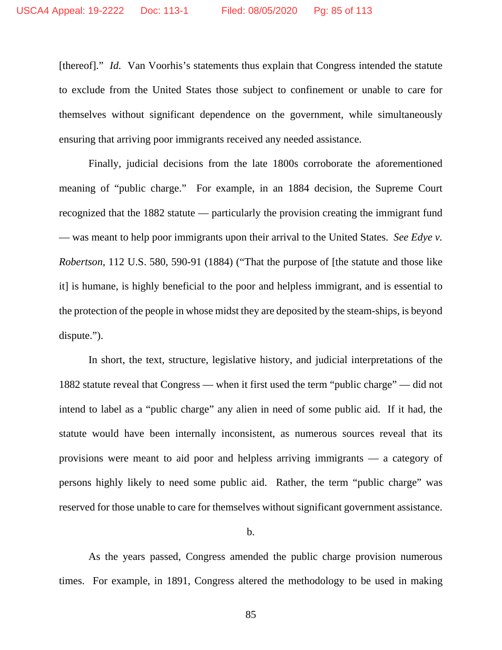[thereof]." *Id.* Van Voorhis's statements thus explain that Congress intended the statute to exclude from the United States those subject to confinement or unable to care for themselves without significant dependence on the government, while simultaneously ensuring that arriving poor immigrants received any needed assistance.

Finally, judicial decisions from the late 1800s corroborate the aforementioned meaning of "public charge." For example, in an 1884 decision, the Supreme Court recognized that the 1882 statute — particularly the provision creating the immigrant fund — was meant to help poor immigrants upon their arrival to the United States. *See Edye v. Robertson*, 112 U.S. 580, 590-91 (1884) ("That the purpose of [the statute and those like it] is humane, is highly beneficial to the poor and helpless immigrant, and is essential to the protection of the people in whose midst they are deposited by the steam-ships, is beyond dispute.").

In short, the text, structure, legislative history, and judicial interpretations of the 1882 statute reveal that Congress — when it first used the term "public charge" — did not intend to label as a "public charge" any alien in need of some public aid. If it had, the statute would have been internally inconsistent, as numerous sources reveal that its provisions were meant to aid poor and helpless arriving immigrants — a category of persons highly likely to need some public aid. Rather, the term "public charge" was reserved for those unable to care for themselves without significant government assistance.

b.

As the years passed, Congress amended the public charge provision numerous times. For example, in 1891, Congress altered the methodology to be used in making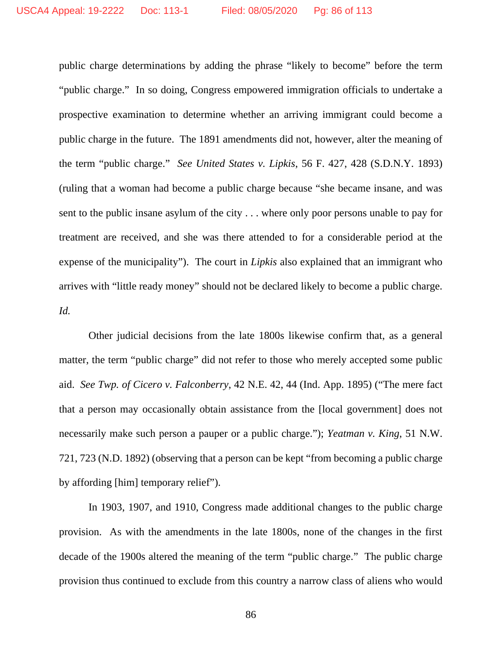public charge determinations by adding the phrase "likely to become" before the term "public charge." In so doing, Congress empowered immigration officials to undertake a prospective examination to determine whether an arriving immigrant could become a public charge in the future. The 1891 amendments did not, however, alter the meaning of the term "public charge." *See United States v. Lipkis*, 56 F. 427, 428 (S.D.N.Y. 1893) (ruling that a woman had become a public charge because "she became insane, and was sent to the public insane asylum of the city . . . where only poor persons unable to pay for treatment are received, and she was there attended to for a considerable period at the expense of the municipality"). The court in *Lipkis* also explained that an immigrant who arrives with "little ready money" should not be declared likely to become a public charge. *Id.*

Other judicial decisions from the late 1800s likewise confirm that, as a general matter, the term "public charge" did not refer to those who merely accepted some public aid. *See Twp. of Cicero v. Falconberry*, 42 N.E. 42, 44 (Ind. App. 1895) ("The mere fact that a person may occasionally obtain assistance from the [local government] does not necessarily make such person a pauper or a public charge."); *Yeatman v. King*, 51 N.W. 721, 723 (N.D. 1892) (observing that a person can be kept "from becoming a public charge by affording [him] temporary relief").

In 1903, 1907, and 1910, Congress made additional changes to the public charge provision. As with the amendments in the late 1800s, none of the changes in the first decade of the 1900s altered the meaning of the term "public charge." The public charge provision thus continued to exclude from this country a narrow class of aliens who would

86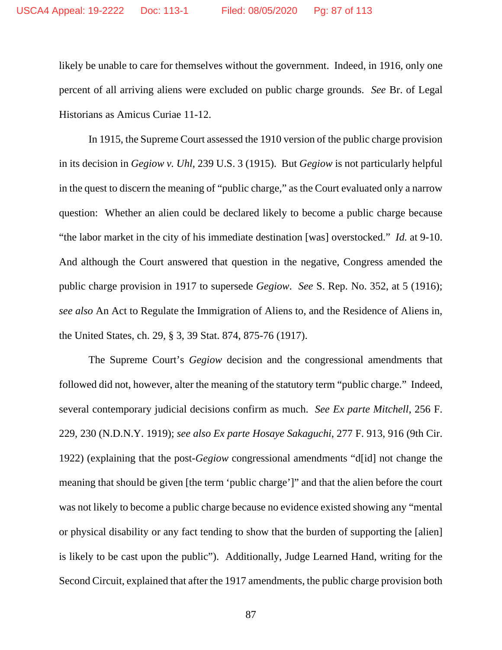likely be unable to care for themselves without the government. Indeed, in 1916, only one percent of all arriving aliens were excluded on public charge grounds. *See* Br. of Legal Historians as Amicus Curiae 11-12.

In 1915, the Supreme Court assessed the 1910 version of the public charge provision in its decision in *Gegiow v. Uhl*, 239 U.S. 3 (1915). But *Gegiow* is not particularly helpful in the quest to discern the meaning of "public charge," as the Court evaluated only a narrow question: Whether an alien could be declared likely to become a public charge because "the labor market in the city of his immediate destination [was] overstocked." *Id.* at 9-10. And although the Court answered that question in the negative, Congress amended the public charge provision in 1917 to supersede *Gegiow*. *See* S. Rep. No. 352, at 5 (1916); *see also* An Act to Regulate the Immigration of Aliens to, and the Residence of Aliens in, the United States, ch. 29, § 3, 39 Stat. 874, 875-76 (1917).

The Supreme Court's *Gegiow* decision and the congressional amendments that followed did not, however, alter the meaning of the statutory term "public charge." Indeed, several contemporary judicial decisions confirm as much. *See Ex parte Mitchell*, 256 F. 229, 230 (N.D.N.Y. 1919); *see also Ex parte Hosaye Sakaguchi*, 277 F. 913, 916 (9th Cir. 1922) (explaining that the post-*Gegiow* congressional amendments "d[id] not change the meaning that should be given [the term 'public charge']" and that the alien before the court was not likely to become a public charge because no evidence existed showing any "mental or physical disability or any fact tending to show that the burden of supporting the [alien] is likely to be cast upon the public"). Additionally, Judge Learned Hand, writing for the Second Circuit, explained that after the 1917 amendments, the public charge provision both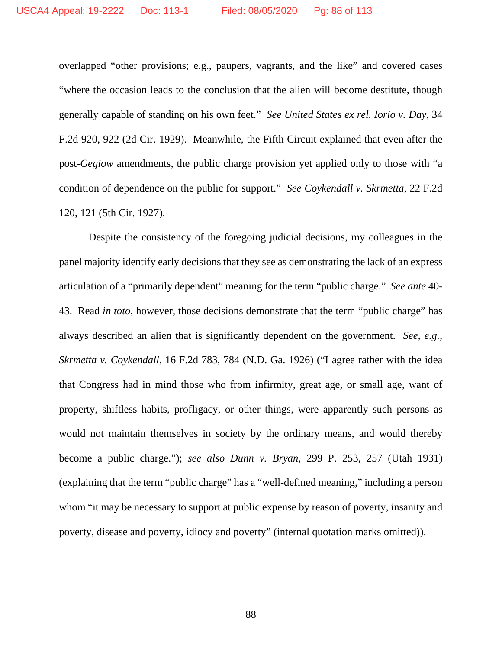overlapped "other provisions; e.g., paupers, vagrants, and the like" and covered cases "where the occasion leads to the conclusion that the alien will become destitute, though generally capable of standing on his own feet." *See United States ex rel. Iorio v. Day*, 34 F.2d 920, 922 (2d Cir. 1929). Meanwhile, the Fifth Circuit explained that even after the post-*Gegiow* amendments, the public charge provision yet applied only to those with "a condition of dependence on the public for support." *See Coykendall v. Skrmetta*, 22 F.2d 120, 121 (5th Cir. 1927).

Despite the consistency of the foregoing judicial decisions, my colleagues in the panel majority identify early decisions that they see as demonstrating the lack of an express articulation of a "primarily dependent" meaning for the term "public charge." *See ante* 40- 43. Read *in toto*, however, those decisions demonstrate that the term "public charge" has always described an alien that is significantly dependent on the government. *See, e.g.*, *Skrmetta v. Coykendall*, 16 F.2d 783, 784 (N.D. Ga. 1926) ("I agree rather with the idea that Congress had in mind those who from infirmity, great age, or small age, want of property, shiftless habits, profligacy, or other things, were apparently such persons as would not maintain themselves in society by the ordinary means, and would thereby become a public charge."); *see also Dunn v. Bryan*, 299 P. 253, 257 (Utah 1931) (explaining that the term "public charge" has a "well-defined meaning," including a person whom "it may be necessary to support at public expense by reason of poverty, insanity and poverty, disease and poverty, idiocy and poverty" (internal quotation marks omitted)).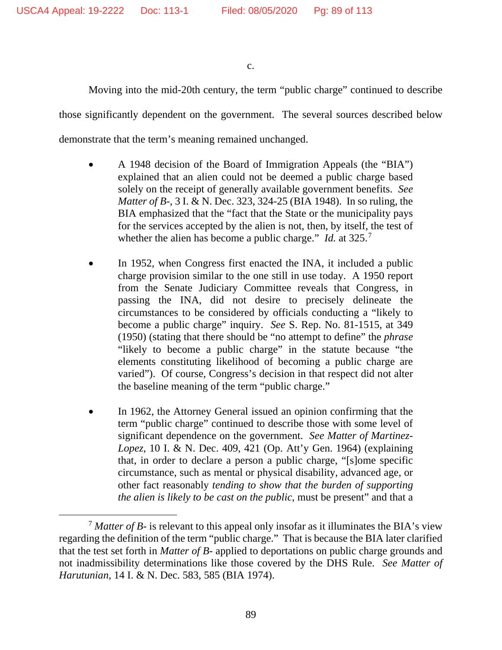c.

Moving into the mid-20th century, the term "public charge" continued to describe

those significantly dependent on the government. The several sources described below

demonstrate that the term's meaning remained unchanged.

- A 1948 decision of the Board of Immigration Appeals (the "BIA") explained that an alien could not be deemed a public charge based solely on the receipt of generally available government benefits. *See Matter of B-*, 3 I. & N. Dec. 323, 324-25 (BIA 1948). In so ruling, the BIA emphasized that the "fact that the State or the municipality pays for the services accepted by the alien is not, then, by itself, the test of whether the alien has become a public charge." *Id.* at 325.<sup>[7](#page-88-0)</sup>
- In 1952, when Congress first enacted the INA, it included a public charge provision similar to the one still in use today. A 1950 report from the Senate Judiciary Committee reveals that Congress, in passing the INA, did not desire to precisely delineate the circumstances to be considered by officials conducting a "likely to become a public charge" inquiry. *See* S. Rep. No. 81-1515, at 349 (1950) (stating that there should be "no attempt to define" the *phrase* "likely to become a public charge" in the statute because "the elements constituting likelihood of becoming a public charge are varied"). Of course, Congress's decision in that respect did not alter the baseline meaning of the term "public charge."
- In 1962, the Attorney General issued an opinion confirming that the term "public charge" continued to describe those with some level of significant dependence on the government. *See Matter of Martinez-Lopez*, 10 I. & N. Dec. 409, 421 (Op. Att'y Gen. 1964) (explaining that, in order to declare a person a public charge, "[s]ome specific circumstance, such as mental or physical disability, advanced age, or other fact reasonably *tending to show that the burden of supporting the alien is likely to be cast on the public*, must be present" and that a

<span id="page-88-0"></span><sup>7</sup> *Matter of B-* is relevant to this appeal only insofar as it illuminates the BIA's view regarding the definition of the term "public charge." That is because the BIA later clarified that the test set forth in *Matter of B-* applied to deportations on public charge grounds and not inadmissibility determinations like those covered by the DHS Rule. *See Matter of Harutunian*, 14 I. & N. Dec. 583, 585 (BIA 1974).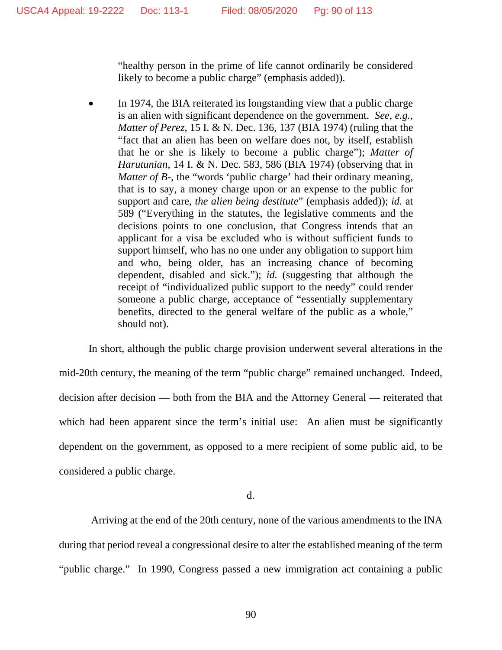"healthy person in the prime of life cannot ordinarily be considered likely to become a public charge" (emphasis added)).

• In 1974, the BIA reiterated its longstanding view that a public charge is an alien with significant dependence on the government. *See, e.g.*, *Matter of Perez*, 15 I. & N. Dec. 136, 137 (BIA 1974) (ruling that the "fact that an alien has been on welfare does not, by itself, establish that he or she is likely to become a public charge"); *Matter of Harutunian*, 14 I. & N. Dec. 583, 586 (BIA 1974) (observing that in *Matter of B*-, the "words 'public charge' had their ordinary meaning, that is to say, a money charge upon or an expense to the public for support and care, *the alien being destitute*" (emphasis added)); *id.* at 589 ("Everything in the statutes, the legislative comments and the decisions points to one conclusion, that Congress intends that an applicant for a visa be excluded who is without sufficient funds to support himself, who has no one under any obligation to support him and who, being older, has an increasing chance of becoming dependent, disabled and sick."); *id.* (suggesting that although the receipt of "individualized public support to the needy" could render someone a public charge, acceptance of "essentially supplementary benefits, directed to the general welfare of the public as a whole," should not).

In short, although the public charge provision underwent several alterations in the mid-20th century, the meaning of the term "public charge" remained unchanged. Indeed, decision after decision — both from the BIA and the Attorney General — reiterated that which had been apparent since the term's initial use: An alien must be significantly dependent on the government, as opposed to a mere recipient of some public aid, to be considered a public charge.

d.

Arriving at the end of the 20th century, none of the various amendments to the INA during that period reveal a congressional desire to alter the established meaning of the term "public charge." In 1990, Congress passed a new immigration act containing a public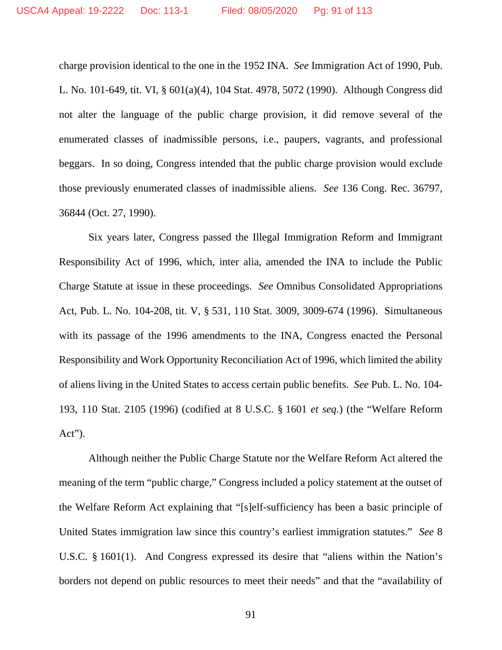charge provision identical to the one in the 1952 INA. *See* Immigration Act of 1990, Pub. L. No. 101-649, tit. VI, § 601(a)(4), 104 Stat. 4978, 5072 (1990). Although Congress did not alter the language of the public charge provision, it did remove several of the enumerated classes of inadmissible persons, i.e., paupers, vagrants, and professional beggars. In so doing, Congress intended that the public charge provision would exclude those previously enumerated classes of inadmissible aliens. *See* 136 Cong. Rec. 36797, 36844 (Oct. 27, 1990).

Six years later, Congress passed the Illegal Immigration Reform and Immigrant Responsibility Act of 1996, which, inter alia, amended the INA to include the Public Charge Statute at issue in these proceedings. *See* Omnibus Consolidated Appropriations Act, Pub. L. No. 104-208, tit. V, § 531, 110 Stat. 3009, 3009-674 (1996). Simultaneous with its passage of the 1996 amendments to the INA, Congress enacted the Personal Responsibility and Work Opportunity Reconciliation Act of 1996, which limited the ability of aliens living in the United States to access certain public benefits. *See* Pub. L. No. 104- 193, 110 Stat. 2105 (1996) (codified at 8 U.S.C. § 1601 *et seq.*) (the "Welfare Reform Act").

Although neither the Public Charge Statute nor the Welfare Reform Act altered the meaning of the term "public charge," Congress included a policy statement at the outset of the Welfare Reform Act explaining that "[s]elf-sufficiency has been a basic principle of United States immigration law since this country's earliest immigration statutes." *See* 8 U.S.C. § 1601(1). And Congress expressed its desire that "aliens within the Nation's borders not depend on public resources to meet their needs" and that the "availability of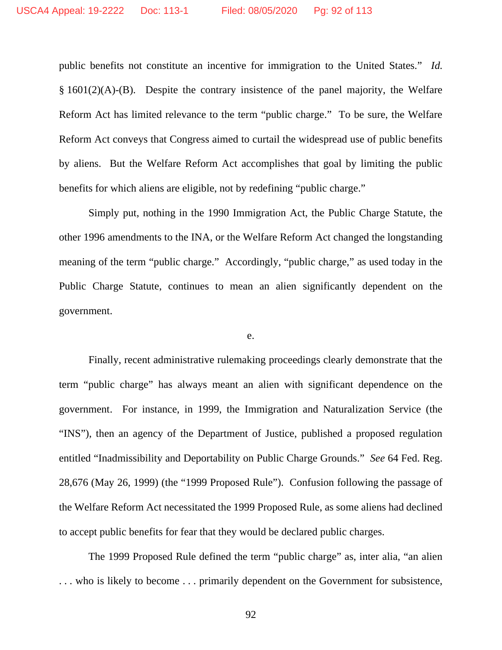public benefits not constitute an incentive for immigration to the United States." *Id.* § 1601(2)(A)-(B). Despite the contrary insistence of the panel majority, the Welfare Reform Act has limited relevance to the term "public charge." To be sure, the Welfare Reform Act conveys that Congress aimed to curtail the widespread use of public benefits by aliens. But the Welfare Reform Act accomplishes that goal by limiting the public benefits for which aliens are eligible, not by redefining "public charge."

Simply put, nothing in the 1990 Immigration Act, the Public Charge Statute, the other 1996 amendments to the INA, or the Welfare Reform Act changed the longstanding meaning of the term "public charge." Accordingly, "public charge," as used today in the Public Charge Statute, continues to mean an alien significantly dependent on the government.

e.

Finally, recent administrative rulemaking proceedings clearly demonstrate that the term "public charge" has always meant an alien with significant dependence on the government. For instance, in 1999, the Immigration and Naturalization Service (the "INS"), then an agency of the Department of Justice, published a proposed regulation entitled "Inadmissibility and Deportability on Public Charge Grounds." *See* 64 Fed. Reg. 28,676 (May 26, 1999) (the "1999 Proposed Rule"). Confusion following the passage of the Welfare Reform Act necessitated the 1999 Proposed Rule, as some aliens had declined to accept public benefits for fear that they would be declared public charges.

The 1999 Proposed Rule defined the term "public charge" as, inter alia, "an alien . . . who is likely to become . . . primarily dependent on the Government for subsistence,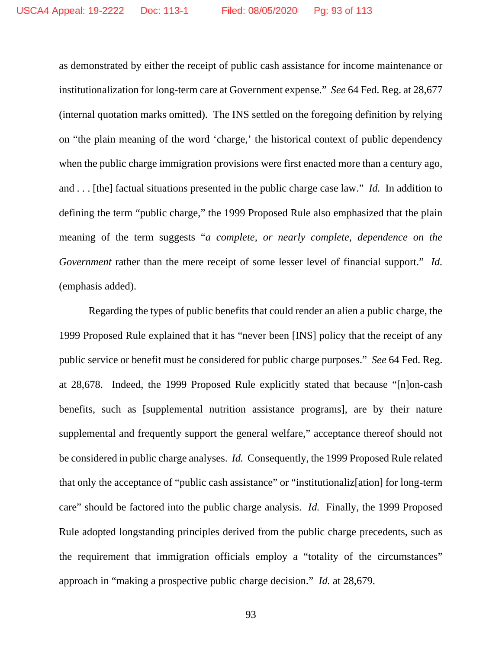as demonstrated by either the receipt of public cash assistance for income maintenance or institutionalization for long-term care at Government expense." *See* 64 Fed. Reg. at 28,677 (internal quotation marks omitted). The INS settled on the foregoing definition by relying on "the plain meaning of the word 'charge,' the historical context of public dependency when the public charge immigration provisions were first enacted more than a century ago, and . . . [the] factual situations presented in the public charge case law." *Id.* In addition to defining the term "public charge," the 1999 Proposed Rule also emphasized that the plain meaning of the term suggests "*a complete, or nearly complete, dependence on the Government* rather than the mere receipt of some lesser level of financial support." *Id.* (emphasis added).

Regarding the types of public benefits that could render an alien a public charge, the 1999 Proposed Rule explained that it has "never been [INS] policy that the receipt of any public service or benefit must be considered for public charge purposes." *See* 64 Fed. Reg. at 28,678. Indeed, the 1999 Proposed Rule explicitly stated that because "[n]on-cash benefits, such as [supplemental nutrition assistance programs], are by their nature supplemental and frequently support the general welfare," acceptance thereof should not be considered in public charge analyses. *Id.* Consequently, the 1999 Proposed Rule related that only the acceptance of "public cash assistance" or "institutionaliz[ation] for long-term care" should be factored into the public charge analysis. *Id.* Finally, the 1999 Proposed Rule adopted longstanding principles derived from the public charge precedents, such as the requirement that immigration officials employ a "totality of the circumstances" approach in "making a prospective public charge decision." *Id.* at 28,679.

93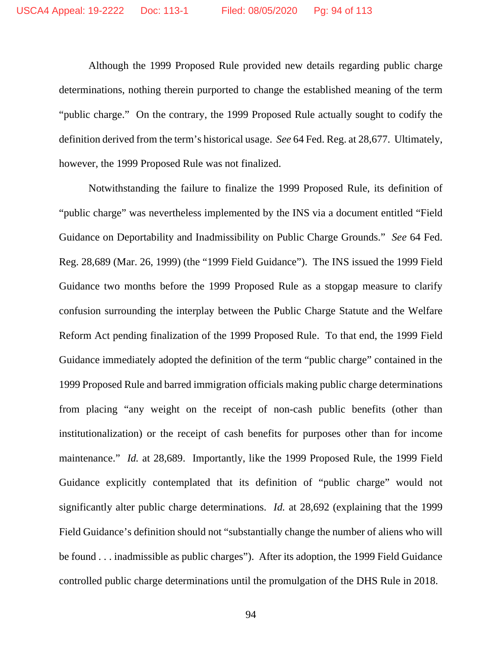Although the 1999 Proposed Rule provided new details regarding public charge determinations, nothing therein purported to change the established meaning of the term "public charge." On the contrary, the 1999 Proposed Rule actually sought to codify the definition derived from the term's historical usage. *See* 64 Fed. Reg. at 28,677. Ultimately, however, the 1999 Proposed Rule was not finalized.

Notwithstanding the failure to finalize the 1999 Proposed Rule, its definition of "public charge" was nevertheless implemented by the INS via a document entitled "Field Guidance on Deportability and Inadmissibility on Public Charge Grounds." *See* 64 Fed. Reg. 28,689 (Mar. 26, 1999) (the "1999 Field Guidance"). The INS issued the 1999 Field Guidance two months before the 1999 Proposed Rule as a stopgap measure to clarify confusion surrounding the interplay between the Public Charge Statute and the Welfare Reform Act pending finalization of the 1999 Proposed Rule. To that end, the 1999 Field Guidance immediately adopted the definition of the term "public charge" contained in the 1999 Proposed Rule and barred immigration officials making public charge determinations from placing "any weight on the receipt of non-cash public benefits (other than institutionalization) or the receipt of cash benefits for purposes other than for income maintenance." *Id.* at 28,689. Importantly, like the 1999 Proposed Rule, the 1999 Field Guidance explicitly contemplated that its definition of "public charge" would not significantly alter public charge determinations. *Id.* at 28,692 (explaining that the 1999 Field Guidance's definition should not "substantially change the number of aliens who will be found . . . inadmissible as public charges"). After its adoption, the 1999 Field Guidance controlled public charge determinations until the promulgation of the DHS Rule in 2018.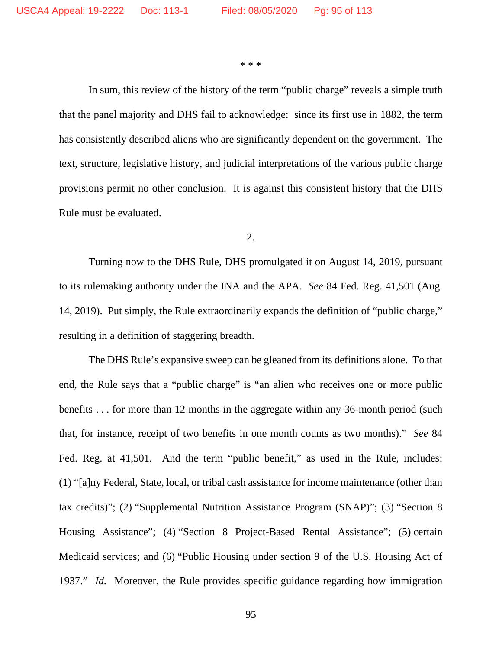\* \* \*

In sum, this review of the history of the term "public charge" reveals a simple truth that the panel majority and DHS fail to acknowledge: since its first use in 1882, the term has consistently described aliens who are significantly dependent on the government. The text, structure, legislative history, and judicial interpretations of the various public charge provisions permit no other conclusion. It is against this consistent history that the DHS Rule must be evaluated.

2.

Turning now to the DHS Rule, DHS promulgated it on August 14, 2019, pursuant to its rulemaking authority under the INA and the APA. *See* 84 Fed. Reg. 41,501 (Aug. 14, 2019). Put simply, the Rule extraordinarily expands the definition of "public charge," resulting in a definition of staggering breadth.

The DHS Rule's expansive sweep can be gleaned from its definitions alone. To that end, the Rule says that a "public charge" is "an alien who receives one or more public benefits . . . for more than 12 months in the aggregate within any 36-month period (such that, for instance, receipt of two benefits in one month counts as two months)." *See* 84 Fed. Reg. at 41,501. And the term "public benefit," as used in the Rule, includes: (1) "[a]ny Federal, State, local, or tribal cash assistance for income maintenance (other than tax credits)"; (2) "Supplemental Nutrition Assistance Program (SNAP)"; (3) "Section 8 Housing Assistance"; (4) "Section 8 Project-Based Rental Assistance"; (5) certain Medicaid services; and (6) "Public Housing under section 9 of the U.S. Housing Act of 1937." *Id.* Moreover, the Rule provides specific guidance regarding how immigration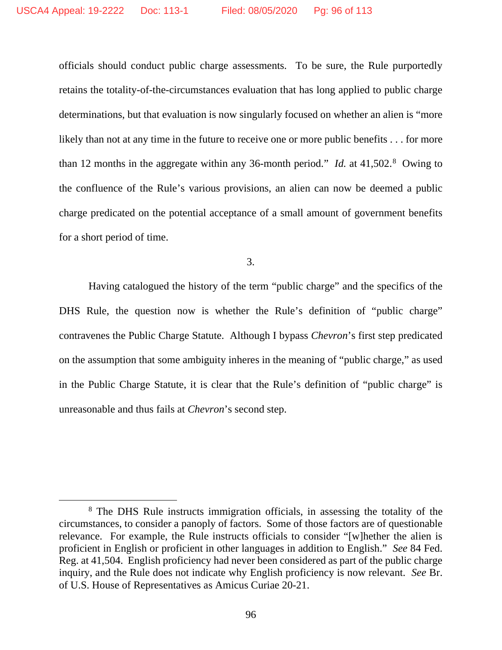officials should conduct public charge assessments. To be sure, the Rule purportedly retains the totality-of-the-circumstances evaluation that has long applied to public charge determinations, but that evaluation is now singularly focused on whether an alien is "more likely than not at any time in the future to receive one or more public benefits . . . for more than 12 months in the aggregate within any 36-month period." *Id.* at 41,502.<sup>[8](#page-95-0)</sup> Owing to the confluence of the Rule's various provisions, an alien can now be deemed a public charge predicated on the potential acceptance of a small amount of government benefits for a short period of time.

3.

Having catalogued the history of the term "public charge" and the specifics of the DHS Rule, the question now is whether the Rule's definition of "public charge" contravenes the Public Charge Statute. Although I bypass *Chevron*'s first step predicated on the assumption that some ambiguity inheres in the meaning of "public charge," as used in the Public Charge Statute, it is clear that the Rule's definition of "public charge" is unreasonable and thus fails at *Chevron*'s second step.

<span id="page-95-0"></span><sup>8</sup> The DHS Rule instructs immigration officials, in assessing the totality of the circumstances, to consider a panoply of factors. Some of those factors are of questionable relevance. For example, the Rule instructs officials to consider "[w]hether the alien is proficient in English or proficient in other languages in addition to English." *See* 84 Fed. Reg. at 41,504. English proficiency had never been considered as part of the public charge inquiry, and the Rule does not indicate why English proficiency is now relevant. *See* Br. of U.S. House of Representatives as Amicus Curiae 20-21.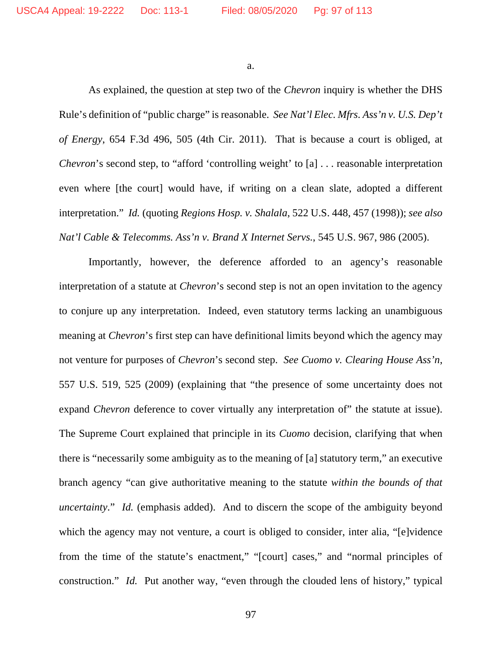a.

As explained, the question at step two of the *Chevron* inquiry is whether the DHS Rule's definition of "public charge" is reasonable. *See Nat'l Elec. Mfrs. Ass'n v. U.S. Dep't of Energy*, 654 F.3d 496, 505 (4th Cir. 2011). That is because a court is obliged, at *Chevron*'s second step, to "afford 'controlling weight' to [a] ... reasonable interpretation even where [the court] would have, if writing on a clean slate, adopted a different interpretation." *Id.* (quoting *Regions Hosp. v. Shalala*, 522 U.S. 448, 457 (1998)); *see also Nat'l Cable & Telecomms. Ass'n v. Brand X Internet Servs.*, 545 U.S. 967, 986 (2005).

Importantly, however, the deference afforded to an agency's reasonable interpretation of a statute at *Chevron*'s second step is not an open invitation to the agency to conjure up any interpretation. Indeed, even statutory terms lacking an unambiguous meaning at *Chevron*'s first step can have definitional limits beyond which the agency may not venture for purposes of *Chevron*'s second step. *See Cuomo v. Clearing House Ass'n*, 557 U.S. 519, 525 (2009) (explaining that "the presence of some uncertainty does not expand *Chevron* deference to cover virtually any interpretation of" the statute at issue). The Supreme Court explained that principle in its *Cuomo* decision, clarifying that when there is "necessarily some ambiguity as to the meaning of [a] statutory term," an executive branch agency "can give authoritative meaning to the statute *within the bounds of that uncertainty*." *Id.* (emphasis added). And to discern the scope of the ambiguity beyond which the agency may not venture, a court is obliged to consider, inter alia, "[e]vidence from the time of the statute's enactment," "[court] cases," and "normal principles of construction." *Id.* Put another way, "even through the clouded lens of history," typical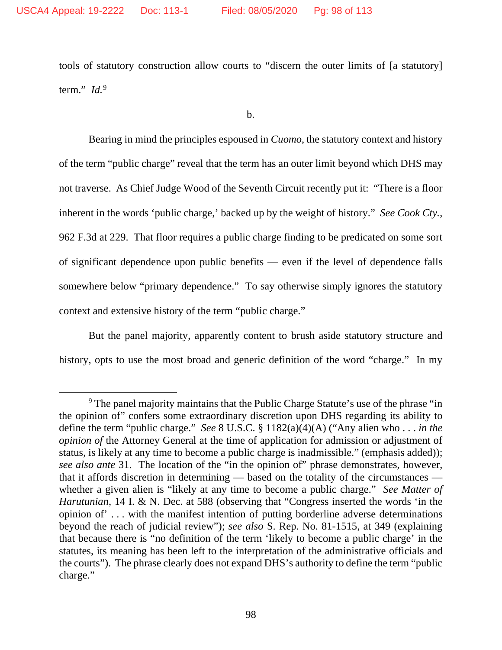tools of statutory construction allow courts to "discern the outer limits of [a statutory] term." *Id.*[9](#page-97-0)

b.

Bearing in mind the principles espoused in *Cuomo*, the statutory context and history of the term "public charge" reveal that the term has an outer limit beyond which DHS may not traverse. As Chief Judge Wood of the Seventh Circuit recently put it: "There is a floor inherent in the words 'public charge,' backed up by the weight of history." *See Cook Cty.*, 962 F.3d at 229. That floor requires a public charge finding to be predicated on some sort of significant dependence upon public benefits — even if the level of dependence falls somewhere below "primary dependence." To say otherwise simply ignores the statutory context and extensive history of the term "public charge."

But the panel majority, apparently content to brush aside statutory structure and history, opts to use the most broad and generic definition of the word "charge." In my

<span id="page-97-0"></span><sup>&</sup>lt;sup>9</sup> The panel majority maintains that the Public Charge Statute's use of the phrase "in" the opinion of" confers some extraordinary discretion upon DHS regarding its ability to define the term "public charge." *See* 8 U.S.C. § 1182(a)(4)(A) ("Any alien who . . . *in the opinion of* the Attorney General at the time of application for admission or adjustment of status, is likely at any time to become a public charge is inadmissible." (emphasis added)); *see also ante* 31. The location of the "in the opinion of" phrase demonstrates, however, that it affords discretion in determining — based on the totality of the circumstances whether a given alien is "likely at any time to become a public charge." *See Matter of Harutunian*, 14 I. & N. Dec. at 588 (observing that "Congress inserted the words 'in the opinion of' . . . with the manifest intention of putting borderline adverse determinations beyond the reach of judicial review"); *see also* S. Rep. No. 81-1515, at 349 (explaining that because there is "no definition of the term 'likely to become a public charge' in the statutes, its meaning has been left to the interpretation of the administrative officials and the courts"). The phrase clearly does not expand DHS's authority to define the term "public charge."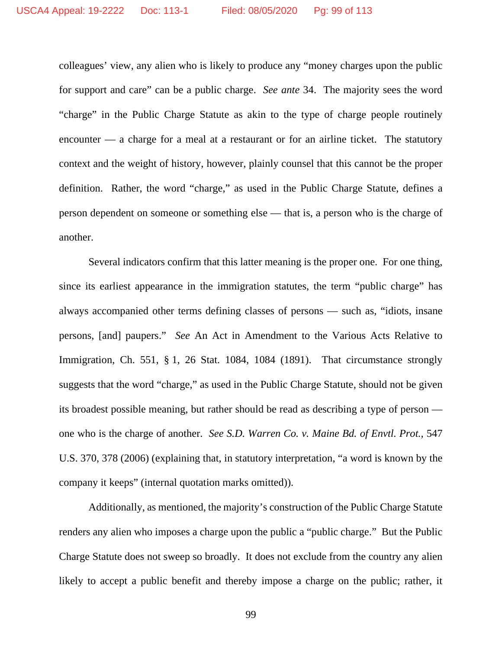colleagues' view, any alien who is likely to produce any "money charges upon the public for support and care" can be a public charge. *See ante* 34. The majority sees the word "charge" in the Public Charge Statute as akin to the type of charge people routinely encounter — a charge for a meal at a restaurant or for an airline ticket. The statutory context and the weight of history, however, plainly counsel that this cannot be the proper definition. Rather, the word "charge," as used in the Public Charge Statute, defines a person dependent on someone or something else — that is, a person who is the charge of another.

Several indicators confirm that this latter meaning is the proper one. For one thing, since its earliest appearance in the immigration statutes, the term "public charge" has always accompanied other terms defining classes of persons — such as, "idiots, insane persons, [and] paupers." *See* An Act in Amendment to the Various Acts Relative to Immigration, Ch. 551, § 1, 26 Stat. 1084, 1084 (1891). That circumstance strongly suggests that the word "charge," as used in the Public Charge Statute, should not be given its broadest possible meaning, but rather should be read as describing a type of person one who is the charge of another. *See S.D. Warren Co. v. Maine Bd. of Envtl. Prot.*, 547 U.S. 370, 378 (2006) (explaining that, in statutory interpretation, "a word is known by the company it keeps" (internal quotation marks omitted)).

Additionally, as mentioned, the majority's construction of the Public Charge Statute renders any alien who imposes a charge upon the public a "public charge." But the Public Charge Statute does not sweep so broadly. It does not exclude from the country any alien likely to accept a public benefit and thereby impose a charge on the public; rather, it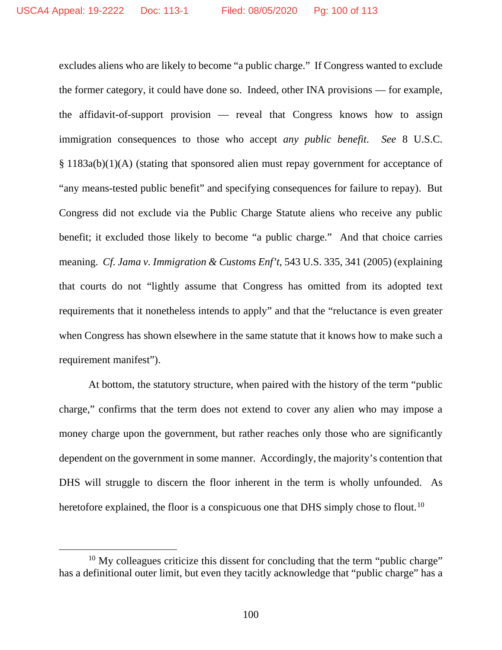excludes aliens who are likely to become "a public charge." If Congress wanted to exclude the former category, it could have done so. Indeed, other INA provisions — for example, the affidavit-of-support provision — reveal that Congress knows how to assign immigration consequences to those who accept *any public benefit*. *See* 8 U.S.C. § 1183a(b)(1)(A) (stating that sponsored alien must repay government for acceptance of "any means-tested public benefit" and specifying consequences for failure to repay). But Congress did not exclude via the Public Charge Statute aliens who receive any public benefit; it excluded those likely to become "a public charge." And that choice carries meaning. *Cf. Jama v. Immigration & Customs Enf't*, 543 U.S. 335, 341 (2005) (explaining that courts do not "lightly assume that Congress has omitted from its adopted text requirements that it nonetheless intends to apply" and that the "reluctance is even greater when Congress has shown elsewhere in the same statute that it knows how to make such a requirement manifest").

At bottom, the statutory structure, when paired with the history of the term "public charge," confirms that the term does not extend to cover any alien who may impose a money charge upon the government, but rather reaches only those who are significantly dependent on the government in some manner. Accordingly, the majority's contention that DHS will struggle to discern the floor inherent in the term is wholly unfounded. As heretofore explained, the floor is a conspicuous one that DHS simply chose to flout.<sup>[10](#page-99-0)</sup>

<span id="page-99-0"></span> $10$  My colleagues criticize this dissent for concluding that the term "public charge" has a definitional outer limit, but even they tacitly acknowledge that "public charge" has a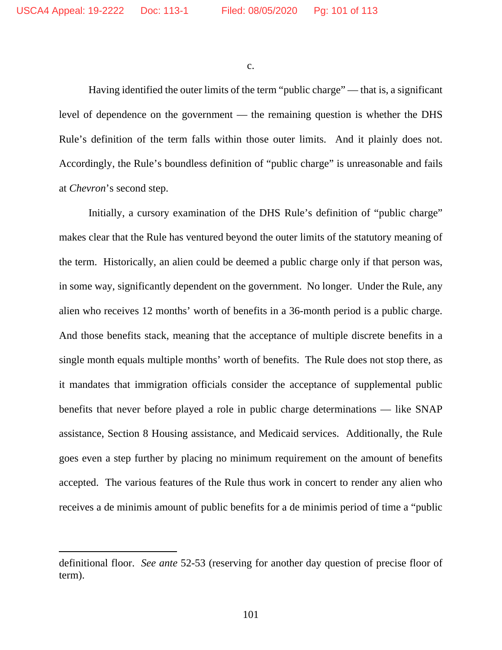c.

Having identified the outer limits of the term "public charge" — that is, a significant level of dependence on the government — the remaining question is whether the DHS Rule's definition of the term falls within those outer limits. And it plainly does not. Accordingly, the Rule's boundless definition of "public charge" is unreasonable and fails at *Chevron*'s second step.

Initially, a cursory examination of the DHS Rule's definition of "public charge" makes clear that the Rule has ventured beyond the outer limits of the statutory meaning of the term. Historically, an alien could be deemed a public charge only if that person was, in some way, significantly dependent on the government. No longer. Under the Rule, any alien who receives 12 months' worth of benefits in a 36-month period is a public charge. And those benefits stack, meaning that the acceptance of multiple discrete benefits in a single month equals multiple months' worth of benefits. The Rule does not stop there, as it mandates that immigration officials consider the acceptance of supplemental public benefits that never before played a role in public charge determinations — like SNAP assistance, Section 8 Housing assistance, and Medicaid services. Additionally, the Rule goes even a step further by placing no minimum requirement on the amount of benefits accepted. The various features of the Rule thus work in concert to render any alien who receives a de minimis amount of public benefits for a de minimis period of time a "public

definitional floor. *See ante* 52-53 (reserving for another day question of precise floor of term).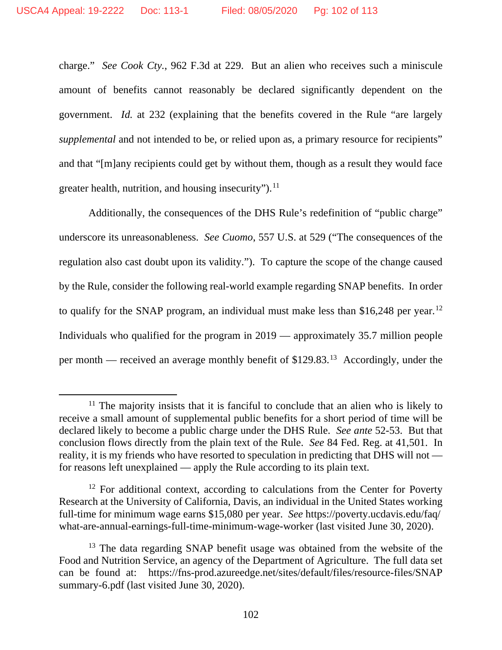charge." *See Cook Cty.*, 962 F.3d at 229. But an alien who receives such a miniscule amount of benefits cannot reasonably be declared significantly dependent on the government. *Id.* at 232 (explaining that the benefits covered in the Rule "are largely *supplemental* and not intended to be, or relied upon as, a primary resource for recipients" and that "[m]any recipients could get by without them, though as a result they would face greater health, nutrition, and housing insecurity").<sup>[11](#page-101-0)</sup>

Additionally, the consequences of the DHS Rule's redefinition of "public charge" underscore its unreasonableness. *See Cuomo*, 557 U.S. at 529 ("The consequences of the regulation also cast doubt upon its validity."). To capture the scope of the change caused by the Rule, consider the following real-world example regarding SNAP benefits. In order to qualify for the SNAP program, an individual must make less than \$16,248 per year.<sup>[12](#page-101-1)</sup> Individuals who qualified for the program in 2019 — approximately 35.7 million people per month — received an average monthly benefit of \$129.83.[13](#page-101-2) Accordingly, under the

<span id="page-101-0"></span> $11$  The majority insists that it is fanciful to conclude that an alien who is likely to receive a small amount of supplemental public benefits for a short period of time will be declared likely to become a public charge under the DHS Rule. *See ante* 52-53. But that conclusion flows directly from the plain text of the Rule. *See* 84 Fed. Reg. at 41,501. In reality, it is my friends who have resorted to speculation in predicting that DHS will not for reasons left unexplained — apply the Rule according to its plain text.

<span id="page-101-1"></span><sup>&</sup>lt;sup>12</sup> For additional context, according to calculations from the Center for Poverty Research at the University of California, Davis, an individual in the United States working full-time for minimum wage earns \$15,080 per year. *See* https://poverty.ucdavis.edu/faq/ what-are-annual-earnings-full-time-minimum-wage-worker (last visited June 30, 2020).

<span id="page-101-2"></span><sup>&</sup>lt;sup>13</sup> The data regarding SNAP benefit usage was obtained from the website of the Food and Nutrition Service, an agency of the Department of Agriculture. The full data set can be found at: https://fns-prod.azureedge.net/sites/default/files/resource-files/SNAP summary-6.pdf (last visited June 30, 2020).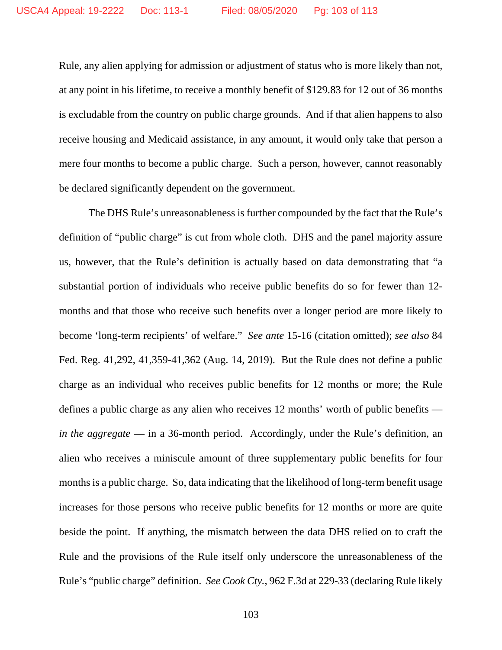Rule, any alien applying for admission or adjustment of status who is more likely than not, at any point in his lifetime, to receive a monthly benefit of \$129.83 for 12 out of 36 months is excludable from the country on public charge grounds. And if that alien happens to also receive housing and Medicaid assistance, in any amount, it would only take that person a mere four months to become a public charge. Such a person, however, cannot reasonably be declared significantly dependent on the government.

The DHS Rule's unreasonableness is further compounded by the fact that the Rule's definition of "public charge" is cut from whole cloth. DHS and the panel majority assure us, however, that the Rule's definition is actually based on data demonstrating that "a substantial portion of individuals who receive public benefits do so for fewer than 12 months and that those who receive such benefits over a longer period are more likely to become 'long-term recipients' of welfare." *See ante* 15-16 (citation omitted); *see also* 84 Fed. Reg. 41,292, 41,359-41,362 (Aug. 14, 2019). But the Rule does not define a public charge as an individual who receives public benefits for 12 months or more; the Rule defines a public charge as any alien who receives 12 months' worth of public benefits *in the aggregate* — in a 36-month period. Accordingly, under the Rule's definition, an alien who receives a miniscule amount of three supplementary public benefits for four months is a public charge. So, data indicating that the likelihood of long-term benefit usage increases for those persons who receive public benefits for 12 months or more are quite beside the point. If anything, the mismatch between the data DHS relied on to craft the Rule and the provisions of the Rule itself only underscore the unreasonableness of the Rule's "public charge" definition. *See Cook Cty.*, 962 F.3d at 229-33 (declaring Rule likely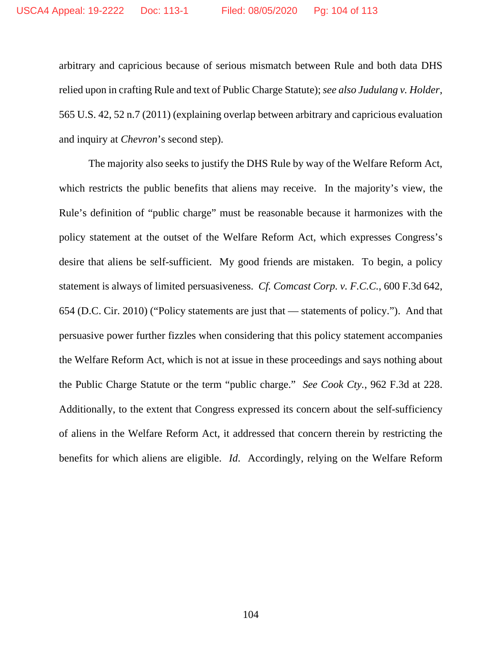arbitrary and capricious because of serious mismatch between Rule and both data DHS relied upon in crafting Rule and text of Public Charge Statute); *see also Judulang v. Holder*, 565 U.S. 42, 52 n.7 (2011) (explaining overlap between arbitrary and capricious evaluation and inquiry at *Chevron*'s second step).

The majority also seeks to justify the DHS Rule by way of the Welfare Reform Act, which restricts the public benefits that aliens may receive. In the majority's view, the Rule's definition of "public charge" must be reasonable because it harmonizes with the policy statement at the outset of the Welfare Reform Act, which expresses Congress's desire that aliens be self-sufficient. My good friends are mistaken. To begin, a policy statement is always of limited persuasiveness. *Cf. Comcast Corp. v. F.C.C.*, 600 F.3d 642, 654 (D.C. Cir. 2010) ("Policy statements are just that — statements of policy."). And that persuasive power further fizzles when considering that this policy statement accompanies the Welfare Reform Act, which is not at issue in these proceedings and says nothing about the Public Charge Statute or the term "public charge." *See Cook Cty.*, 962 F.3d at 228. Additionally, to the extent that Congress expressed its concern about the self-sufficiency of aliens in the Welfare Reform Act, it addressed that concern therein by restricting the benefits for which aliens are eligible. *Id*. Accordingly, relying on the Welfare Reform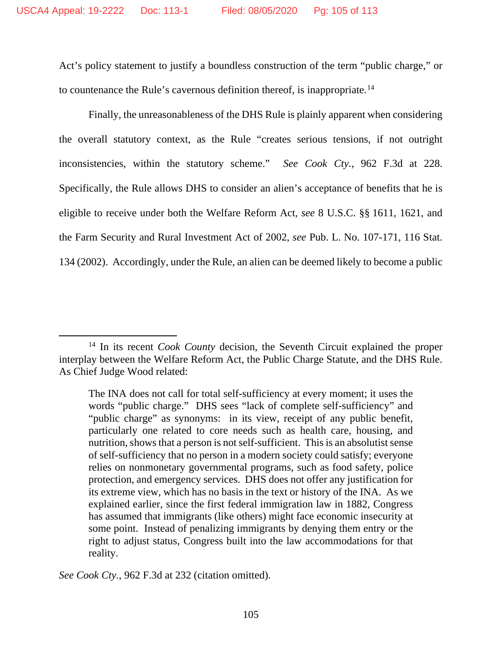Act's policy statement to justify a boundless construction of the term "public charge," or to countenance the Rule's cavernous definition thereof, is inappropriate.[14](#page-104-0)

Finally, the unreasonableness of the DHS Rule is plainly apparent when considering the overall statutory context, as the Rule "creates serious tensions, if not outright inconsistencies, within the statutory scheme." *See Cook Cty.*, 962 F.3d at 228. Specifically, the Rule allows DHS to consider an alien's acceptance of benefits that he is eligible to receive under both the Welfare Reform Act, *see* 8 U.S.C. §§ 1611, 1621, and the Farm Security and Rural Investment Act of 2002, *see* Pub. L. No. 107-171, 116 Stat. 134 (2002). Accordingly, under the Rule, an alien can be deemed likely to become a public

*See Cook Cty.*, 962 F.3d at 232 (citation omitted).

<span id="page-104-0"></span><sup>14</sup> In its recent *Cook County* decision, the Seventh Circuit explained the proper interplay between the Welfare Reform Act, the Public Charge Statute, and the DHS Rule. As Chief Judge Wood related:

The INA does not call for total self-sufficiency at every moment; it uses the words "public charge." DHS sees "lack of complete self-sufficiency" and "public charge" as synonyms: in its view, receipt of any public benefit, particularly one related to core needs such as health care, housing, and nutrition, shows that a person is not self-sufficient. This is an absolutist sense of self-sufficiency that no person in a modern society could satisfy; everyone relies on nonmonetary governmental programs, such as food safety, police protection, and emergency services. DHS does not offer any justification for its extreme view, which has no basis in the text or history of the INA. As we explained earlier, since the first federal immigration law in 1882, Congress has assumed that immigrants (like others) might face economic insecurity at some point. Instead of penalizing immigrants by denying them entry or the right to adjust status, Congress built into the law accommodations for that reality.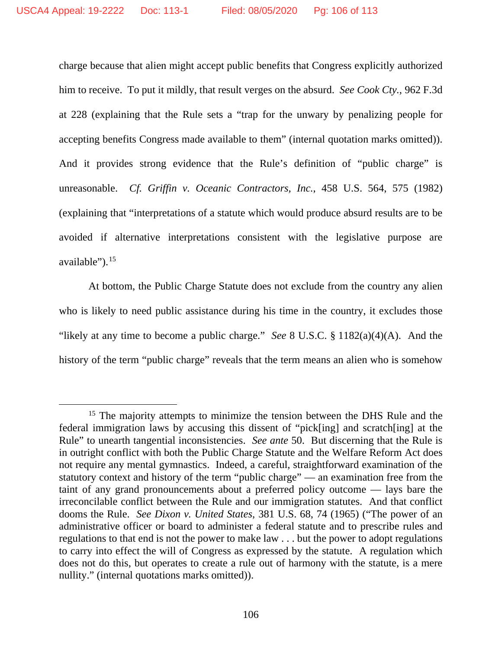charge because that alien might accept public benefits that Congress explicitly authorized him to receive. To put it mildly, that result verges on the absurd. *See Cook Cty.*, 962 F.3d at 228 (explaining that the Rule sets a "trap for the unwary by penalizing people for accepting benefits Congress made available to them" (internal quotation marks omitted)). And it provides strong evidence that the Rule's definition of "public charge" is unreasonable. *Cf. Griffin v. Oceanic Contractors, Inc.*, 458 U.S. 564, 575 (1982) (explaining that "interpretations of a statute which would produce absurd results are to be avoided if alternative interpretations consistent with the legislative purpose are available").<sup>[15](#page-105-0)</sup>

At bottom, the Public Charge Statute does not exclude from the country any alien who is likely to need public assistance during his time in the country, it excludes those "likely at any time to become a public charge." *See* 8 U.S.C. § 1182(a)(4)(A). And the history of the term "public charge" reveals that the term means an alien who is somehow

<span id="page-105-0"></span><sup>&</sup>lt;sup>15</sup> The majority attempts to minimize the tension between the DHS Rule and the federal immigration laws by accusing this dissent of "pick[ing] and scratch[ing] at the Rule" to unearth tangential inconsistencies. *See ante* 50. But discerning that the Rule is in outright conflict with both the Public Charge Statute and the Welfare Reform Act does not require any mental gymnastics. Indeed, a careful, straightforward examination of the statutory context and history of the term "public charge" — an examination free from the taint of any grand pronouncements about a preferred policy outcome — lays bare the irreconcilable conflict between the Rule and our immigration statutes. And that conflict dooms the Rule. *See Dixon v. United States*, 381 U.S. 68, 74 (1965) ("The power of an administrative officer or board to administer a federal statute and to prescribe rules and regulations to that end is not the power to make law . . . but the power to adopt regulations to carry into effect the will of Congress as expressed by the statute. A regulation which does not do this, but operates to create a rule out of harmony with the statute, is a mere nullity." (internal quotations marks omitted)).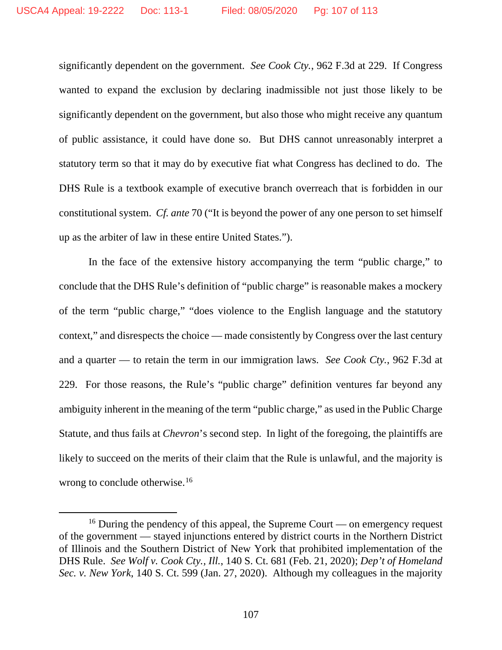significantly dependent on the government. *See Cook Cty.*, 962 F.3d at 229. If Congress wanted to expand the exclusion by declaring inadmissible not just those likely to be significantly dependent on the government, but also those who might receive any quantum of public assistance, it could have done so. But DHS cannot unreasonably interpret a statutory term so that it may do by executive fiat what Congress has declined to do. The DHS Rule is a textbook example of executive branch overreach that is forbidden in our constitutional system. *Cf. ante* 70 ("It is beyond the power of any one person to set himself up as the arbiter of law in these entire United States.").

In the face of the extensive history accompanying the term "public charge," to conclude that the DHS Rule's definition of "public charge" is reasonable makes a mockery of the term "public charge," "does violence to the English language and the statutory context," and disrespects the choice — made consistently by Congress over the last century and a quarter — to retain the term in our immigration laws. *See Cook Cty.*, 962 F.3d at 229. For those reasons, the Rule's "public charge" definition ventures far beyond any ambiguity inherent in the meaning of the term "public charge," as used in the Public Charge Statute, and thus fails at *Chevron*'s second step. In light of the foregoing, the plaintiffs are likely to succeed on the merits of their claim that the Rule is unlawful, and the majority is wrong to conclude otherwise.<sup>[16](#page-106-0)</sup>

<span id="page-106-0"></span><sup>&</sup>lt;sup>16</sup> During the pendency of this appeal, the Supreme Court — on emergency request of the government — stayed injunctions entered by district courts in the Northern District of Illinois and the Southern District of New York that prohibited implementation of the DHS Rule. *See Wolf v. Cook Cty., Ill.*, 140 S. Ct. 681 (Feb. 21, 2020); *Dep't of Homeland Sec. v. New York*, 140 S. Ct. 599 (Jan. 27, 2020). Although my colleagues in the majority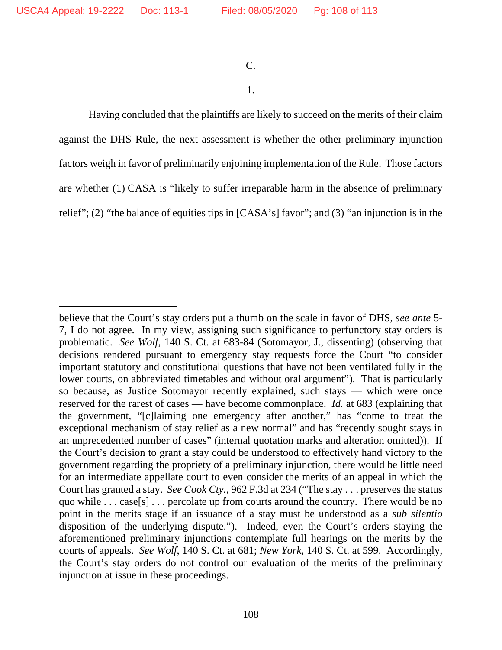## C.

## 1.

Having concluded that the plaintiffs are likely to succeed on the merits of their claim against the DHS Rule, the next assessment is whether the other preliminary injunction factors weigh in favor of preliminarily enjoining implementation of the Rule. Those factors are whether (1) CASA is "likely to suffer irreparable harm in the absence of preliminary relief"; (2) "the balance of equities tips in [CASA's] favor"; and (3) "an injunction is in the

believe that the Court's stay orders put a thumb on the scale in favor of DHS, *see ante* 5- 7, I do not agree. In my view, assigning such significance to perfunctory stay orders is problematic. *See Wolf*, 140 S. Ct. at 683-84 (Sotomayor, J., dissenting) (observing that decisions rendered pursuant to emergency stay requests force the Court "to consider important statutory and constitutional questions that have not been ventilated fully in the lower courts, on abbreviated timetables and without oral argument"). That is particularly so because, as Justice Sotomayor recently explained, such stays — which were once reserved for the rarest of cases — have become commonplace. *Id.* at 683 (explaining that the government, "[c]laiming one emergency after another," has "come to treat the exceptional mechanism of stay relief as a new normal" and has "recently sought stays in an unprecedented number of cases" (internal quotation marks and alteration omitted)). If the Court's decision to grant a stay could be understood to effectively hand victory to the government regarding the propriety of a preliminary injunction, there would be little need for an intermediate appellate court to even consider the merits of an appeal in which the Court has granted a stay. *See Cook Cty.*, 962 F.3d at 234 ("The stay . . . preserves the status quo while . . . case[s] . . . percolate up from courts around the country. There would be no point in the merits stage if an issuance of a stay must be understood as a *sub silentio* disposition of the underlying dispute."). Indeed, even the Court's orders staying the aforementioned preliminary injunctions contemplate full hearings on the merits by the courts of appeals. *See Wolf*, 140 S. Ct. at 681; *New York*, 140 S. Ct. at 599. Accordingly, the Court's stay orders do not control our evaluation of the merits of the preliminary injunction at issue in these proceedings.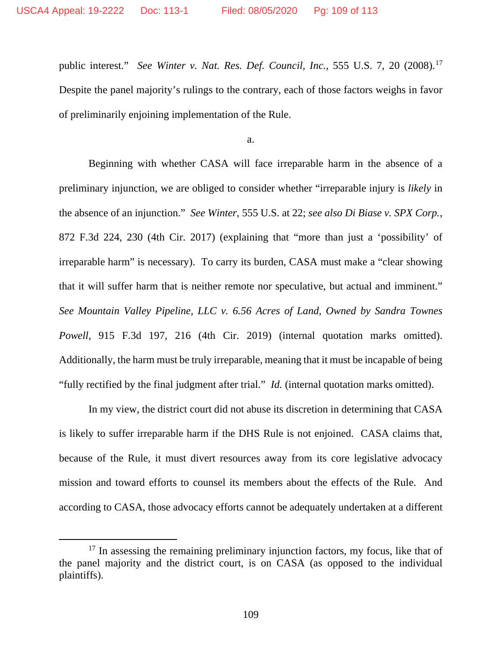public interest." *See Winter v. Nat. Res. Def. Council, Inc.*, 555 U.S. 7, 20 (2008).[17](#page-108-0) Despite the panel majority's rulings to the contrary, each of those factors weighs in favor of preliminarily enjoining implementation of the Rule.

a.

Beginning with whether CASA will face irreparable harm in the absence of a preliminary injunction, we are obliged to consider whether "irreparable injury is *likely* in the absence of an injunction." *See Winter*, 555 U.S. at 22; *see also Di Biase v. SPX Corp.*, 872 F.3d 224, 230 (4th Cir. 2017) (explaining that "more than just a 'possibility' of irreparable harm" is necessary). To carry its burden, CASA must make a "clear showing that it will suffer harm that is neither remote nor speculative, but actual and imminent." *See Mountain Valley Pipeline, LLC v. 6.56 Acres of Land, Owned by Sandra Townes Powell*, 915 F.3d 197, 216 (4th Cir. 2019) (internal quotation marks omitted). Additionally, the harm must be truly irreparable, meaning that it must be incapable of being "fully rectified by the final judgment after trial." *Id.* (internal quotation marks omitted).

In my view, the district court did not abuse its discretion in determining that CASA is likely to suffer irreparable harm if the DHS Rule is not enjoined. CASA claims that, because of the Rule, it must divert resources away from its core legislative advocacy mission and toward efforts to counsel its members about the effects of the Rule. And according to CASA, those advocacy efforts cannot be adequately undertaken at a different

<span id="page-108-0"></span><sup>&</sup>lt;sup>17</sup> In assessing the remaining preliminary injunction factors, my focus, like that of the panel majority and the district court, is on CASA (as opposed to the individual plaintiffs).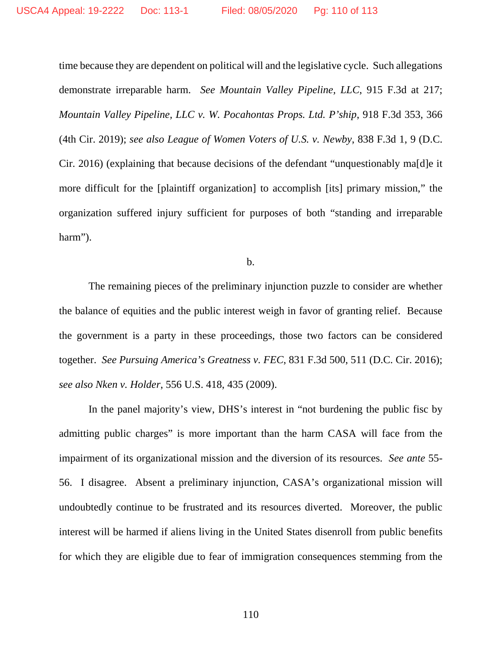time because they are dependent on political will and the legislative cycle. Such allegations demonstrate irreparable harm. *See Mountain Valley Pipeline, LLC*, 915 F.3d at 217; *Mountain Valley Pipeline, LLC v. W. Pocahontas Props. Ltd. P'ship*, 918 F.3d 353, 366 (4th Cir. 2019); *see also League of Women Voters of U.S. v. Newby*, 838 F.3d 1, 9 (D.C. Cir. 2016) (explaining that because decisions of the defendant "unquestionably ma[d]e it more difficult for the [plaintiff organization] to accomplish [its] primary mission," the organization suffered injury sufficient for purposes of both "standing and irreparable harm").

b.

The remaining pieces of the preliminary injunction puzzle to consider are whether the balance of equities and the public interest weigh in favor of granting relief. Because the government is a party in these proceedings, those two factors can be considered together. *See Pursuing America's Greatness v. FEC*, 831 F.3d 500, 511 (D.C. Cir. 2016); *see also Nken v. Holder*, 556 U.S. 418, 435 (2009).

In the panel majority's view, DHS's interest in "not burdening the public fisc by admitting public charges" is more important than the harm CASA will face from the impairment of its organizational mission and the diversion of its resources. *See ante* 55- 56. I disagree. Absent a preliminary injunction, CASA's organizational mission will undoubtedly continue to be frustrated and its resources diverted. Moreover, the public interest will be harmed if aliens living in the United States disenroll from public benefits for which they are eligible due to fear of immigration consequences stemming from the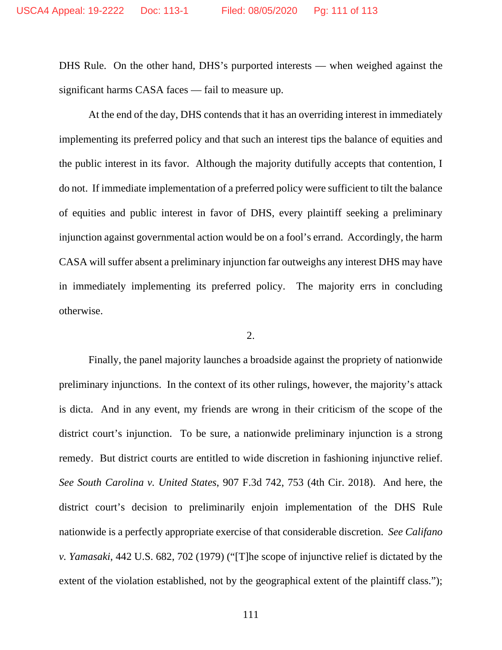DHS Rule. On the other hand, DHS's purported interests — when weighed against the significant harms CASA faces — fail to measure up.

At the end of the day, DHS contends that it has an overriding interest in immediately implementing its preferred policy and that such an interest tips the balance of equities and the public interest in its favor. Although the majority dutifully accepts that contention, I do not. If immediate implementation of a preferred policy were sufficient to tilt the balance of equities and public interest in favor of DHS, every plaintiff seeking a preliminary injunction against governmental action would be on a fool's errand. Accordingly, the harm CASA will suffer absent a preliminary injunction far outweighs any interest DHS may have in immediately implementing its preferred policy. The majority errs in concluding otherwise.

## 2.

Finally, the panel majority launches a broadside against the propriety of nationwide preliminary injunctions. In the context of its other rulings, however, the majority's attack is dicta. And in any event, my friends are wrong in their criticism of the scope of the district court's injunction. To be sure, a nationwide preliminary injunction is a strong remedy. But district courts are entitled to wide discretion in fashioning injunctive relief. *See South Carolina v. United States*, 907 F.3d 742, 753 (4th Cir. 2018). And here, the district court's decision to preliminarily enjoin implementation of the DHS Rule nationwide is a perfectly appropriate exercise of that considerable discretion. *See Califano v. Yamasaki*, 442 U.S. 682, 702 (1979) ("[T]he scope of injunctive relief is dictated by the extent of the violation established, not by the geographical extent of the plaintiff class.");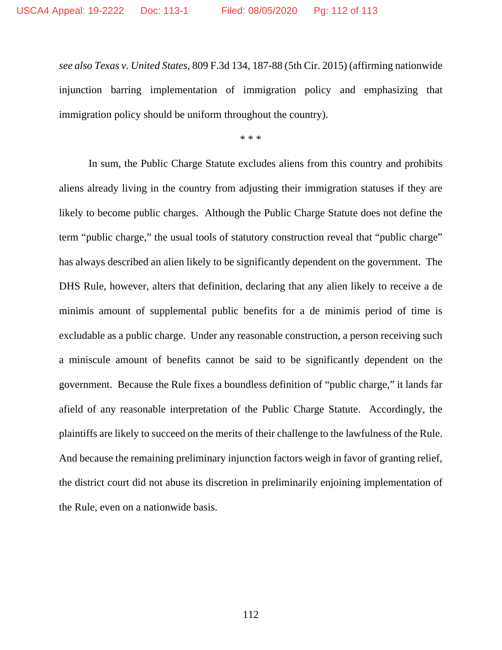*see also Texas v. United States*, 809 F.3d 134, 187-88 (5th Cir. 2015) (affirming nationwide injunction barring implementation of immigration policy and emphasizing that immigration policy should be uniform throughout the country).

\* \* \*

In sum, the Public Charge Statute excludes aliens from this country and prohibits aliens already living in the country from adjusting their immigration statuses if they are likely to become public charges. Although the Public Charge Statute does not define the term "public charge," the usual tools of statutory construction reveal that "public charge" has always described an alien likely to be significantly dependent on the government. The DHS Rule, however, alters that definition, declaring that any alien likely to receive a de minimis amount of supplemental public benefits for a de minimis period of time is excludable as a public charge. Under any reasonable construction, a person receiving such a miniscule amount of benefits cannot be said to be significantly dependent on the government. Because the Rule fixes a boundless definition of "public charge," it lands far afield of any reasonable interpretation of the Public Charge Statute. Accordingly, the plaintiffs are likely to succeed on the merits of their challenge to the lawfulness of the Rule. And because the remaining preliminary injunction factors weigh in favor of granting relief, the district court did not abuse its discretion in preliminarily enjoining implementation of the Rule, even on a nationwide basis.